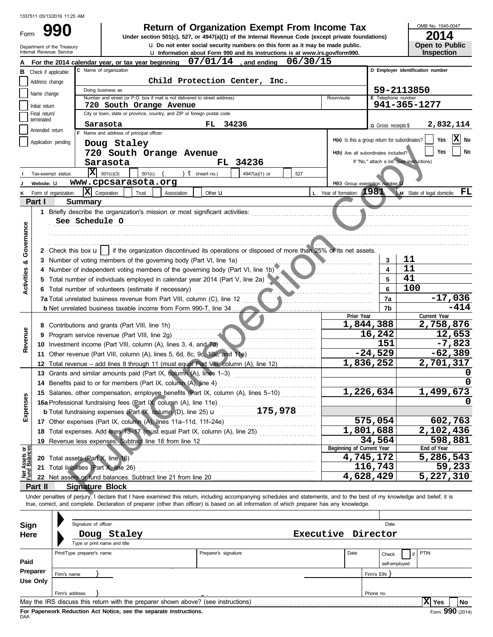Form

u **Do not enter social security numbers on this form as it may be made public. Open to Public 990 1990 2014 Depending Solution Solution Solution Solution Solution Solution Solution Solution Solution Solution Solution of the Internal Revenue Code (except private foundations)** 

OMB No. 1545-0047

|                                | Internal Revenue Service      | Department of the Treasury             |                                                                                                                                                                            |                               | Let be not enter social security numbers on this form as it may be made public.<br>La Information about Form 990 and its instructions is at www.irs.gov/form990. |                           |                                               | Open to Public<br><b>Inspection</b> |
|--------------------------------|-------------------------------|----------------------------------------|----------------------------------------------------------------------------------------------------------------------------------------------------------------------------|-------------------------------|------------------------------------------------------------------------------------------------------------------------------------------------------------------|---------------------------|-----------------------------------------------|-------------------------------------|
|                                |                               |                                        | For the 2014 calendar year, or tax year beginning                                                                                                                          | $07/01/14$ , and ending       | 06/30/15                                                                                                                                                         |                           |                                               |                                     |
|                                | <b>B</b> Check if applicable: |                                        | C Name of organization                                                                                                                                                     |                               |                                                                                                                                                                  |                           |                                               | D Employer identification number    |
|                                |                               |                                        |                                                                                                                                                                            |                               |                                                                                                                                                                  |                           |                                               |                                     |
|                                | Address change                |                                        |                                                                                                                                                                            | Child Protection Center, Inc. |                                                                                                                                                                  |                           |                                               |                                     |
|                                | Name change                   |                                        | Doing business as<br>Number and street (or P.O. box if mail is not delivered to street address)                                                                            |                               |                                                                                                                                                                  | Room/suite                | E Telephone number                            | 59-2113850                          |
|                                | Initial return                |                                        | 720 South Orange Avenue                                                                                                                                                    |                               |                                                                                                                                                                  |                           |                                               | 941-365-1277                        |
|                                | Final return/                 |                                        | City or town, state or province, country, and ZIP or foreign postal code                                                                                                   |                               |                                                                                                                                                                  |                           |                                               |                                     |
|                                | terminated                    |                                        |                                                                                                                                                                            | 34236                         |                                                                                                                                                                  |                           |                                               |                                     |
|                                | Amended return                |                                        | Sarasota<br>F Name and address of principal officer:                                                                                                                       | FL.                           |                                                                                                                                                                  |                           | G Gross receipts \$                           | 2,832,114                           |
|                                | Application pending           |                                        |                                                                                                                                                                            |                               |                                                                                                                                                                  |                           | H(a) Is this a group return for subordinates? | $ \mathbf{X} $ No<br>Yes            |
|                                |                               |                                        | Doug Staley                                                                                                                                                                |                               |                                                                                                                                                                  |                           |                                               | No<br>Yes                           |
|                                |                               |                                        | 720 South Orange Avenue                                                                                                                                                    |                               |                                                                                                                                                                  |                           | H(b) Are all subordinates included?           |                                     |
|                                |                               |                                        | Sarasota                                                                                                                                                                   | FL 34236                      |                                                                                                                                                                  |                           | If "No," attach a list. (see instructions)    |                                     |
|                                | Tax-exempt status:            | X                                      | 501(c)(3)<br>501(c)                                                                                                                                                        | ) $t$ (insert no.)            | 4947(a)(1) or<br>527                                                                                                                                             |                           |                                               |                                     |
|                                | Website: U                    |                                        | www.cpcsarasota.org                                                                                                                                                        |                               |                                                                                                                                                                  |                           | H(c) Group exemption number 1                 |                                     |
|                                |                               | $\mathbf{x}$<br>Form of organization:  | Corporation<br>Trust<br>Association                                                                                                                                        | Other $\mathbf u$             |                                                                                                                                                                  | L Year of formation: 1981 |                                               | FL<br>M State of legal domicile:    |
|                                | Part I                        | <b>Summary</b>                         |                                                                                                                                                                            |                               |                                                                                                                                                                  |                           |                                               |                                     |
|                                |                               |                                        | 1 Briefly describe the organization's mission or most significant activities:                                                                                              |                               |                                                                                                                                                                  |                           |                                               |                                     |
|                                |                               | See Schedule O                         |                                                                                                                                                                            |                               |                                                                                                                                                                  |                           |                                               |                                     |
|                                |                               |                                        |                                                                                                                                                                            |                               |                                                                                                                                                                  |                           |                                               |                                     |
| Governance                     |                               |                                        |                                                                                                                                                                            |                               |                                                                                                                                                                  |                           |                                               |                                     |
|                                |                               |                                        |                                                                                                                                                                            |                               |                                                                                                                                                                  |                           |                                               |                                     |
|                                |                               |                                        | 2 Check this box $\mathbf{u}$   if the organization discontinued its operations or disposed of more than 25% of its net assets.                                            |                               |                                                                                                                                                                  |                           |                                               | 11                                  |
| ×ŏ                             |                               |                                        | 3 Number of voting members of the governing body (Part VI, line 1a)                                                                                                        |                               |                                                                                                                                                                  |                           | 3                                             |                                     |
| Activities                     |                               |                                        | 4 Number of independent voting members of the governing body (Part VI, line 1b)                                                                                            |                               |                                                                                                                                                                  |                           |                                               | 11                                  |
|                                |                               |                                        | 5 Total number of individuals employed in calendar year 2014 (Part V, line 2a)                                                                                             |                               |                                                                                                                                                                  |                           |                                               | 41                                  |
|                                |                               |                                        | 6 Total number of volunteers (estimate if necessary)                                                                                                                       |                               |                                                                                                                                                                  |                           | 6                                             | 100                                 |
|                                |                               |                                        | 7a Total unrelated business revenue from Part VIII, column (C), line 12                                                                                                    |                               |                                                                                                                                                                  |                           | 7a                                            | $-17,036$                           |
|                                |                               |                                        | <b>b</b> Net unrelated business taxable income from Form 990-T, line 34                                                                                                    |                               |                                                                                                                                                                  |                           | 7b                                            | -414                                |
|                                |                               |                                        |                                                                                                                                                                            |                               |                                                                                                                                                                  | Prior Year                |                                               | Current Year                        |
|                                |                               |                                        | 8 Contributions and grants (Part VIII, line 1h)                                                                                                                            |                               |                                                                                                                                                                  |                           | 1,844,388                                     | 2,758,876                           |
| Revenue                        |                               |                                        | 9 Program service revenue (Part VIII, line 2g)                                                                                                                             |                               |                                                                                                                                                                  |                           | 16,242                                        | 12,653                              |
|                                |                               |                                        | 10 Investment income (Part VIII, column (A), lines 3, 4, and 7d)                                                                                                           |                               |                                                                                                                                                                  |                           | 151                                           | $-7,823$                            |
|                                |                               |                                        | 11 Other revenue (Part VIII, column (A), lines 5, 6d, 8c, 9c, 10c, and 11e)                                                                                                |                               |                                                                                                                                                                  |                           | $-24,529$                                     | $-62,389$                           |
|                                |                               |                                        | 12 Total revenue - add lines 8 through 11 (must equal Part VIII, column (A), line 12)                                                                                      |                               |                                                                                                                                                                  |                           | 1,836,252                                     | 2,701,317                           |
|                                |                               |                                        | 13 Grants and similar amounts paid (Part IX, column (A), lines 1-3)                                                                                                        |                               |                                                                                                                                                                  |                           |                                               |                                     |
|                                |                               |                                        | 14 Benefits paid to or for members (Part IX, column (A), line 4)                                                                                                           |                               |                                                                                                                                                                  |                           |                                               |                                     |
|                                |                               |                                        | 15 Salaries, other compensation, employee benefits (Part IX, column (A), lines 5-10)                                                                                       |                               |                                                                                                                                                                  |                           | 1,226,634                                     | 1,499,673                           |
| ses                            |                               |                                        | 16a Professional fundraising fees (Part IX, column (A), line 11e)                                                                                                          |                               |                                                                                                                                                                  |                           |                                               | 0                                   |
|                                |                               |                                        |                                                                                                                                                                            |                               | 175,978                                                                                                                                                          |                           |                                               |                                     |
| Exper                          |                               |                                        | <b>b</b> Total fundraising expenses (Part IX, column (D), line 25) <b>u</b>                                                                                                |                               |                                                                                                                                                                  |                           |                                               |                                     |
|                                |                               |                                        | 17 Other expenses (Part IX, column (A), lines 11a-11d, 11f-24e)                                                                                                            |                               |                                                                                                                                                                  |                           | 575,054                                       | 602,763                             |
|                                |                               |                                        | 18 Total expenses. Add lines 13-17 (must equal Part IX, column (A), line 25)                                                                                               |                               |                                                                                                                                                                  |                           | 1,801,688                                     | 2,102,436                           |
|                                |                               |                                        | 19 Revenue less expenses. Subtract line 18 from line 12                                                                                                                    |                               |                                                                                                                                                                  |                           | 34,564                                        | 598,881                             |
| Net Assets or<br>Fund Balances |                               |                                        |                                                                                                                                                                            |                               |                                                                                                                                                                  | Beginning of Current Year |                                               | End of Year                         |
|                                |                               | 20 Total assets (Part X, line 16)      |                                                                                                                                                                            |                               |                                                                                                                                                                  |                           | 4,745,172                                     | 5,286,543                           |
|                                |                               | 21 Total liabilities (Part X, line 26) |                                                                                                                                                                            |                               |                                                                                                                                                                  |                           | 116,743                                       | 59,233                              |
|                                |                               |                                        | 22 Net assets or fund balances. Subtract line 21 from line 20                                                                                                              |                               |                                                                                                                                                                  |                           | 4,628,429                                     | 5,227,310                           |
|                                | Part II                       | <b>Signature Block</b>                 |                                                                                                                                                                            |                               |                                                                                                                                                                  |                           |                                               |                                     |
|                                |                               |                                        | Under penalties of perjury, I declare that I have examined this return, including accompanying schedules and statements, and to the best of my knowledge and belief, it is |                               |                                                                                                                                                                  |                           |                                               |                                     |
|                                |                               |                                        | true, correct, and complete. Declaration of preparer (other than officer) is based on all information of which preparer has any knowledge.                                 |                               |                                                                                                                                                                  |                           |                                               |                                     |
|                                |                               |                                        |                                                                                                                                                                            |                               |                                                                                                                                                                  |                           |                                               |                                     |
| Sign                           |                               | Signature of officer                   |                                                                                                                                                                            |                               |                                                                                                                                                                  |                           | Date                                          |                                     |
| <b>Here</b>                    |                               |                                        | Doug Staley                                                                                                                                                                |                               |                                                                                                                                                                  | Executive Director        |                                               |                                     |
|                                |                               |                                        | Type or print name and title                                                                                                                                               |                               |                                                                                                                                                                  |                           |                                               |                                     |
|                                |                               | Print/Type preparer's name             |                                                                                                                                                                            | Preparer's signature          |                                                                                                                                                                  | Date                      | Check                                         | PTIN                                |
| Paid                           |                               |                                        |                                                                                                                                                                            |                               |                                                                                                                                                                  |                           |                                               |                                     |
|                                | Preparer                      |                                        |                                                                                                                                                                            |                               |                                                                                                                                                                  |                           | self-employed                                 |                                     |
|                                |                               | Firm's name                            |                                                                                                                                                                            |                               |                                                                                                                                                                  |                           | Firm's $EIN$ }                                |                                     |
|                                | Use Only                      |                                        |                                                                                                                                                                            |                               |                                                                                                                                                                  |                           |                                               |                                     |
|                                |                               | Firm's address                         |                                                                                                                                                                            |                               |                                                                                                                                                                  |                           | Phone no.                                     |                                     |
|                                |                               |                                        | May the IRS discuss this return with the preparer shown above? (see instructions)                                                                                          |                               |                                                                                                                                                                  |                           |                                               | $ \mathbf{X} $ Yes<br>  No          |

| Sign<br>Here         | Signature of officer<br>Doug Staley<br>Type or print name and title                                 |                      | Executive | Director   | Date                   |      |                 |           |
|----------------------|-----------------------------------------------------------------------------------------------------|----------------------|-----------|------------|------------------------|------|-----------------|-----------|
| Paid                 | Print/Type preparer's name                                                                          | Preparer's signature | Date      |            | Check<br>self-employed | PTIN |                 |           |
| Preparer<br>Use Only | Firm's name                                                                                         |                      |           | Firm's EIN |                        |      |                 |           |
|                      | Firm's address<br>May the IRS discuss this return with the preparer shown above? (see instructions) |                      |           | Phone no.  |                        |      | $ X $ Yes       | <b>No</b> |
|                      | For Paperwork Reduction Act Notice, see the separate instructions.                                  |                      |           |            |                        |      | Form 990 (2014) |           |

**For Paperwork Reduction Act Notice, see the separate instructions.**<br>DAA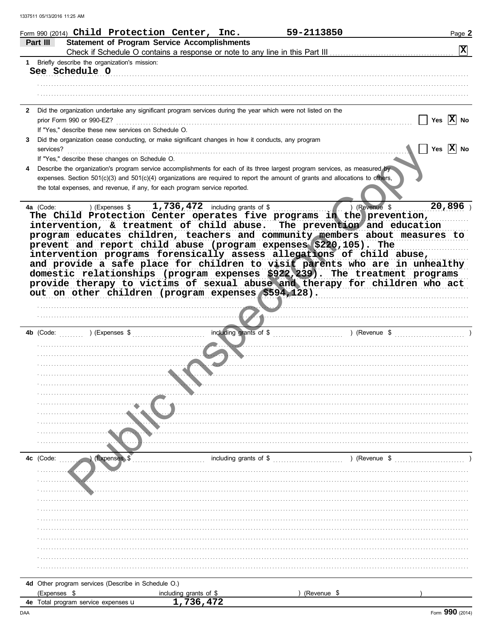|              | Form 990 (2014) $Child$ Protection Center, Inc.                                                                                    |                                                     | 59-2113850                | Page 2                                                                      |
|--------------|------------------------------------------------------------------------------------------------------------------------------------|-----------------------------------------------------|---------------------------|-----------------------------------------------------------------------------|
|              | Part III                                                                                                                           | <b>Statement of Program Service Accomplishments</b> |                           | $ \mathbf{X} $                                                              |
| $1 \quad$    | Briefly describe the organization's mission:                                                                                       |                                                     |                           |                                                                             |
|              | See Schedule O                                                                                                                     |                                                     |                           |                                                                             |
|              |                                                                                                                                    |                                                     |                           |                                                                             |
|              |                                                                                                                                    |                                                     |                           |                                                                             |
|              |                                                                                                                                    |                                                     |                           |                                                                             |
| $\mathbf{2}$ | Did the organization undertake any significant program services during the year which were not listed on the                       |                                                     |                           | Yes $ X $ No                                                                |
|              | prior Form 990 or 990-EZ?<br>If "Yes," describe these new services on Schedule O.                                                  |                                                     |                           |                                                                             |
| 3            | Did the organization cease conducting, or make significant changes in how it conducts, any program                                 |                                                     |                           |                                                                             |
|              | services?                                                                                                                          |                                                     |                           | Yes $ X $ No                                                                |
|              | If "Yes," describe these changes on Schedule O.                                                                                    |                                                     |                           |                                                                             |
| 4            | Describe the organization's program service accomplishments for each of its three largest program services, as measured by         |                                                     |                           |                                                                             |
|              | expenses. Section $501(c)(3)$ and $501(c)(4)$ organizations are required to report the amount of grants and allocations to others, |                                                     |                           |                                                                             |
|              | the total expenses, and revenue, if any, for each program service reported.                                                        |                                                     |                           |                                                                             |
|              |                                                                                                                                    | ) (Expenses $$1,736,472$ including grants of \$     |                           | 20,896                                                                      |
|              | 4a (Code:<br>The Child Protection Center operates five programs in the prevention,                                                 |                                                     |                           | ) (Revenue \$                                                               |
|              | intervention, & treatment of child abuse.                                                                                          |                                                     |                           | The prevention and education                                                |
|              |                                                                                                                                    |                                                     |                           | program educates children, teachers and community members about measures to |
|              | prevent and report child abuse (program expenses \$220,105). The                                                                   |                                                     |                           |                                                                             |
|              | intervention programs forensically assess allegations of child abuse,                                                              |                                                     |                           |                                                                             |
|              |                                                                                                                                    |                                                     |                           | and provide a safe place for children to visit parents who are in unhealthy |
|              | domestic relationships (program expenses \$922,239). The treatment programs                                                        |                                                     |                           |                                                                             |
|              |                                                                                                                                    |                                                     |                           | provide therapy to victims of sexual abuse and therapy for children who act |
|              | out on other children (program expenses \$594,128).                                                                                |                                                     |                           |                                                                             |
|              |                                                                                                                                    |                                                     |                           |                                                                             |
|              |                                                                                                                                    |                                                     |                           |                                                                             |
|              | ) (Expenses \$<br>4b (Code:                                                                                                        | including grants of \$                              | (Revenue \$) (Revenue \$) |                                                                             |
|              |                                                                                                                                    |                                                     |                           |                                                                             |
|              |                                                                                                                                    |                                                     |                           |                                                                             |
|              |                                                                                                                                    |                                                     |                           |                                                                             |
|              |                                                                                                                                    |                                                     |                           |                                                                             |
|              |                                                                                                                                    |                                                     |                           |                                                                             |
|              |                                                                                                                                    |                                                     |                           |                                                                             |
|              |                                                                                                                                    |                                                     |                           |                                                                             |
|              |                                                                                                                                    |                                                     |                           |                                                                             |
|              |                                                                                                                                    |                                                     |                           |                                                                             |
|              |                                                                                                                                    |                                                     |                           |                                                                             |
|              |                                                                                                                                    |                                                     |                           |                                                                             |
|              | 4c (Code:<br>(Expenses                                                                                                             | including grants of \$                              |                           | ) (Revenue \$                                                               |
|              |                                                                                                                                    |                                                     |                           |                                                                             |
|              |                                                                                                                                    |                                                     |                           |                                                                             |
|              |                                                                                                                                    |                                                     |                           |                                                                             |
|              |                                                                                                                                    |                                                     |                           |                                                                             |
|              |                                                                                                                                    |                                                     |                           |                                                                             |
|              |                                                                                                                                    |                                                     |                           |                                                                             |
|              |                                                                                                                                    |                                                     |                           |                                                                             |
|              |                                                                                                                                    |                                                     |                           |                                                                             |
|              |                                                                                                                                    |                                                     |                           |                                                                             |
|              |                                                                                                                                    |                                                     |                           |                                                                             |
|              |                                                                                                                                    |                                                     |                           |                                                                             |
|              | 4d Other program services (Describe in Schedule O.)                                                                                |                                                     |                           |                                                                             |
|              | (Expenses \$                                                                                                                       | including grants of \$                              | (Revenue \$               |                                                                             |
|              | 4e Total program service expenses u                                                                                                | 1,736,472                                           |                           |                                                                             |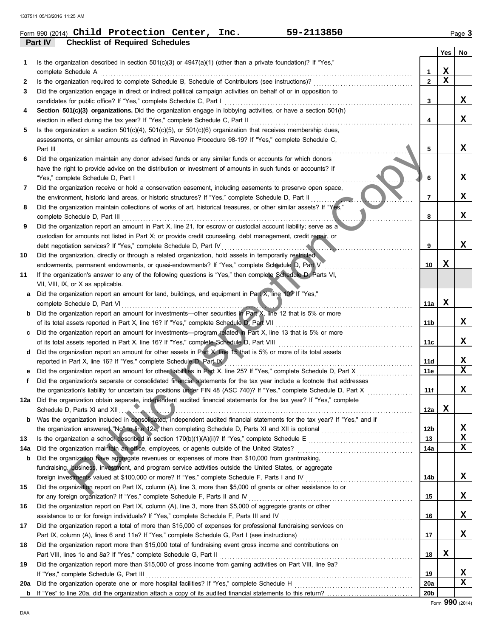|     | Form 990 (2014) Child Protection Center, Inc.<br>59-2113850                                                                |                 |             | Page 3      |
|-----|----------------------------------------------------------------------------------------------------------------------------|-----------------|-------------|-------------|
|     | <b>Checklist of Required Schedules</b><br>Part IV                                                                          |                 |             |             |
|     |                                                                                                                            |                 | Yes         | No          |
| 1   | Is the organization described in section $501(c)(3)$ or $4947(a)(1)$ (other than a private foundation)? If "Yes,"          |                 |             |             |
|     | complete Schedule A                                                                                                        | 1               | х           |             |
| 2   |                                                                                                                            | $\overline{2}$  | $\mathbf x$ |             |
| 3   | Did the organization engage in direct or indirect political campaign activities on behalf of or in opposition to           |                 |             |             |
|     | candidates for public office? If "Yes," complete Schedule C, Part I                                                        | 3               |             | X           |
| 4   | Section 501(c)(3) organizations. Did the organization engage in lobbying activities, or have a section 501(h)              |                 |             |             |
|     |                                                                                                                            | 4               |             | X           |
| 5   | Is the organization a section $501(c)(4)$ , $501(c)(5)$ , or $501(c)(6)$ organization that receives membership dues,       |                 |             |             |
|     | assessments, or similar amounts as defined in Revenue Procedure 98-19? If "Yes," complete Schedule C.                      |                 |             |             |
|     | Part III                                                                                                                   | 5               |             | X           |
| 6   | Did the organization maintain any donor advised funds or any similar funds or accounts for which donors                    |                 |             |             |
|     | have the right to provide advice on the distribution or investment of amounts in such funds or accounts? If                |                 |             |             |
|     | "Yes," complete Schedule D, Part I                                                                                         | 6               |             | X           |
| 7   | Did the organization receive or hold a conservation easement, including easements to preserve open space,                  |                 |             |             |
|     | the environment, historic land areas, or historic structures? If "Yes," complete Schedule D, Part II                       | $\overline{7}$  |             | X           |
| 8   | Did the organization maintain collections of works of art, historical treasures, or other similar assets? If "Yes,"        |                 |             |             |
|     | complete Schedule D, Part III                                                                                              | 8               |             | X           |
| 9   | Did the organization report an amount in Part X, line 21, for escrow or custodial account liability; serve as a            |                 |             |             |
|     | custodian for amounts not listed in Part X; or provide credit counseling, debt management, credit repair, or               |                 |             |             |
|     | debt negotiation services? If "Yes," complete Schedule D, Part IV                                                          | 9               |             | X           |
| 10  | Did the organization, directly or through a related organization, hold assets in temporarily restricted                    |                 |             |             |
|     | endowments, permanent endowments, or quasi-endowments? If "Yes," complete Schedule D, Part V"                              | 10              | x           |             |
| 11  | If the organization's answer to any of the following questions is "Yes," then complete Schedule D, Parts VI,               |                 |             |             |
|     | VII, VIII, IX, or X as applicable.                                                                                         |                 |             |             |
| а   | Did the organization report an amount for land, buildings, and equipment in Part X, line 10? If "Yes,"                     |                 |             |             |
|     | complete Schedule D, Part VI                                                                                               | 11a l           | x           |             |
| b   | Did the organization report an amount for investments-other securities in Part X, line 12 that is 5% or more               |                 |             |             |
|     | of its total assets reported in Part X, line 16? If "Yes," complete Schedule D, Part VII                                   | 11b             |             | X           |
| c   | Did the organization report an amount for investments—program related in Part X, line 13 that is 5% or more                |                 |             |             |
|     |                                                                                                                            | 11c             |             | X           |
| d   | Did the organization report an amount for other assets in Part X, line 15 that is 5% or more of its total assets           |                 |             |             |
|     | reported in Part X, line 16? If "Yes," complete Schedule D, Part IX                                                        | 11d             |             | x           |
|     | Did the organization report an amount for other liabilities in Part X, line 25? If "Yes," complete Schedule D, Part X      | 11e             |             | $\mathbf x$ |
|     | Did the organization's separate or consolidated financial statements for the tax year include a footnote that addresses    |                 |             |             |
|     |                                                                                                                            | 11f             |             | X.          |
| 12a | Did the organization obtain separate, independent audited financial statements for the tax year? If "Yes," complete        |                 |             |             |
|     |                                                                                                                            | 12a             | x           |             |
| b   | Was the organization included in consolidated, independent audited financial statements for the tax year? If "Yes," and if |                 |             |             |
|     |                                                                                                                            | 12b             |             | x           |
| 13  |                                                                                                                            | 13              |             | X           |
| 14a |                                                                                                                            | 14a             |             | $\mathbf x$ |
| b   | Did the organization have aggregate revenues or expenses of more than \$10,000 from grantmaking,                           |                 |             |             |
|     | fundraising, business, investment, and program service activities outside the United States, or aggregate                  |                 |             |             |
|     |                                                                                                                            | 14b             |             | x           |
| 15  | Did the organization report on Part IX, column (A), line 3, more than \$5,000 of grants or other assistance to or          |                 |             |             |
|     |                                                                                                                            | 15              |             | X           |
| 16  | Did the organization report on Part IX, column (A), line 3, more than \$5,000 of aggregate grants or other                 |                 |             |             |
|     |                                                                                                                            | 16              |             | x           |
| 17  | Did the organization report a total of more than \$15,000 of expenses for professional fundraising services on             |                 |             |             |
|     |                                                                                                                            | 17              |             | x           |
| 18  | Did the organization report more than \$15,000 total of fundraising event gross income and contributions on                |                 |             |             |
|     | Part VIII, lines 1c and 8a? If "Yes," complete Schedule G, Part II                                                         | 18              | x           |             |
| 19  | Did the organization report more than \$15,000 of gross income from gaming activities on Part VIII, line 9a?               |                 |             |             |
|     | If "Yes," complete Schedule G, Part III                                                                                    | 19              |             | x<br>X      |
| 20a |                                                                                                                            | 20a             |             |             |
| b   | If "Yes" to line 20a, did the organization attach a copy of its audited financial statements to this return?               | 20 <sub>b</sub> |             |             |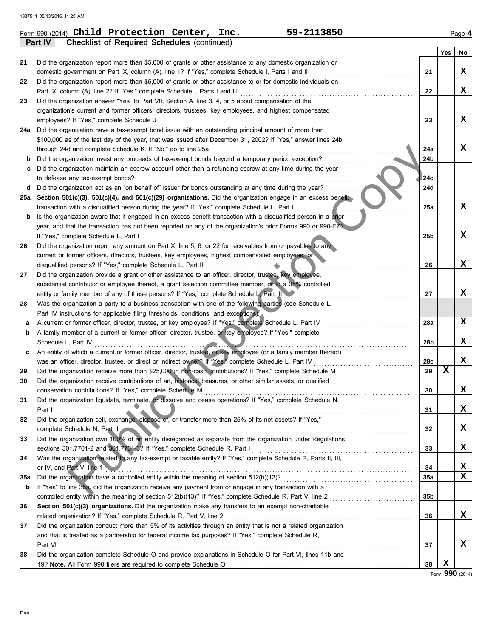| Part IV<br><b>Checklist of Required Schedules (continued)</b><br>Yes<br>No<br>Did the organization report more than \$5,000 of grants or other assistance to any domestic organization or<br>21<br>X<br>domestic government on Part IX, column (A), line 1? If "Yes," complete Schedule I, Parts I and II<br>21<br>Did the organization report more than \$5,000 of grants or other assistance to or for domestic individuals on<br>22<br>X<br>Part IX, column (A), line 2? If "Yes," complete Schedule I, Parts I and III<br>22<br>Did the organization answer "Yes" to Part VII, Section A, line 3, 4, or 5 about compensation of the<br>23<br>organization's current and former officers, directors, trustees, key employees, and highest compensated<br>X<br>employees? If "Yes," complete Schedule J<br>23<br>Did the organization have a tax-exempt bond issue with an outstanding principal amount of more than<br>24a<br>\$100,000 as of the last day of the year, that was issued after December 31, 2002? If "Yes," answer lines 24b<br>x<br>through 24d and complete Schedule K. If "No," go to line 25a<br>24a<br>Did the organization invest any proceeds of tax-exempt bonds beyond a temporary period exception?<br>24b<br>b<br>Did the organization maintain an escrow account other than a refunding escrow at any time during the year<br>c<br>24c<br>to defease any tax-exempt bonds?<br>Did the organization act as an "on behalf of" issuer for bonds outstanding at any time during the year?<br>24d<br>d<br>Section 501(c)(3), 501(c)(4), and 501(c)(29) organizations. Did the organization engage in an excess benefit<br>25а<br>x<br>transaction with a disqualified person during the year? If "Yes," complete Schedule L, Part I<br>25a<br>Is the organization aware that it engaged in an excess benefit transaction with a disqualified person in a prior<br>b<br>year, and that the transaction has not been reported on any of the organization's prior Forms 990 or 990-EZ?<br>X<br>If "Yes," complete Schedule L, Part I<br>25b<br>Did the organization report any amount on Part X, line 5, 6, or 22 for receivables from or payables to any<br>26<br>current or former officers, directors, trustees, key employees, highest compensated employees, or<br>X<br>disqualified persons? If "Yes," complete Schedule L, Part II<br>26<br>Did the organization provide a grant or other assistance to an officer, director, trustee, key employée,<br>27<br>substantial contributor or employee thereof, a grant selection committee member, or to a 35% controlled<br>x<br>entity or family member of any of these persons? If "Yes," complete Schedule L, Part III<br>27<br>Was the organization a party to a business transaction with one of the following parties (see Schedule L,<br>28<br>Part IV instructions for applicable filing thresholds, conditions, and exceptions).<br>X<br>A current or former officer, director, trustee, or key employee? If "Yes," complete Schedule L, Part IV<br>28a<br>а<br>A family member of a current or former officer, director, trustee, or key employee? If "Yes," complete<br>b<br>x<br>Schedule L, Part IV<br>28b<br>An entity of which a current or former officer, director, trustee, or key employee (or a family member thereof)<br>c<br>x<br>was an officer, director, trustee, or direct or indirect owner? If "Yes," complete Schedule L, Part IV<br>28c<br>X<br>Did the organization receive more than \$25,000 in non-cash contributions? If "Yes," complete Schedule M<br>29<br>29<br>Did the organization receive contributions of art, historical treasures, or other similar assets, or qualified<br>30<br>conservation contributions? If "Yes," complete Schedule M<br>30<br>A<br>Did the organization liquidate, terminate, or dissolve and cease operations? If "Yes," complete Schedule N,<br>31<br>x<br>Part I<br>31<br>Did the organization sell, exchange, dispose of, or transfer more than 25% of its net assets? If "Yes,"<br>32<br>X<br>complete Schedule N, Part II<br>32<br>Did the organization own 100% of an entity disregarded as separate from the organization under Regulations<br>33<br>sections 301.7701-2 and 301.7701-3? If "Yes," complete Schedule R, Part I<br>X<br>33<br>Was the organization related to any tax-exempt or taxable entity? If "Yes," complete Schedule R, Parts II, III,<br>34<br>X<br>or IV, and Part V, line 1<br>34<br>X<br>Did the organization have a controlled entity within the meaning of section 512(b)(13)?<br>35a<br>35a<br>If "Yes" to line 35a, did the organization receive any payment from or engage in any transaction with a<br>b<br>35b<br>Section 501(c)(3) organizations. Did the organization make any transfers to an exempt non-charitable<br>36<br>X<br>related organization? If "Yes," complete Schedule R, Part V, line 2<br>36<br>Did the organization conduct more than 5% of its activities through an entity that is not a related organization<br>37<br>and that is treated as a partnership for federal income tax purposes? If "Yes," complete Schedule R,<br>x<br>Part VI<br>37<br>Did the organization complete Schedule O and provide explanations in Schedule O for Part VI, lines 11b and<br>38<br>$\mathbf x$<br>38 | 59-2113850<br>Form 990 (2014) Child Protection Center, Inc. |  | Page 4 |
|-------------------------------------------------------------------------------------------------------------------------------------------------------------------------------------------------------------------------------------------------------------------------------------------------------------------------------------------------------------------------------------------------------------------------------------------------------------------------------------------------------------------------------------------------------------------------------------------------------------------------------------------------------------------------------------------------------------------------------------------------------------------------------------------------------------------------------------------------------------------------------------------------------------------------------------------------------------------------------------------------------------------------------------------------------------------------------------------------------------------------------------------------------------------------------------------------------------------------------------------------------------------------------------------------------------------------------------------------------------------------------------------------------------------------------------------------------------------------------------------------------------------------------------------------------------------------------------------------------------------------------------------------------------------------------------------------------------------------------------------------------------------------------------------------------------------------------------------------------------------------------------------------------------------------------------------------------------------------------------------------------------------------------------------------------------------------------------------------------------------------------------------------------------------------------------------------------------------------------------------------------------------------------------------------------------------------------------------------------------------------------------------------------------------------------------------------------------------------------------------------------------------------------------------------------------------------------------------------------------------------------------------------------------------------------------------------------------------------------------------------------------------------------------------------------------------------------------------------------------------------------------------------------------------------------------------------------------------------------------------------------------------------------------------------------------------------------------------------------------------------------------------------------------------------------------------------------------------------------------------------------------------------------------------------------------------------------------------------------------------------------------------------------------------------------------------------------------------------------------------------------------------------------------------------------------------------------------------------------------------------------------------------------------------------------------------------------------------------------------------------------------------------------------------------------------------------------------------------------------------------------------------------------------------------------------------------------------------------------------------------------------------------------------------------------------------------------------------------------------------------------------------------------------------------------------------------------------------------------------------------------------------------------------------------------------------------------------------------------------------------------------------------------------------------------------------------------------------------------------------------------------------------------------------------------------------------------------------------------------------------------------------------------------------------------------------------------------------------------------------------------------------------------------------------------------------------------------------------------------------------------------------------------------------------------------------------------------------------------------------------------------------------------------------------------------------------------------------------------------------------------------------------------------------------------------------------------------------------------------------------------------------------------------------------------|-------------------------------------------------------------|--|--------|
|                                                                                                                                                                                                                                                                                                                                                                                                                                                                                                                                                                                                                                                                                                                                                                                                                                                                                                                                                                                                                                                                                                                                                                                                                                                                                                                                                                                                                                                                                                                                                                                                                                                                                                                                                                                                                                                                                                                                                                                                                                                                                                                                                                                                                                                                                                                                                                                                                                                                                                                                                                                                                                                                                                                                                                                                                                                                                                                                                                                                                                                                                                                                                                                                                                                                                                                                                                                                                                                                                                                                                                                                                                                                                                                                                                                                                                                                                                                                                                                                                                                                                                                                                                                                                                                                                                                                                                                                                                                                                                                                                                                                                                                                                                                                                                                                                                                                                                                                                                                                                                                                                                                                                                                                                                                                                                       |                                                             |  |        |
|                                                                                                                                                                                                                                                                                                                                                                                                                                                                                                                                                                                                                                                                                                                                                                                                                                                                                                                                                                                                                                                                                                                                                                                                                                                                                                                                                                                                                                                                                                                                                                                                                                                                                                                                                                                                                                                                                                                                                                                                                                                                                                                                                                                                                                                                                                                                                                                                                                                                                                                                                                                                                                                                                                                                                                                                                                                                                                                                                                                                                                                                                                                                                                                                                                                                                                                                                                                                                                                                                                                                                                                                                                                                                                                                                                                                                                                                                                                                                                                                                                                                                                                                                                                                                                                                                                                                                                                                                                                                                                                                                                                                                                                                                                                                                                                                                                                                                                                                                                                                                                                                                                                                                                                                                                                                                                       |                                                             |  |        |
|                                                                                                                                                                                                                                                                                                                                                                                                                                                                                                                                                                                                                                                                                                                                                                                                                                                                                                                                                                                                                                                                                                                                                                                                                                                                                                                                                                                                                                                                                                                                                                                                                                                                                                                                                                                                                                                                                                                                                                                                                                                                                                                                                                                                                                                                                                                                                                                                                                                                                                                                                                                                                                                                                                                                                                                                                                                                                                                                                                                                                                                                                                                                                                                                                                                                                                                                                                                                                                                                                                                                                                                                                                                                                                                                                                                                                                                                                                                                                                                                                                                                                                                                                                                                                                                                                                                                                                                                                                                                                                                                                                                                                                                                                                                                                                                                                                                                                                                                                                                                                                                                                                                                                                                                                                                                                                       |                                                             |  |        |
|                                                                                                                                                                                                                                                                                                                                                                                                                                                                                                                                                                                                                                                                                                                                                                                                                                                                                                                                                                                                                                                                                                                                                                                                                                                                                                                                                                                                                                                                                                                                                                                                                                                                                                                                                                                                                                                                                                                                                                                                                                                                                                                                                                                                                                                                                                                                                                                                                                                                                                                                                                                                                                                                                                                                                                                                                                                                                                                                                                                                                                                                                                                                                                                                                                                                                                                                                                                                                                                                                                                                                                                                                                                                                                                                                                                                                                                                                                                                                                                                                                                                                                                                                                                                                                                                                                                                                                                                                                                                                                                                                                                                                                                                                                                                                                                                                                                                                                                                                                                                                                                                                                                                                                                                                                                                                                       |                                                             |  |        |
|                                                                                                                                                                                                                                                                                                                                                                                                                                                                                                                                                                                                                                                                                                                                                                                                                                                                                                                                                                                                                                                                                                                                                                                                                                                                                                                                                                                                                                                                                                                                                                                                                                                                                                                                                                                                                                                                                                                                                                                                                                                                                                                                                                                                                                                                                                                                                                                                                                                                                                                                                                                                                                                                                                                                                                                                                                                                                                                                                                                                                                                                                                                                                                                                                                                                                                                                                                                                                                                                                                                                                                                                                                                                                                                                                                                                                                                                                                                                                                                                                                                                                                                                                                                                                                                                                                                                                                                                                                                                                                                                                                                                                                                                                                                                                                                                                                                                                                                                                                                                                                                                                                                                                                                                                                                                                                       |                                                             |  |        |
|                                                                                                                                                                                                                                                                                                                                                                                                                                                                                                                                                                                                                                                                                                                                                                                                                                                                                                                                                                                                                                                                                                                                                                                                                                                                                                                                                                                                                                                                                                                                                                                                                                                                                                                                                                                                                                                                                                                                                                                                                                                                                                                                                                                                                                                                                                                                                                                                                                                                                                                                                                                                                                                                                                                                                                                                                                                                                                                                                                                                                                                                                                                                                                                                                                                                                                                                                                                                                                                                                                                                                                                                                                                                                                                                                                                                                                                                                                                                                                                                                                                                                                                                                                                                                                                                                                                                                                                                                                                                                                                                                                                                                                                                                                                                                                                                                                                                                                                                                                                                                                                                                                                                                                                                                                                                                                       |                                                             |  |        |
|                                                                                                                                                                                                                                                                                                                                                                                                                                                                                                                                                                                                                                                                                                                                                                                                                                                                                                                                                                                                                                                                                                                                                                                                                                                                                                                                                                                                                                                                                                                                                                                                                                                                                                                                                                                                                                                                                                                                                                                                                                                                                                                                                                                                                                                                                                                                                                                                                                                                                                                                                                                                                                                                                                                                                                                                                                                                                                                                                                                                                                                                                                                                                                                                                                                                                                                                                                                                                                                                                                                                                                                                                                                                                                                                                                                                                                                                                                                                                                                                                                                                                                                                                                                                                                                                                                                                                                                                                                                                                                                                                                                                                                                                                                                                                                                                                                                                                                                                                                                                                                                                                                                                                                                                                                                                                                       |                                                             |  |        |
|                                                                                                                                                                                                                                                                                                                                                                                                                                                                                                                                                                                                                                                                                                                                                                                                                                                                                                                                                                                                                                                                                                                                                                                                                                                                                                                                                                                                                                                                                                                                                                                                                                                                                                                                                                                                                                                                                                                                                                                                                                                                                                                                                                                                                                                                                                                                                                                                                                                                                                                                                                                                                                                                                                                                                                                                                                                                                                                                                                                                                                                                                                                                                                                                                                                                                                                                                                                                                                                                                                                                                                                                                                                                                                                                                                                                                                                                                                                                                                                                                                                                                                                                                                                                                                                                                                                                                                                                                                                                                                                                                                                                                                                                                                                                                                                                                                                                                                                                                                                                                                                                                                                                                                                                                                                                                                       |                                                             |  |        |
|                                                                                                                                                                                                                                                                                                                                                                                                                                                                                                                                                                                                                                                                                                                                                                                                                                                                                                                                                                                                                                                                                                                                                                                                                                                                                                                                                                                                                                                                                                                                                                                                                                                                                                                                                                                                                                                                                                                                                                                                                                                                                                                                                                                                                                                                                                                                                                                                                                                                                                                                                                                                                                                                                                                                                                                                                                                                                                                                                                                                                                                                                                                                                                                                                                                                                                                                                                                                                                                                                                                                                                                                                                                                                                                                                                                                                                                                                                                                                                                                                                                                                                                                                                                                                                                                                                                                                                                                                                                                                                                                                                                                                                                                                                                                                                                                                                                                                                                                                                                                                                                                                                                                                                                                                                                                                                       |                                                             |  |        |
|                                                                                                                                                                                                                                                                                                                                                                                                                                                                                                                                                                                                                                                                                                                                                                                                                                                                                                                                                                                                                                                                                                                                                                                                                                                                                                                                                                                                                                                                                                                                                                                                                                                                                                                                                                                                                                                                                                                                                                                                                                                                                                                                                                                                                                                                                                                                                                                                                                                                                                                                                                                                                                                                                                                                                                                                                                                                                                                                                                                                                                                                                                                                                                                                                                                                                                                                                                                                                                                                                                                                                                                                                                                                                                                                                                                                                                                                                                                                                                                                                                                                                                                                                                                                                                                                                                                                                                                                                                                                                                                                                                                                                                                                                                                                                                                                                                                                                                                                                                                                                                                                                                                                                                                                                                                                                                       |                                                             |  |        |
|                                                                                                                                                                                                                                                                                                                                                                                                                                                                                                                                                                                                                                                                                                                                                                                                                                                                                                                                                                                                                                                                                                                                                                                                                                                                                                                                                                                                                                                                                                                                                                                                                                                                                                                                                                                                                                                                                                                                                                                                                                                                                                                                                                                                                                                                                                                                                                                                                                                                                                                                                                                                                                                                                                                                                                                                                                                                                                                                                                                                                                                                                                                                                                                                                                                                                                                                                                                                                                                                                                                                                                                                                                                                                                                                                                                                                                                                                                                                                                                                                                                                                                                                                                                                                                                                                                                                                                                                                                                                                                                                                                                                                                                                                                                                                                                                                                                                                                                                                                                                                                                                                                                                                                                                                                                                                                       |                                                             |  |        |
|                                                                                                                                                                                                                                                                                                                                                                                                                                                                                                                                                                                                                                                                                                                                                                                                                                                                                                                                                                                                                                                                                                                                                                                                                                                                                                                                                                                                                                                                                                                                                                                                                                                                                                                                                                                                                                                                                                                                                                                                                                                                                                                                                                                                                                                                                                                                                                                                                                                                                                                                                                                                                                                                                                                                                                                                                                                                                                                                                                                                                                                                                                                                                                                                                                                                                                                                                                                                                                                                                                                                                                                                                                                                                                                                                                                                                                                                                                                                                                                                                                                                                                                                                                                                                                                                                                                                                                                                                                                                                                                                                                                                                                                                                                                                                                                                                                                                                                                                                                                                                                                                                                                                                                                                                                                                                                       |                                                             |  |        |
|                                                                                                                                                                                                                                                                                                                                                                                                                                                                                                                                                                                                                                                                                                                                                                                                                                                                                                                                                                                                                                                                                                                                                                                                                                                                                                                                                                                                                                                                                                                                                                                                                                                                                                                                                                                                                                                                                                                                                                                                                                                                                                                                                                                                                                                                                                                                                                                                                                                                                                                                                                                                                                                                                                                                                                                                                                                                                                                                                                                                                                                                                                                                                                                                                                                                                                                                                                                                                                                                                                                                                                                                                                                                                                                                                                                                                                                                                                                                                                                                                                                                                                                                                                                                                                                                                                                                                                                                                                                                                                                                                                                                                                                                                                                                                                                                                                                                                                                                                                                                                                                                                                                                                                                                                                                                                                       |                                                             |  |        |
|                                                                                                                                                                                                                                                                                                                                                                                                                                                                                                                                                                                                                                                                                                                                                                                                                                                                                                                                                                                                                                                                                                                                                                                                                                                                                                                                                                                                                                                                                                                                                                                                                                                                                                                                                                                                                                                                                                                                                                                                                                                                                                                                                                                                                                                                                                                                                                                                                                                                                                                                                                                                                                                                                                                                                                                                                                                                                                                                                                                                                                                                                                                                                                                                                                                                                                                                                                                                                                                                                                                                                                                                                                                                                                                                                                                                                                                                                                                                                                                                                                                                                                                                                                                                                                                                                                                                                                                                                                                                                                                                                                                                                                                                                                                                                                                                                                                                                                                                                                                                                                                                                                                                                                                                                                                                                                       |                                                             |  |        |
|                                                                                                                                                                                                                                                                                                                                                                                                                                                                                                                                                                                                                                                                                                                                                                                                                                                                                                                                                                                                                                                                                                                                                                                                                                                                                                                                                                                                                                                                                                                                                                                                                                                                                                                                                                                                                                                                                                                                                                                                                                                                                                                                                                                                                                                                                                                                                                                                                                                                                                                                                                                                                                                                                                                                                                                                                                                                                                                                                                                                                                                                                                                                                                                                                                                                                                                                                                                                                                                                                                                                                                                                                                                                                                                                                                                                                                                                                                                                                                                                                                                                                                                                                                                                                                                                                                                                                                                                                                                                                                                                                                                                                                                                                                                                                                                                                                                                                                                                                                                                                                                                                                                                                                                                                                                                                                       |                                                             |  |        |
|                                                                                                                                                                                                                                                                                                                                                                                                                                                                                                                                                                                                                                                                                                                                                                                                                                                                                                                                                                                                                                                                                                                                                                                                                                                                                                                                                                                                                                                                                                                                                                                                                                                                                                                                                                                                                                                                                                                                                                                                                                                                                                                                                                                                                                                                                                                                                                                                                                                                                                                                                                                                                                                                                                                                                                                                                                                                                                                                                                                                                                                                                                                                                                                                                                                                                                                                                                                                                                                                                                                                                                                                                                                                                                                                                                                                                                                                                                                                                                                                                                                                                                                                                                                                                                                                                                                                                                                                                                                                                                                                                                                                                                                                                                                                                                                                                                                                                                                                                                                                                                                                                                                                                                                                                                                                                                       |                                                             |  |        |
|                                                                                                                                                                                                                                                                                                                                                                                                                                                                                                                                                                                                                                                                                                                                                                                                                                                                                                                                                                                                                                                                                                                                                                                                                                                                                                                                                                                                                                                                                                                                                                                                                                                                                                                                                                                                                                                                                                                                                                                                                                                                                                                                                                                                                                                                                                                                                                                                                                                                                                                                                                                                                                                                                                                                                                                                                                                                                                                                                                                                                                                                                                                                                                                                                                                                                                                                                                                                                                                                                                                                                                                                                                                                                                                                                                                                                                                                                                                                                                                                                                                                                                                                                                                                                                                                                                                                                                                                                                                                                                                                                                                                                                                                                                                                                                                                                                                                                                                                                                                                                                                                                                                                                                                                                                                                                                       |                                                             |  |        |
|                                                                                                                                                                                                                                                                                                                                                                                                                                                                                                                                                                                                                                                                                                                                                                                                                                                                                                                                                                                                                                                                                                                                                                                                                                                                                                                                                                                                                                                                                                                                                                                                                                                                                                                                                                                                                                                                                                                                                                                                                                                                                                                                                                                                                                                                                                                                                                                                                                                                                                                                                                                                                                                                                                                                                                                                                                                                                                                                                                                                                                                                                                                                                                                                                                                                                                                                                                                                                                                                                                                                                                                                                                                                                                                                                                                                                                                                                                                                                                                                                                                                                                                                                                                                                                                                                                                                                                                                                                                                                                                                                                                                                                                                                                                                                                                                                                                                                                                                                                                                                                                                                                                                                                                                                                                                                                       |                                                             |  |        |
|                                                                                                                                                                                                                                                                                                                                                                                                                                                                                                                                                                                                                                                                                                                                                                                                                                                                                                                                                                                                                                                                                                                                                                                                                                                                                                                                                                                                                                                                                                                                                                                                                                                                                                                                                                                                                                                                                                                                                                                                                                                                                                                                                                                                                                                                                                                                                                                                                                                                                                                                                                                                                                                                                                                                                                                                                                                                                                                                                                                                                                                                                                                                                                                                                                                                                                                                                                                                                                                                                                                                                                                                                                                                                                                                                                                                                                                                                                                                                                                                                                                                                                                                                                                                                                                                                                                                                                                                                                                                                                                                                                                                                                                                                                                                                                                                                                                                                                                                                                                                                                                                                                                                                                                                                                                                                                       |                                                             |  |        |
|                                                                                                                                                                                                                                                                                                                                                                                                                                                                                                                                                                                                                                                                                                                                                                                                                                                                                                                                                                                                                                                                                                                                                                                                                                                                                                                                                                                                                                                                                                                                                                                                                                                                                                                                                                                                                                                                                                                                                                                                                                                                                                                                                                                                                                                                                                                                                                                                                                                                                                                                                                                                                                                                                                                                                                                                                                                                                                                                                                                                                                                                                                                                                                                                                                                                                                                                                                                                                                                                                                                                                                                                                                                                                                                                                                                                                                                                                                                                                                                                                                                                                                                                                                                                                                                                                                                                                                                                                                                                                                                                                                                                                                                                                                                                                                                                                                                                                                                                                                                                                                                                                                                                                                                                                                                                                                       |                                                             |  |        |
|                                                                                                                                                                                                                                                                                                                                                                                                                                                                                                                                                                                                                                                                                                                                                                                                                                                                                                                                                                                                                                                                                                                                                                                                                                                                                                                                                                                                                                                                                                                                                                                                                                                                                                                                                                                                                                                                                                                                                                                                                                                                                                                                                                                                                                                                                                                                                                                                                                                                                                                                                                                                                                                                                                                                                                                                                                                                                                                                                                                                                                                                                                                                                                                                                                                                                                                                                                                                                                                                                                                                                                                                                                                                                                                                                                                                                                                                                                                                                                                                                                                                                                                                                                                                                                                                                                                                                                                                                                                                                                                                                                                                                                                                                                                                                                                                                                                                                                                                                                                                                                                                                                                                                                                                                                                                                                       |                                                             |  |        |
|                                                                                                                                                                                                                                                                                                                                                                                                                                                                                                                                                                                                                                                                                                                                                                                                                                                                                                                                                                                                                                                                                                                                                                                                                                                                                                                                                                                                                                                                                                                                                                                                                                                                                                                                                                                                                                                                                                                                                                                                                                                                                                                                                                                                                                                                                                                                                                                                                                                                                                                                                                                                                                                                                                                                                                                                                                                                                                                                                                                                                                                                                                                                                                                                                                                                                                                                                                                                                                                                                                                                                                                                                                                                                                                                                                                                                                                                                                                                                                                                                                                                                                                                                                                                                                                                                                                                                                                                                                                                                                                                                                                                                                                                                                                                                                                                                                                                                                                                                                                                                                                                                                                                                                                                                                                                                                       |                                                             |  |        |
|                                                                                                                                                                                                                                                                                                                                                                                                                                                                                                                                                                                                                                                                                                                                                                                                                                                                                                                                                                                                                                                                                                                                                                                                                                                                                                                                                                                                                                                                                                                                                                                                                                                                                                                                                                                                                                                                                                                                                                                                                                                                                                                                                                                                                                                                                                                                                                                                                                                                                                                                                                                                                                                                                                                                                                                                                                                                                                                                                                                                                                                                                                                                                                                                                                                                                                                                                                                                                                                                                                                                                                                                                                                                                                                                                                                                                                                                                                                                                                                                                                                                                                                                                                                                                                                                                                                                                                                                                                                                                                                                                                                                                                                                                                                                                                                                                                                                                                                                                                                                                                                                                                                                                                                                                                                                                                       |                                                             |  |        |
|                                                                                                                                                                                                                                                                                                                                                                                                                                                                                                                                                                                                                                                                                                                                                                                                                                                                                                                                                                                                                                                                                                                                                                                                                                                                                                                                                                                                                                                                                                                                                                                                                                                                                                                                                                                                                                                                                                                                                                                                                                                                                                                                                                                                                                                                                                                                                                                                                                                                                                                                                                                                                                                                                                                                                                                                                                                                                                                                                                                                                                                                                                                                                                                                                                                                                                                                                                                                                                                                                                                                                                                                                                                                                                                                                                                                                                                                                                                                                                                                                                                                                                                                                                                                                                                                                                                                                                                                                                                                                                                                                                                                                                                                                                                                                                                                                                                                                                                                                                                                                                                                                                                                                                                                                                                                                                       |                                                             |  |        |
|                                                                                                                                                                                                                                                                                                                                                                                                                                                                                                                                                                                                                                                                                                                                                                                                                                                                                                                                                                                                                                                                                                                                                                                                                                                                                                                                                                                                                                                                                                                                                                                                                                                                                                                                                                                                                                                                                                                                                                                                                                                                                                                                                                                                                                                                                                                                                                                                                                                                                                                                                                                                                                                                                                                                                                                                                                                                                                                                                                                                                                                                                                                                                                                                                                                                                                                                                                                                                                                                                                                                                                                                                                                                                                                                                                                                                                                                                                                                                                                                                                                                                                                                                                                                                                                                                                                                                                                                                                                                                                                                                                                                                                                                                                                                                                                                                                                                                                                                                                                                                                                                                                                                                                                                                                                                                                       |                                                             |  |        |
|                                                                                                                                                                                                                                                                                                                                                                                                                                                                                                                                                                                                                                                                                                                                                                                                                                                                                                                                                                                                                                                                                                                                                                                                                                                                                                                                                                                                                                                                                                                                                                                                                                                                                                                                                                                                                                                                                                                                                                                                                                                                                                                                                                                                                                                                                                                                                                                                                                                                                                                                                                                                                                                                                                                                                                                                                                                                                                                                                                                                                                                                                                                                                                                                                                                                                                                                                                                                                                                                                                                                                                                                                                                                                                                                                                                                                                                                                                                                                                                                                                                                                                                                                                                                                                                                                                                                                                                                                                                                                                                                                                                                                                                                                                                                                                                                                                                                                                                                                                                                                                                                                                                                                                                                                                                                                                       |                                                             |  |        |
|                                                                                                                                                                                                                                                                                                                                                                                                                                                                                                                                                                                                                                                                                                                                                                                                                                                                                                                                                                                                                                                                                                                                                                                                                                                                                                                                                                                                                                                                                                                                                                                                                                                                                                                                                                                                                                                                                                                                                                                                                                                                                                                                                                                                                                                                                                                                                                                                                                                                                                                                                                                                                                                                                                                                                                                                                                                                                                                                                                                                                                                                                                                                                                                                                                                                                                                                                                                                                                                                                                                                                                                                                                                                                                                                                                                                                                                                                                                                                                                                                                                                                                                                                                                                                                                                                                                                                                                                                                                                                                                                                                                                                                                                                                                                                                                                                                                                                                                                                                                                                                                                                                                                                                                                                                                                                                       |                                                             |  |        |
|                                                                                                                                                                                                                                                                                                                                                                                                                                                                                                                                                                                                                                                                                                                                                                                                                                                                                                                                                                                                                                                                                                                                                                                                                                                                                                                                                                                                                                                                                                                                                                                                                                                                                                                                                                                                                                                                                                                                                                                                                                                                                                                                                                                                                                                                                                                                                                                                                                                                                                                                                                                                                                                                                                                                                                                                                                                                                                                                                                                                                                                                                                                                                                                                                                                                                                                                                                                                                                                                                                                                                                                                                                                                                                                                                                                                                                                                                                                                                                                                                                                                                                                                                                                                                                                                                                                                                                                                                                                                                                                                                                                                                                                                                                                                                                                                                                                                                                                                                                                                                                                                                                                                                                                                                                                                                                       |                                                             |  |        |
|                                                                                                                                                                                                                                                                                                                                                                                                                                                                                                                                                                                                                                                                                                                                                                                                                                                                                                                                                                                                                                                                                                                                                                                                                                                                                                                                                                                                                                                                                                                                                                                                                                                                                                                                                                                                                                                                                                                                                                                                                                                                                                                                                                                                                                                                                                                                                                                                                                                                                                                                                                                                                                                                                                                                                                                                                                                                                                                                                                                                                                                                                                                                                                                                                                                                                                                                                                                                                                                                                                                                                                                                                                                                                                                                                                                                                                                                                                                                                                                                                                                                                                                                                                                                                                                                                                                                                                                                                                                                                                                                                                                                                                                                                                                                                                                                                                                                                                                                                                                                                                                                                                                                                                                                                                                                                                       |                                                             |  |        |
|                                                                                                                                                                                                                                                                                                                                                                                                                                                                                                                                                                                                                                                                                                                                                                                                                                                                                                                                                                                                                                                                                                                                                                                                                                                                                                                                                                                                                                                                                                                                                                                                                                                                                                                                                                                                                                                                                                                                                                                                                                                                                                                                                                                                                                                                                                                                                                                                                                                                                                                                                                                                                                                                                                                                                                                                                                                                                                                                                                                                                                                                                                                                                                                                                                                                                                                                                                                                                                                                                                                                                                                                                                                                                                                                                                                                                                                                                                                                                                                                                                                                                                                                                                                                                                                                                                                                                                                                                                                                                                                                                                                                                                                                                                                                                                                                                                                                                                                                                                                                                                                                                                                                                                                                                                                                                                       |                                                             |  |        |
|                                                                                                                                                                                                                                                                                                                                                                                                                                                                                                                                                                                                                                                                                                                                                                                                                                                                                                                                                                                                                                                                                                                                                                                                                                                                                                                                                                                                                                                                                                                                                                                                                                                                                                                                                                                                                                                                                                                                                                                                                                                                                                                                                                                                                                                                                                                                                                                                                                                                                                                                                                                                                                                                                                                                                                                                                                                                                                                                                                                                                                                                                                                                                                                                                                                                                                                                                                                                                                                                                                                                                                                                                                                                                                                                                                                                                                                                                                                                                                                                                                                                                                                                                                                                                                                                                                                                                                                                                                                                                                                                                                                                                                                                                                                                                                                                                                                                                                                                                                                                                                                                                                                                                                                                                                                                                                       |                                                             |  |        |
|                                                                                                                                                                                                                                                                                                                                                                                                                                                                                                                                                                                                                                                                                                                                                                                                                                                                                                                                                                                                                                                                                                                                                                                                                                                                                                                                                                                                                                                                                                                                                                                                                                                                                                                                                                                                                                                                                                                                                                                                                                                                                                                                                                                                                                                                                                                                                                                                                                                                                                                                                                                                                                                                                                                                                                                                                                                                                                                                                                                                                                                                                                                                                                                                                                                                                                                                                                                                                                                                                                                                                                                                                                                                                                                                                                                                                                                                                                                                                                                                                                                                                                                                                                                                                                                                                                                                                                                                                                                                                                                                                                                                                                                                                                                                                                                                                                                                                                                                                                                                                                                                                                                                                                                                                                                                                                       |                                                             |  |        |
|                                                                                                                                                                                                                                                                                                                                                                                                                                                                                                                                                                                                                                                                                                                                                                                                                                                                                                                                                                                                                                                                                                                                                                                                                                                                                                                                                                                                                                                                                                                                                                                                                                                                                                                                                                                                                                                                                                                                                                                                                                                                                                                                                                                                                                                                                                                                                                                                                                                                                                                                                                                                                                                                                                                                                                                                                                                                                                                                                                                                                                                                                                                                                                                                                                                                                                                                                                                                                                                                                                                                                                                                                                                                                                                                                                                                                                                                                                                                                                                                                                                                                                                                                                                                                                                                                                                                                                                                                                                                                                                                                                                                                                                                                                                                                                                                                                                                                                                                                                                                                                                                                                                                                                                                                                                                                                       |                                                             |  |        |
|                                                                                                                                                                                                                                                                                                                                                                                                                                                                                                                                                                                                                                                                                                                                                                                                                                                                                                                                                                                                                                                                                                                                                                                                                                                                                                                                                                                                                                                                                                                                                                                                                                                                                                                                                                                                                                                                                                                                                                                                                                                                                                                                                                                                                                                                                                                                                                                                                                                                                                                                                                                                                                                                                                                                                                                                                                                                                                                                                                                                                                                                                                                                                                                                                                                                                                                                                                                                                                                                                                                                                                                                                                                                                                                                                                                                                                                                                                                                                                                                                                                                                                                                                                                                                                                                                                                                                                                                                                                                                                                                                                                                                                                                                                                                                                                                                                                                                                                                                                                                                                                                                                                                                                                                                                                                                                       |                                                             |  |        |
|                                                                                                                                                                                                                                                                                                                                                                                                                                                                                                                                                                                                                                                                                                                                                                                                                                                                                                                                                                                                                                                                                                                                                                                                                                                                                                                                                                                                                                                                                                                                                                                                                                                                                                                                                                                                                                                                                                                                                                                                                                                                                                                                                                                                                                                                                                                                                                                                                                                                                                                                                                                                                                                                                                                                                                                                                                                                                                                                                                                                                                                                                                                                                                                                                                                                                                                                                                                                                                                                                                                                                                                                                                                                                                                                                                                                                                                                                                                                                                                                                                                                                                                                                                                                                                                                                                                                                                                                                                                                                                                                                                                                                                                                                                                                                                                                                                                                                                                                                                                                                                                                                                                                                                                                                                                                                                       |                                                             |  |        |
|                                                                                                                                                                                                                                                                                                                                                                                                                                                                                                                                                                                                                                                                                                                                                                                                                                                                                                                                                                                                                                                                                                                                                                                                                                                                                                                                                                                                                                                                                                                                                                                                                                                                                                                                                                                                                                                                                                                                                                                                                                                                                                                                                                                                                                                                                                                                                                                                                                                                                                                                                                                                                                                                                                                                                                                                                                                                                                                                                                                                                                                                                                                                                                                                                                                                                                                                                                                                                                                                                                                                                                                                                                                                                                                                                                                                                                                                                                                                                                                                                                                                                                                                                                                                                                                                                                                                                                                                                                                                                                                                                                                                                                                                                                                                                                                                                                                                                                                                                                                                                                                                                                                                                                                                                                                                                                       |                                                             |  |        |
|                                                                                                                                                                                                                                                                                                                                                                                                                                                                                                                                                                                                                                                                                                                                                                                                                                                                                                                                                                                                                                                                                                                                                                                                                                                                                                                                                                                                                                                                                                                                                                                                                                                                                                                                                                                                                                                                                                                                                                                                                                                                                                                                                                                                                                                                                                                                                                                                                                                                                                                                                                                                                                                                                                                                                                                                                                                                                                                                                                                                                                                                                                                                                                                                                                                                                                                                                                                                                                                                                                                                                                                                                                                                                                                                                                                                                                                                                                                                                                                                                                                                                                                                                                                                                                                                                                                                                                                                                                                                                                                                                                                                                                                                                                                                                                                                                                                                                                                                                                                                                                                                                                                                                                                                                                                                                                       |                                                             |  |        |
|                                                                                                                                                                                                                                                                                                                                                                                                                                                                                                                                                                                                                                                                                                                                                                                                                                                                                                                                                                                                                                                                                                                                                                                                                                                                                                                                                                                                                                                                                                                                                                                                                                                                                                                                                                                                                                                                                                                                                                                                                                                                                                                                                                                                                                                                                                                                                                                                                                                                                                                                                                                                                                                                                                                                                                                                                                                                                                                                                                                                                                                                                                                                                                                                                                                                                                                                                                                                                                                                                                                                                                                                                                                                                                                                                                                                                                                                                                                                                                                                                                                                                                                                                                                                                                                                                                                                                                                                                                                                                                                                                                                                                                                                                                                                                                                                                                                                                                                                                                                                                                                                                                                                                                                                                                                                                                       |                                                             |  |        |
|                                                                                                                                                                                                                                                                                                                                                                                                                                                                                                                                                                                                                                                                                                                                                                                                                                                                                                                                                                                                                                                                                                                                                                                                                                                                                                                                                                                                                                                                                                                                                                                                                                                                                                                                                                                                                                                                                                                                                                                                                                                                                                                                                                                                                                                                                                                                                                                                                                                                                                                                                                                                                                                                                                                                                                                                                                                                                                                                                                                                                                                                                                                                                                                                                                                                                                                                                                                                                                                                                                                                                                                                                                                                                                                                                                                                                                                                                                                                                                                                                                                                                                                                                                                                                                                                                                                                                                                                                                                                                                                                                                                                                                                                                                                                                                                                                                                                                                                                                                                                                                                                                                                                                                                                                                                                                                       |                                                             |  |        |
|                                                                                                                                                                                                                                                                                                                                                                                                                                                                                                                                                                                                                                                                                                                                                                                                                                                                                                                                                                                                                                                                                                                                                                                                                                                                                                                                                                                                                                                                                                                                                                                                                                                                                                                                                                                                                                                                                                                                                                                                                                                                                                                                                                                                                                                                                                                                                                                                                                                                                                                                                                                                                                                                                                                                                                                                                                                                                                                                                                                                                                                                                                                                                                                                                                                                                                                                                                                                                                                                                                                                                                                                                                                                                                                                                                                                                                                                                                                                                                                                                                                                                                                                                                                                                                                                                                                                                                                                                                                                                                                                                                                                                                                                                                                                                                                                                                                                                                                                                                                                                                                                                                                                                                                                                                                                                                       |                                                             |  |        |
|                                                                                                                                                                                                                                                                                                                                                                                                                                                                                                                                                                                                                                                                                                                                                                                                                                                                                                                                                                                                                                                                                                                                                                                                                                                                                                                                                                                                                                                                                                                                                                                                                                                                                                                                                                                                                                                                                                                                                                                                                                                                                                                                                                                                                                                                                                                                                                                                                                                                                                                                                                                                                                                                                                                                                                                                                                                                                                                                                                                                                                                                                                                                                                                                                                                                                                                                                                                                                                                                                                                                                                                                                                                                                                                                                                                                                                                                                                                                                                                                                                                                                                                                                                                                                                                                                                                                                                                                                                                                                                                                                                                                                                                                                                                                                                                                                                                                                                                                                                                                                                                                                                                                                                                                                                                                                                       |                                                             |  |        |
|                                                                                                                                                                                                                                                                                                                                                                                                                                                                                                                                                                                                                                                                                                                                                                                                                                                                                                                                                                                                                                                                                                                                                                                                                                                                                                                                                                                                                                                                                                                                                                                                                                                                                                                                                                                                                                                                                                                                                                                                                                                                                                                                                                                                                                                                                                                                                                                                                                                                                                                                                                                                                                                                                                                                                                                                                                                                                                                                                                                                                                                                                                                                                                                                                                                                                                                                                                                                                                                                                                                                                                                                                                                                                                                                                                                                                                                                                                                                                                                                                                                                                                                                                                                                                                                                                                                                                                                                                                                                                                                                                                                                                                                                                                                                                                                                                                                                                                                                                                                                                                                                                                                                                                                                                                                                                                       |                                                             |  |        |
|                                                                                                                                                                                                                                                                                                                                                                                                                                                                                                                                                                                                                                                                                                                                                                                                                                                                                                                                                                                                                                                                                                                                                                                                                                                                                                                                                                                                                                                                                                                                                                                                                                                                                                                                                                                                                                                                                                                                                                                                                                                                                                                                                                                                                                                                                                                                                                                                                                                                                                                                                                                                                                                                                                                                                                                                                                                                                                                                                                                                                                                                                                                                                                                                                                                                                                                                                                                                                                                                                                                                                                                                                                                                                                                                                                                                                                                                                                                                                                                                                                                                                                                                                                                                                                                                                                                                                                                                                                                                                                                                                                                                                                                                                                                                                                                                                                                                                                                                                                                                                                                                                                                                                                                                                                                                                                       |                                                             |  |        |
|                                                                                                                                                                                                                                                                                                                                                                                                                                                                                                                                                                                                                                                                                                                                                                                                                                                                                                                                                                                                                                                                                                                                                                                                                                                                                                                                                                                                                                                                                                                                                                                                                                                                                                                                                                                                                                                                                                                                                                                                                                                                                                                                                                                                                                                                                                                                                                                                                                                                                                                                                                                                                                                                                                                                                                                                                                                                                                                                                                                                                                                                                                                                                                                                                                                                                                                                                                                                                                                                                                                                                                                                                                                                                                                                                                                                                                                                                                                                                                                                                                                                                                                                                                                                                                                                                                                                                                                                                                                                                                                                                                                                                                                                                                                                                                                                                                                                                                                                                                                                                                                                                                                                                                                                                                                                                                       |                                                             |  |        |
|                                                                                                                                                                                                                                                                                                                                                                                                                                                                                                                                                                                                                                                                                                                                                                                                                                                                                                                                                                                                                                                                                                                                                                                                                                                                                                                                                                                                                                                                                                                                                                                                                                                                                                                                                                                                                                                                                                                                                                                                                                                                                                                                                                                                                                                                                                                                                                                                                                                                                                                                                                                                                                                                                                                                                                                                                                                                                                                                                                                                                                                                                                                                                                                                                                                                                                                                                                                                                                                                                                                                                                                                                                                                                                                                                                                                                                                                                                                                                                                                                                                                                                                                                                                                                                                                                                                                                                                                                                                                                                                                                                                                                                                                                                                                                                                                                                                                                                                                                                                                                                                                                                                                                                                                                                                                                                       |                                                             |  |        |
|                                                                                                                                                                                                                                                                                                                                                                                                                                                                                                                                                                                                                                                                                                                                                                                                                                                                                                                                                                                                                                                                                                                                                                                                                                                                                                                                                                                                                                                                                                                                                                                                                                                                                                                                                                                                                                                                                                                                                                                                                                                                                                                                                                                                                                                                                                                                                                                                                                                                                                                                                                                                                                                                                                                                                                                                                                                                                                                                                                                                                                                                                                                                                                                                                                                                                                                                                                                                                                                                                                                                                                                                                                                                                                                                                                                                                                                                                                                                                                                                                                                                                                                                                                                                                                                                                                                                                                                                                                                                                                                                                                                                                                                                                                                                                                                                                                                                                                                                                                                                                                                                                                                                                                                                                                                                                                       |                                                             |  |        |
|                                                                                                                                                                                                                                                                                                                                                                                                                                                                                                                                                                                                                                                                                                                                                                                                                                                                                                                                                                                                                                                                                                                                                                                                                                                                                                                                                                                                                                                                                                                                                                                                                                                                                                                                                                                                                                                                                                                                                                                                                                                                                                                                                                                                                                                                                                                                                                                                                                                                                                                                                                                                                                                                                                                                                                                                                                                                                                                                                                                                                                                                                                                                                                                                                                                                                                                                                                                                                                                                                                                                                                                                                                                                                                                                                                                                                                                                                                                                                                                                                                                                                                                                                                                                                                                                                                                                                                                                                                                                                                                                                                                                                                                                                                                                                                                                                                                                                                                                                                                                                                                                                                                                                                                                                                                                                                       |                                                             |  |        |
|                                                                                                                                                                                                                                                                                                                                                                                                                                                                                                                                                                                                                                                                                                                                                                                                                                                                                                                                                                                                                                                                                                                                                                                                                                                                                                                                                                                                                                                                                                                                                                                                                                                                                                                                                                                                                                                                                                                                                                                                                                                                                                                                                                                                                                                                                                                                                                                                                                                                                                                                                                                                                                                                                                                                                                                                                                                                                                                                                                                                                                                                                                                                                                                                                                                                                                                                                                                                                                                                                                                                                                                                                                                                                                                                                                                                                                                                                                                                                                                                                                                                                                                                                                                                                                                                                                                                                                                                                                                                                                                                                                                                                                                                                                                                                                                                                                                                                                                                                                                                                                                                                                                                                                                                                                                                                                       |                                                             |  |        |
|                                                                                                                                                                                                                                                                                                                                                                                                                                                                                                                                                                                                                                                                                                                                                                                                                                                                                                                                                                                                                                                                                                                                                                                                                                                                                                                                                                                                                                                                                                                                                                                                                                                                                                                                                                                                                                                                                                                                                                                                                                                                                                                                                                                                                                                                                                                                                                                                                                                                                                                                                                                                                                                                                                                                                                                                                                                                                                                                                                                                                                                                                                                                                                                                                                                                                                                                                                                                                                                                                                                                                                                                                                                                                                                                                                                                                                                                                                                                                                                                                                                                                                                                                                                                                                                                                                                                                                                                                                                                                                                                                                                                                                                                                                                                                                                                                                                                                                                                                                                                                                                                                                                                                                                                                                                                                                       |                                                             |  |        |
|                                                                                                                                                                                                                                                                                                                                                                                                                                                                                                                                                                                                                                                                                                                                                                                                                                                                                                                                                                                                                                                                                                                                                                                                                                                                                                                                                                                                                                                                                                                                                                                                                                                                                                                                                                                                                                                                                                                                                                                                                                                                                                                                                                                                                                                                                                                                                                                                                                                                                                                                                                                                                                                                                                                                                                                                                                                                                                                                                                                                                                                                                                                                                                                                                                                                                                                                                                                                                                                                                                                                                                                                                                                                                                                                                                                                                                                                                                                                                                                                                                                                                                                                                                                                                                                                                                                                                                                                                                                                                                                                                                                                                                                                                                                                                                                                                                                                                                                                                                                                                                                                                                                                                                                                                                                                                                       |                                                             |  |        |
|                                                                                                                                                                                                                                                                                                                                                                                                                                                                                                                                                                                                                                                                                                                                                                                                                                                                                                                                                                                                                                                                                                                                                                                                                                                                                                                                                                                                                                                                                                                                                                                                                                                                                                                                                                                                                                                                                                                                                                                                                                                                                                                                                                                                                                                                                                                                                                                                                                                                                                                                                                                                                                                                                                                                                                                                                                                                                                                                                                                                                                                                                                                                                                                                                                                                                                                                                                                                                                                                                                                                                                                                                                                                                                                                                                                                                                                                                                                                                                                                                                                                                                                                                                                                                                                                                                                                                                                                                                                                                                                                                                                                                                                                                                                                                                                                                                                                                                                                                                                                                                                                                                                                                                                                                                                                                                       |                                                             |  |        |
|                                                                                                                                                                                                                                                                                                                                                                                                                                                                                                                                                                                                                                                                                                                                                                                                                                                                                                                                                                                                                                                                                                                                                                                                                                                                                                                                                                                                                                                                                                                                                                                                                                                                                                                                                                                                                                                                                                                                                                                                                                                                                                                                                                                                                                                                                                                                                                                                                                                                                                                                                                                                                                                                                                                                                                                                                                                                                                                                                                                                                                                                                                                                                                                                                                                                                                                                                                                                                                                                                                                                                                                                                                                                                                                                                                                                                                                                                                                                                                                                                                                                                                                                                                                                                                                                                                                                                                                                                                                                                                                                                                                                                                                                                                                                                                                                                                                                                                                                                                                                                                                                                                                                                                                                                                                                                                       |                                                             |  |        |
|                                                                                                                                                                                                                                                                                                                                                                                                                                                                                                                                                                                                                                                                                                                                                                                                                                                                                                                                                                                                                                                                                                                                                                                                                                                                                                                                                                                                                                                                                                                                                                                                                                                                                                                                                                                                                                                                                                                                                                                                                                                                                                                                                                                                                                                                                                                                                                                                                                                                                                                                                                                                                                                                                                                                                                                                                                                                                                                                                                                                                                                                                                                                                                                                                                                                                                                                                                                                                                                                                                                                                                                                                                                                                                                                                                                                                                                                                                                                                                                                                                                                                                                                                                                                                                                                                                                                                                                                                                                                                                                                                                                                                                                                                                                                                                                                                                                                                                                                                                                                                                                                                                                                                                                                                                                                                                       |                                                             |  |        |
|                                                                                                                                                                                                                                                                                                                                                                                                                                                                                                                                                                                                                                                                                                                                                                                                                                                                                                                                                                                                                                                                                                                                                                                                                                                                                                                                                                                                                                                                                                                                                                                                                                                                                                                                                                                                                                                                                                                                                                                                                                                                                                                                                                                                                                                                                                                                                                                                                                                                                                                                                                                                                                                                                                                                                                                                                                                                                                                                                                                                                                                                                                                                                                                                                                                                                                                                                                                                                                                                                                                                                                                                                                                                                                                                                                                                                                                                                                                                                                                                                                                                                                                                                                                                                                                                                                                                                                                                                                                                                                                                                                                                                                                                                                                                                                                                                                                                                                                                                                                                                                                                                                                                                                                                                                                                                                       |                                                             |  |        |
|                                                                                                                                                                                                                                                                                                                                                                                                                                                                                                                                                                                                                                                                                                                                                                                                                                                                                                                                                                                                                                                                                                                                                                                                                                                                                                                                                                                                                                                                                                                                                                                                                                                                                                                                                                                                                                                                                                                                                                                                                                                                                                                                                                                                                                                                                                                                                                                                                                                                                                                                                                                                                                                                                                                                                                                                                                                                                                                                                                                                                                                                                                                                                                                                                                                                                                                                                                                                                                                                                                                                                                                                                                                                                                                                                                                                                                                                                                                                                                                                                                                                                                                                                                                                                                                                                                                                                                                                                                                                                                                                                                                                                                                                                                                                                                                                                                                                                                                                                                                                                                                                                                                                                                                                                                                                                                       |                                                             |  |        |

Form **990** (2014)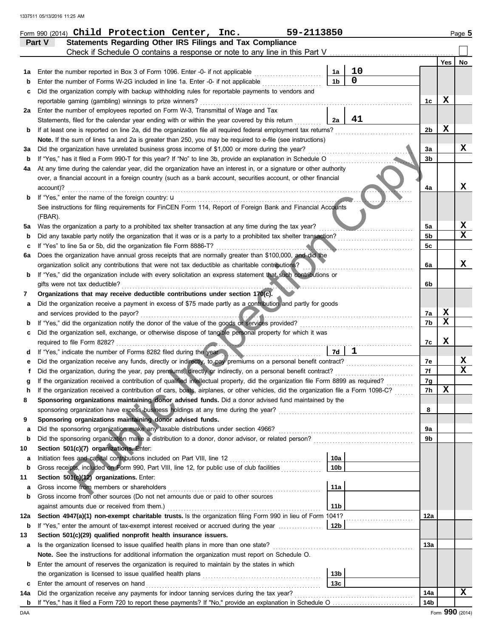|     | 59-2113850<br>Form 990 (2014) Child Protection Center, Inc.                                                                        |                 |                |                      |             | Page 5 |
|-----|------------------------------------------------------------------------------------------------------------------------------------|-----------------|----------------|----------------------|-------------|--------|
|     | Statements Regarding Other IRS Filings and Tax Compliance<br>Part V                                                                |                 |                |                      |             |        |
|     | Check if Schedule O contains a response or note to any line in this Part V                                                         |                 |                |                      |             |        |
|     |                                                                                                                                    |                 |                |                      | Yes         | No     |
| 1a  | Enter the number reported in Box 3 of Form 1096. Enter -0- if not applicable                                                       | 1a              | 10<br>$\Omega$ |                      |             |        |
| b   | Enter the number of Forms W-2G included in line 1a. Enter -0- if not applicable                                                    | 1 <sub>b</sub>  |                |                      |             |        |
| c   | Did the organization comply with backup withholding rules for reportable payments to vendors and                                   |                 |                |                      |             |        |
|     | reportable gaming (gambling) winnings to prize winners?                                                                            |                 |                | 1c                   | х           |        |
| 2a  | Enter the number of employees reported on Form W-3, Transmittal of Wage and Tax                                                    |                 |                |                      |             |        |
|     | Statements, filed for the calendar year ending with or within the year covered by this return                                      | 2a              | 41             |                      | X           |        |
| b   | If at least one is reported on line 2a, did the organization file all required federal employment tax returns?                     |                 |                | 2b                   |             |        |
|     | Note. If the sum of lines 1a and 2a is greater than 250, you may be required to e-file (see instructions)                          |                 |                |                      |             | x      |
| за  | Did the organization have unrelated business gross income of \$1,000 or more during the year?                                      |                 |                | За<br>3 <sub>b</sub> |             |        |
| b   | If "Yes," has it filed a Form 990-T for this year? If "No" to line 3b, provide an explanation in Schedule O                        |                 |                |                      |             |        |
| 4a  | At any time during the calendar year, did the organization have an interest in, or a signature or other authority                  |                 |                |                      |             |        |
|     | over, a financial account in a foreign country (such as a bank account, securities account, or other financial                     |                 |                | 4a                   |             | x      |
|     | account)?<br>If "Yes," enter the name of the foreign country: u                                                                    |                 |                |                      |             |        |
| b   | See instructions for filing requirements for FinCEN Form 114, Report of Foreign Bank and Financial Accounts                        |                 |                |                      |             |        |
|     | (FBAR).                                                                                                                            |                 |                |                      |             |        |
| 5a  | Was the organization a party to a prohibited tax shelter transaction at any time during the tax year?                              |                 |                | 5а                   |             | X      |
|     | Did any taxable party notify the organization that it was or is a party to a prohibited tax shelter transaction?                   |                 |                | 5b                   |             | x      |
|     | If "Yes" to line 5a or 5b, did the organization file Form 8886-T?                                                                  |                 |                | 5c                   |             |        |
| 6a  | Does the organization have annual gross receipts that are normally greater than \$100,000, and did the                             |                 |                |                      |             |        |
|     | organization solicit any contributions that were not tax deductible as charitable contributions?                                   |                 |                | 6a                   |             | x      |
| b   | If "Yes," did the organization include with every solicitation an express statement that such contributions or                     |                 |                |                      |             |        |
|     | gifts were not tax deductible?                                                                                                     |                 |                | 6b                   |             |        |
| 7   | Organizations that may receive deductible contributions under section 170(c).                                                      |                 |                |                      |             |        |
| а   | Did the organization receive a payment in excess of \$75 made partly as a contribution and partly for goods                        |                 |                |                      |             |        |
|     | and services provided to the payor?                                                                                                |                 |                | 7a                   | X           |        |
|     | If "Yes," did the organization notify the donor of the value of the goods or services provided?                                    |                 |                | 7b                   | X           |        |
| c   | Did the organization sell, exchange, or otherwise dispose of tangible personal property for which it was                           |                 |                |                      |             |        |
|     | required to file Form 8282?                                                                                                        |                 |                | 7с                   | х           |        |
| d   | If "Yes," indicate the number of Forms 8282 filed during the year                                                                  | 7d              | 1              |                      |             |        |
|     | Did the organization receive any funds, directly or indirectly, to pay premiums on a personal benefit contract?                    |                 |                | 7e                   |             | X      |
|     | Did the organization, during the year, pay premiums, directly or indirectly, on a personal benefit contract?                       |                 |                | 7f                   |             | x      |
|     | If the organization received a contribution of qualified intellectual property, did the organization file Form 8899 as required?   |                 |                | 7g                   |             |        |
| h   | If the organization received a contribution of cars, boats, airplanes, or other vehicles, did the organization file a Form 1098-C? |                 |                | 7 <sub>h</sub>       | $\mathbf x$ |        |
| 8   | Sponsoring organizations maintaining donor advised funds. Did a donor advised fund maintained by the                               |                 |                |                      |             |        |
|     | sponsoring organization have excess business holdings at any time during the year?                                                 |                 |                | 8                    |             |        |
| 9   | Sponsoring organizations maintaining donor advised funds.                                                                          |                 |                |                      |             |        |
| a   | Did the sponsoring organization make any taxable distributions under section 4966?                                                 |                 |                | 9a                   |             |        |
| b   |                                                                                                                                    |                 |                | 9b                   |             |        |
| 10  | Section 501(c)(7) organizations. Enter:                                                                                            |                 |                |                      |             |        |
| а   |                                                                                                                                    | 10a             |                |                      |             |        |
| b   | Gross receipts, included on Form 990, Part VIII, line 12, for public use of club facilities                                        | 10 <sub>b</sub> |                |                      |             |        |
| 11  | Section 501(c)(12) organizations. Enter:                                                                                           |                 |                |                      |             |        |
| a   | Gross income from members or shareholders                                                                                          | 11a             |                |                      |             |        |
| b   | Gross income from other sources (Do not net amounts due or paid to other sources                                                   |                 |                |                      |             |        |
|     | against amounts due or received from them.)                                                                                        | 11 <sub>b</sub> |                |                      |             |        |
| 12a | Section 4947(a)(1) non-exempt charitable trusts. Is the organization filing Form 990 in lieu of Form 1041?                         |                 |                | 12a                  |             |        |
| b   | If "Yes," enter the amount of tax-exempt interest received or accrued during the year <i>manuform</i>                              | 12 <sub>b</sub> |                |                      |             |        |
| 13  | Section 501(c)(29) qualified nonprofit health insurance issuers.                                                                   |                 |                |                      |             |        |
| а   | Is the organization licensed to issue qualified health plans in more than one state?                                               |                 |                | 13а                  |             |        |
|     | Note. See the instructions for additional information the organization must report on Schedule O.                                  |                 |                |                      |             |        |
| b   | Enter the amount of reserves the organization is required to maintain by the states in which                                       |                 |                |                      |             |        |
|     |                                                                                                                                    | 13b             |                |                      |             |        |
| c   | Enter the amount of reserves on hand                                                                                               | 13c             |                | 14a                  |             | x      |
| 14a | Did the organization receive any payments for indoor tanning services during the tax year?                                         |                 |                | 14 <sub>b</sub>      |             |        |
| b   |                                                                                                                                    |                 |                |                      |             |        |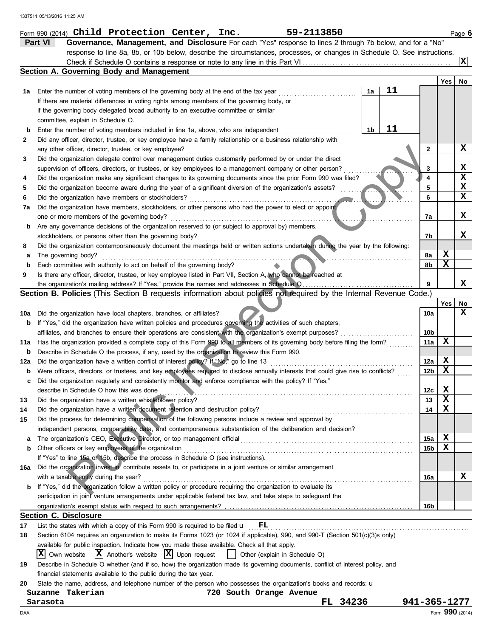|        | 59-2113850<br>Form 990 (2014) $Child$ Protection Center, Inc.                                                                                                                                                                  |              |                 | Page 6 |
|--------|--------------------------------------------------------------------------------------------------------------------------------------------------------------------------------------------------------------------------------|--------------|-----------------|--------|
|        | Governance, Management, and Disclosure For each "Yes" response to lines 2 through 7b below, and for a "No"<br><b>Part VI</b>                                                                                                   |              |                 |        |
|        | response to line 8a, 8b, or 10b below, describe the circumstances, processes, or changes in Schedule O. See instructions.                                                                                                      |              |                 |        |
|        | Check if Schedule O contains a response or note to any line in this Part VI.                                                                                                                                                   |              |                 | ΙX     |
|        | Section A. Governing Body and Management                                                                                                                                                                                       |              |                 |        |
|        |                                                                                                                                                                                                                                |              | Yes             | No     |
| 1а     | 11<br>1a<br>Enter the number of voting members of the governing body at the end of the tax year                                                                                                                                |              |                 |        |
|        | If there are material differences in voting rights among members of the governing body, or                                                                                                                                     |              |                 |        |
|        | if the governing body delegated broad authority to an executive committee or similar                                                                                                                                           |              |                 |        |
|        | committee, explain in Schedule O.                                                                                                                                                                                              |              |                 |        |
| b      | 11<br>1b<br>Enter the number of voting members included in line 1a, above, who are independent                                                                                                                                 |              |                 |        |
| 2      | Did any officer, director, trustee, or key employee have a family relationship or a business relationship with                                                                                                                 |              |                 |        |
|        | any other officer, director, trustee, or key employee?                                                                                                                                                                         | 2            |                 | X      |
| 3      | Did the organization delegate control over management duties customarily performed by or under the direct                                                                                                                      |              |                 | X      |
| 4      | supervision of officers, directors, or trustees, or key employees to a management company or other person?<br>Did the organization make any significant changes to its governing documents since the prior Form 990 was filed? | 3<br>4       |                 | X      |
| 5      | Did the organization become aware during the year of a significant diversion of the organization's assets?                                                                                                                     | 5            |                 | X      |
| 6      | Did the organization have members or stockholders?                                                                                                                                                                             | 6            |                 | x      |
| 7a     | Did the organization have members, stockholders, or other persons who had the power to elect or appoint                                                                                                                        |              |                 |        |
|        | one or more members of the governing body?                                                                                                                                                                                     | 7а           |                 | x      |
| b      | Are any governance decisions of the organization reserved to (or subject to approval by) members,                                                                                                                              |              |                 |        |
|        | stockholders, or persons other than the governing body?                                                                                                                                                                        | 7b           |                 | x      |
| 8      | Did the organization contemporaneously document the meetings held or written actions undertaken during the year by the following:                                                                                              |              |                 |        |
| а      | The governing body?                                                                                                                                                                                                            | 8a           | X               |        |
| b      | Each committee with authority to act on behalf of the governing body?                                                                                                                                                          | 8b           | x               |        |
| 9      | Is there any officer, director, trustee, or key employee listed in Part VII, Section A, who cannot be reached at                                                                                                               |              |                 |        |
|        | the organization's mailing address? If "Yes," provide the names and addresses in Schedule O                                                                                                                                    | 9            |                 | x      |
|        | Section B. Policies (This Section B requests information about policies not required by the Internal Revenue Code.)                                                                                                            |              |                 |        |
|        |                                                                                                                                                                                                                                |              | Yes             | No     |
| 10a    | Did the organization have local chapters, branches, or affiliates?                                                                                                                                                             | 10a          |                 | X      |
| b      | If "Yes," did the organization have written policies and procedures governing the activities of such chapters,                                                                                                                 |              |                 |        |
|        | affiliates, and branches to ensure their operations are consistent with the organization's exempt purposes?                                                                                                                    | 10b          |                 |        |
| 11a    | Has the organization provided a complete copy of this Form 990 to all members of its governing body before filing the form?                                                                                                    | 11a          | х               |        |
| b      | Describe in Schedule O the process, if any, used by the organization to review this Form 990.                                                                                                                                  |              |                 |        |
| 12a    | Did the organization have a written conflict of interest policy? If "No," go to line 13                                                                                                                                        | 12a          | X               |        |
| b      | Were officers, directors, or trustees, and key employees required to disclose annually interests that could give rise to conflicts?                                                                                            | 12b          | X               |        |
| c      | Did the organization regularly and consistently monitor and enforce compliance with the policy? If "Yes,"                                                                                                                      |              |                 |        |
|        | describe in Schedule O how this was done                                                                                                                                                                                       | 12c          | X               |        |
| 13     | Did the organization have a written whistleblower policy?                                                                                                                                                                      | 13           | X               |        |
| 14     | Did the organization have a written document retention and destruction policy?                                                                                                                                                 | 14           | x               |        |
| 15     | Did the process for determining compensation of the following persons include a review and approval by                                                                                                                         |              |                 |        |
|        | independent persons, comparability data, and contemporaneous substantiation of the deliberation and decision?                                                                                                                  | 15a          | X               |        |
| a<br>b | Other officers or key employees of the organization                                                                                                                                                                            | 15b          | х               |        |
|        | If "Yes" to line 15a or 15b, describe the process in Schedule O (see instructions).                                                                                                                                            |              |                 |        |
| 16a    | Did the organization invest in, contribute assets to, or participate in a joint venture or similar arrangement                                                                                                                 |              |                 |        |
|        | with a taxable entity during the year?                                                                                                                                                                                         | 16a          |                 | x      |
| b      | If "Yes," did the organization follow a written policy or procedure requiring the organization to evaluate its                                                                                                                 |              |                 |        |
|        | participation in joint venture arrangements under applicable federal tax law, and take steps to safeguard the                                                                                                                  |              |                 |        |
|        |                                                                                                                                                                                                                                | 16b          |                 |        |
|        | <b>Section C. Disclosure</b>                                                                                                                                                                                                   |              |                 |        |
| 17     | List the states with which a copy of this Form 990 is required to be filed $\mathbf u$<br>FL                                                                                                                                   |              |                 |        |
| 18     | Section 6104 requires an organization to make its Forms 1023 (or 1024 if applicable), 990, and 990-T (Section 501(c)(3)s only)                                                                                                 |              |                 |        |
|        | available for public inspection. Indicate how you made these available. Check all that apply.                                                                                                                                  |              |                 |        |
|        | $ \mathbf{X} $ Another's website $ \mathbf{X} $ Upon request<br> X <br>Own website<br>Other (explain in Schedule O)                                                                                                            |              |                 |        |
| 19     | Describe in Schedule O whether (and if so, how) the organization made its governing documents, conflict of interest policy, and                                                                                                |              |                 |        |
|        | financial statements available to the public during the tax year.                                                                                                                                                              |              |                 |        |
| 20     | State the name, address, and telephone number of the person who possesses the organization's books and records: u                                                                                                              |              |                 |        |
|        | Suzanne Takerian<br>720 South Orange Avenue                                                                                                                                                                                    |              |                 |        |
|        | FL 34236<br>Sarasota                                                                                                                                                                                                           | 941-365-1277 |                 |        |
| DAA    |                                                                                                                                                                                                                                |              | Form 990 (2014) |        |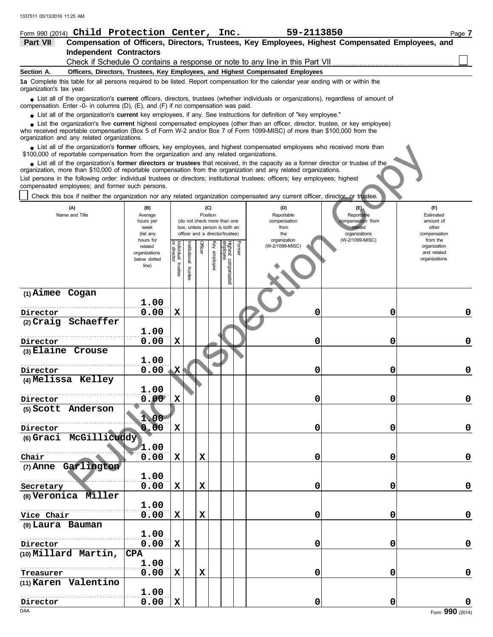| Form 990 (2014) Child Protection Center, Inc.                                                                                                                                                                                                           |                       |                                   |              |             |              |                                                              |        | 59-2113850                                                                      |                                                                                                  | Page 7                   |  |  |  |
|---------------------------------------------------------------------------------------------------------------------------------------------------------------------------------------------------------------------------------------------------------|-----------------------|-----------------------------------|--------------|-------------|--------------|--------------------------------------------------------------|--------|---------------------------------------------------------------------------------|--------------------------------------------------------------------------------------------------|--------------------------|--|--|--|
| Part VII                                                                                                                                                                                                                                                |                       |                                   |              |             |              |                                                              |        |                                                                                 | Compensation of Officers, Directors, Trustees, Key Employees, Highest Compensated Employees, and |                          |  |  |  |
| <b>Independent Contractors</b>                                                                                                                                                                                                                          |                       |                                   |              |             |              |                                                              |        |                                                                                 |                                                                                                  |                          |  |  |  |
|                                                                                                                                                                                                                                                         |                       |                                   |              |             |              |                                                              |        | Check if Schedule O contains a response or note to any line in this Part VII    |                                                                                                  |                          |  |  |  |
| Section A.                                                                                                                                                                                                                                              |                       |                                   |              |             |              |                                                              |        | Officers, Directors, Trustees, Key Employees, and Highest Compensated Employees |                                                                                                  |                          |  |  |  |
| 1a Complete this table for all persons required to be listed. Report compensation for the calendar year ending with or within the<br>organization's tax year.                                                                                           |                       |                                   |              |             |              |                                                              |        |                                                                                 |                                                                                                  |                          |  |  |  |
| List all of the organization's current officers, directors, trustees (whether individuals or organizations), regardless of amount of                                                                                                                    |                       |                                   |              |             |              |                                                              |        |                                                                                 |                                                                                                  |                          |  |  |  |
| compensation. Enter -0- in columns (D), (E), and (F) if no compensation was paid.<br>• List all of the organization's current key employees, if any. See instructions for definition of "key employee."                                                 |                       |                                   |              |             |              |                                                              |        |                                                                                 |                                                                                                  |                          |  |  |  |
| • List the organization's five current highest compensated employees (other than an officer, director, trustee, or key employee)                                                                                                                        |                       |                                   |              |             |              |                                                              |        |                                                                                 |                                                                                                  |                          |  |  |  |
| who received reportable compensation (Box 5 of Form W-2 and/or Box 7 of Form 1099-MISC) of more than \$100,000 from the<br>organization and any related organizations.                                                                                  |                       |                                   |              |             |              |                                                              |        |                                                                                 |                                                                                                  |                          |  |  |  |
| • List all of the organization's former officers, key employees, and highest compensated employees who received more than                                                                                                                               |                       |                                   |              |             |              |                                                              |        |                                                                                 |                                                                                                  |                          |  |  |  |
| \$100,000 of reportable compensation from the organization and any related organizations.                                                                                                                                                               |                       |                                   |              |             |              |                                                              |        |                                                                                 |                                                                                                  |                          |  |  |  |
| • List all of the organization's former directors or trustees that received, in the capacity as a former director or trustee of the<br>organization, more than \$10,000 of reportable compensation from the organization and any related organizations. |                       |                                   |              |             |              |                                                              |        |                                                                                 |                                                                                                  |                          |  |  |  |
| List persons in the following order: individual trustees or directors; institutional trustees; officers; key employees; highest<br>compensated employees; and former such persons.                                                                      |                       |                                   |              |             |              |                                                              |        |                                                                                 |                                                                                                  |                          |  |  |  |
| Check this box if neither the organization nor any related organization compensated any current officer, director, or trustee.                                                                                                                          |                       |                                   |              |             |              |                                                              |        |                                                                                 |                                                                                                  |                          |  |  |  |
| (A)                                                                                                                                                                                                                                                     | (B)                   |                                   |              |             | (C)          |                                                              |        | (D)                                                                             | (E).                                                                                             | (F)                      |  |  |  |
| Name and Title                                                                                                                                                                                                                                          | Average               |                                   |              | Position    |              |                                                              |        | Reportable                                                                      | Reportable                                                                                       | Estimated                |  |  |  |
|                                                                                                                                                                                                                                                         | hours per<br>week     |                                   |              |             |              | (do not check more than one<br>box, unless person is both an |        | compensation<br>from                                                            | compensation from<br>related                                                                     | amount of<br>other       |  |  |  |
|                                                                                                                                                                                                                                                         | (list any             |                                   |              |             |              | officer and a director/trustee)                              |        | the                                                                             | organizations                                                                                    | compensation             |  |  |  |
|                                                                                                                                                                                                                                                         | hours for<br>related  |                                   |              | Officer     |              |                                                              |        | organization<br>(W-2/1099-MISC)                                                 | (W-2/1099-MISC)                                                                                  | from the<br>organization |  |  |  |
|                                                                                                                                                                                                                                                         | organizations         |                                   | nstitutional |             |              |                                                              | Former |                                                                                 |                                                                                                  | and related              |  |  |  |
|                                                                                                                                                                                                                                                         | below dotted<br>line) | Individual trustee<br>or director |              |             | Key employee | Highest compensated<br>employee                              |        |                                                                                 |                                                                                                  | organizations            |  |  |  |
|                                                                                                                                                                                                                                                         |                       |                                   | trustee      |             |              |                                                              |        |                                                                                 |                                                                                                  |                          |  |  |  |
|                                                                                                                                                                                                                                                         |                       |                                   |              |             |              |                                                              |        |                                                                                 |                                                                                                  |                          |  |  |  |
| $(1)$ Aimee Cogan                                                                                                                                                                                                                                       |                       |                                   |              |             |              |                                                              |        |                                                                                 |                                                                                                  |                          |  |  |  |
|                                                                                                                                                                                                                                                         | 1.00                  |                                   |              |             |              |                                                              |        |                                                                                 |                                                                                                  |                          |  |  |  |
| Director                                                                                                                                                                                                                                                | 0.00                  | $\mathbf x$                       |              |             |              |                                                              |        | 0                                                                               | 0                                                                                                | 0                        |  |  |  |
| Schaeffer<br>$(2)$ Craig                                                                                                                                                                                                                                |                       |                                   |              |             |              |                                                              |        |                                                                                 |                                                                                                  |                          |  |  |  |
|                                                                                                                                                                                                                                                         | 1.00                  |                                   |              |             |              |                                                              |        |                                                                                 |                                                                                                  |                          |  |  |  |
| Director                                                                                                                                                                                                                                                | 0.00                  | X                                 |              |             |              |                                                              |        | 0                                                                               | 0                                                                                                | 0                        |  |  |  |
| (3) Elaine Crouse                                                                                                                                                                                                                                       |                       |                                   |              |             |              |                                                              |        |                                                                                 |                                                                                                  |                          |  |  |  |
|                                                                                                                                                                                                                                                         | 1.00                  |                                   |              |             |              |                                                              |        |                                                                                 |                                                                                                  |                          |  |  |  |
| Director                                                                                                                                                                                                                                                | 0.00                  | $\mathbf x$                       |              |             |              |                                                              |        | 0                                                                               | 0                                                                                                | 0                        |  |  |  |
| (4) Melissa Kelley                                                                                                                                                                                                                                      |                       |                                   |              |             |              |                                                              |        |                                                                                 |                                                                                                  |                          |  |  |  |
|                                                                                                                                                                                                                                                         | 1.00                  |                                   |              |             |              |                                                              |        |                                                                                 |                                                                                                  |                          |  |  |  |
| Director                                                                                                                                                                                                                                                | 0.00                  | $\mathbf X$                       |              |             |              |                                                              |        | 0                                                                               | 0                                                                                                | $\mathbf 0$              |  |  |  |
| (5) Scott Anderson                                                                                                                                                                                                                                      |                       |                                   |              |             |              |                                                              |        |                                                                                 |                                                                                                  |                          |  |  |  |
|                                                                                                                                                                                                                                                         | 1.00<br>0.00          | $\mathbf x$                       |              |             |              |                                                              |        |                                                                                 |                                                                                                  |                          |  |  |  |
| Director<br>(6) Graci McGillicuddy                                                                                                                                                                                                                      |                       |                                   |              |             |              |                                                              |        | 0                                                                               | 0                                                                                                | $\pmb{0}$                |  |  |  |
|                                                                                                                                                                                                                                                         | 1.00                  |                                   |              |             |              |                                                              |        |                                                                                 |                                                                                                  |                          |  |  |  |
| Chair                                                                                                                                                                                                                                                   | 0.00                  | X                                 |              | X           |              |                                                              |        | 0                                                                               | 0                                                                                                | $\pmb{0}$                |  |  |  |
| (7) Anne Garlington                                                                                                                                                                                                                                     |                       |                                   |              |             |              |                                                              |        |                                                                                 |                                                                                                  |                          |  |  |  |
|                                                                                                                                                                                                                                                         | 1.00                  |                                   |              |             |              |                                                              |        |                                                                                 |                                                                                                  |                          |  |  |  |
| Secretary                                                                                                                                                                                                                                               | 0.00                  | $\mathbf X$                       |              | X           |              |                                                              |        | 0                                                                               | 0                                                                                                | $\pmb{0}$                |  |  |  |
| (8) Veronica Miller                                                                                                                                                                                                                                     |                       |                                   |              |             |              |                                                              |        |                                                                                 |                                                                                                  |                          |  |  |  |
|                                                                                                                                                                                                                                                         | 1.00                  |                                   |              |             |              |                                                              |        |                                                                                 |                                                                                                  |                          |  |  |  |
| Vice Chair                                                                                                                                                                                                                                              | 0.00                  | X                                 |              | $\mathbf x$ |              |                                                              |        | 0                                                                               | 0                                                                                                | $\pmb{0}$                |  |  |  |
| (9) Laura Bauman                                                                                                                                                                                                                                        |                       |                                   |              |             |              |                                                              |        |                                                                                 |                                                                                                  |                          |  |  |  |
|                                                                                                                                                                                                                                                         | 1.00                  |                                   |              |             |              |                                                              |        |                                                                                 |                                                                                                  |                          |  |  |  |
| Director                                                                                                                                                                                                                                                | 0.00                  | $\mathbf x$                       |              |             |              |                                                              |        | 0                                                                               | 0                                                                                                | $\pmb{0}$                |  |  |  |
| (10) Millard Martin,                                                                                                                                                                                                                                    | <b>CPA</b>            |                                   |              |             |              |                                                              |        |                                                                                 |                                                                                                  |                          |  |  |  |
|                                                                                                                                                                                                                                                         | 1.00                  |                                   |              |             |              |                                                              |        |                                                                                 |                                                                                                  |                          |  |  |  |
| Treasurer                                                                                                                                                                                                                                               | 0.00                  | X                                 |              | X           |              |                                                              |        | 0                                                                               | 0                                                                                                | $\pmb{0}$                |  |  |  |
| (11) Karen Valentino                                                                                                                                                                                                                                    |                       |                                   |              |             |              |                                                              |        |                                                                                 |                                                                                                  |                          |  |  |  |
|                                                                                                                                                                                                                                                         | 1.00                  |                                   |              |             |              |                                                              |        |                                                                                 |                                                                                                  |                          |  |  |  |
| Director                                                                                                                                                                                                                                                | 0.00                  | $\mathbf x$                       |              |             |              |                                                              |        | 0                                                                               | 0                                                                                                | 0                        |  |  |  |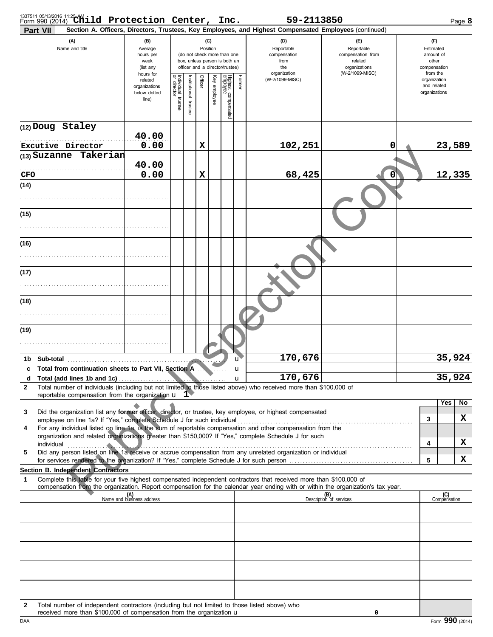| 1337511 05/13/2016 11:25 AM<br>Form 990 (2014) Child Protection Center, Inc.                                                                                                                                              |                                                               |                                   |                         |                 |              |                                                                                                 |                   | 59-2113850                                                                                             |                                                                                       |                                                                    | Page 8 |
|---------------------------------------------------------------------------------------------------------------------------------------------------------------------------------------------------------------------------|---------------------------------------------------------------|-----------------------------------|-------------------------|-----------------|--------------|-------------------------------------------------------------------------------------------------|-------------------|--------------------------------------------------------------------------------------------------------|---------------------------------------------------------------------------------------|--------------------------------------------------------------------|--------|
| Part VII                                                                                                                                                                                                                  |                                                               |                                   |                         |                 |              |                                                                                                 |                   | Section A. Officers, Directors, Trustees, Key Employees, and Highest Compensated Employees (continued) |                                                                                       |                                                                    |        |
| (A)<br>Name and title                                                                                                                                                                                                     | (B)<br>Average<br>hours per<br>week<br>(list any<br>hours for |                                   |                         | (C)<br>Position |              | (do not check more than one<br>box, unless person is both an<br>officer and a director/trustee) |                   | (D)<br>Reportable<br>compensation<br>from<br>the<br>organization                                       | (F)<br>Reportable<br>compensation from<br>related<br>organizations<br>(W-2/1099-MISC) | (F)<br>Estimated<br>amount of<br>other<br>compensation<br>from the |        |
|                                                                                                                                                                                                                           | related<br>organizations<br>below dotted<br>line)             | Individual trustee<br>or director | nstitutional<br>trustee | Officer         | Key employee | Highest compensated<br>employee                                                                 | Former            | (W-2/1099-MISC)                                                                                        |                                                                                       | organization<br>and related<br>organizations                       |        |
| (12) Doug Staley                                                                                                                                                                                                          | 40.00                                                         |                                   |                         |                 |              |                                                                                                 |                   |                                                                                                        |                                                                                       |                                                                    |        |
| Excutive Director                                                                                                                                                                                                         | 0.00                                                          |                                   |                         | X               |              |                                                                                                 |                   | 102,251                                                                                                | 0                                                                                     |                                                                    | 23,589 |
| (13) Suzanne Takerian                                                                                                                                                                                                     |                                                               |                                   |                         |                 |              |                                                                                                 |                   |                                                                                                        |                                                                                       |                                                                    |        |
| CFO                                                                                                                                                                                                                       | 40.00<br>0.00                                                 |                                   |                         | X               |              |                                                                                                 |                   | 68,425                                                                                                 | 0                                                                                     |                                                                    | 12,335 |
| (14)                                                                                                                                                                                                                      |                                                               |                                   |                         |                 |              |                                                                                                 |                   |                                                                                                        |                                                                                       |                                                                    |        |
| (15)                                                                                                                                                                                                                      |                                                               |                                   |                         |                 |              |                                                                                                 |                   |                                                                                                        |                                                                                       |                                                                    |        |
|                                                                                                                                                                                                                           |                                                               |                                   |                         |                 |              |                                                                                                 |                   |                                                                                                        |                                                                                       |                                                                    |        |
| (16)                                                                                                                                                                                                                      |                                                               |                                   |                         |                 |              |                                                                                                 |                   |                                                                                                        |                                                                                       |                                                                    |        |
|                                                                                                                                                                                                                           |                                                               |                                   |                         |                 |              |                                                                                                 |                   |                                                                                                        |                                                                                       |                                                                    |        |
| (17)                                                                                                                                                                                                                      |                                                               |                                   |                         |                 |              |                                                                                                 |                   |                                                                                                        |                                                                                       |                                                                    |        |
| (18)                                                                                                                                                                                                                      |                                                               |                                   |                         |                 |              |                                                                                                 |                   |                                                                                                        |                                                                                       |                                                                    |        |
| (19)                                                                                                                                                                                                                      |                                                               |                                   |                         |                 |              |                                                                                                 |                   |                                                                                                        |                                                                                       |                                                                    |        |
|                                                                                                                                                                                                                           |                                                               |                                   |                         |                 |              |                                                                                                 |                   |                                                                                                        |                                                                                       |                                                                    |        |
| Sub-total<br>1b.<br>Total from continuation sheets to Part VII, Section A<br>c                                                                                                                                            |                                                               |                                   |                         |                 |              |                                                                                                 | $\mathbf{u}$<br>u | 170,676                                                                                                |                                                                                       |                                                                    | 35,924 |
| d                                                                                                                                                                                                                         |                                                               |                                   |                         |                 |              |                                                                                                 | $\mathbf{u}$      | 170,676                                                                                                |                                                                                       |                                                                    | 35,924 |
| Total number of individuals (including but not limited to those listed above) who received more than \$100,000 of<br>$\mathbf{2}$<br>reportable compensation from the organization $\mathbf{u} \cdot \mathbf{1}$          |                                                               |                                   |                         |                 |              |                                                                                                 |                   |                                                                                                        |                                                                                       |                                                                    |        |
|                                                                                                                                                                                                                           |                                                               |                                   |                         |                 |              |                                                                                                 |                   |                                                                                                        |                                                                                       | Yes                                                                | No     |
| Did the organization list any former officer, director, or trustee, key employee, or highest compensated<br>3                                                                                                             |                                                               |                                   |                         |                 |              |                                                                                                 |                   |                                                                                                        |                                                                                       | 3                                                                  | X.     |
| For any individual listed on line 1a, is the sum of reportable compensation and other compensation from the<br>4<br>organization and related organizations greater than \$150,000? If "Yes," complete Schedule J for such |                                                               |                                   |                         |                 |              |                                                                                                 |                   |                                                                                                        |                                                                                       |                                                                    |        |
| Did any person listed on line 1a receive or accrue compensation from any unrelated organization or individual<br>5                                                                                                        |                                                               |                                   |                         |                 |              |                                                                                                 |                   |                                                                                                        |                                                                                       | 4                                                                  | X      |
|                                                                                                                                                                                                                           |                                                               |                                   |                         |                 |              |                                                                                                 |                   |                                                                                                        |                                                                                       | 5                                                                  | X      |
| <b>Section B. Independent Contractors</b><br>Complete this table for your five highest compensated independent contractors that received more than \$100,000 of<br>1                                                      |                                                               |                                   |                         |                 |              |                                                                                                 |                   |                                                                                                        |                                                                                       |                                                                    |        |
| compensation from the organization. Report compensation for the calendar year ending with or within the organization's tax year.                                                                                          | (A)<br>Name and business address                              |                                   |                         |                 |              |                                                                                                 |                   |                                                                                                        | (B)<br>Description of services                                                        | (C)<br>Compensation                                                |        |
|                                                                                                                                                                                                                           |                                                               |                                   |                         |                 |              |                                                                                                 |                   |                                                                                                        |                                                                                       |                                                                    |        |
|                                                                                                                                                                                                                           |                                                               |                                   |                         |                 |              |                                                                                                 |                   |                                                                                                        |                                                                                       |                                                                    |        |
|                                                                                                                                                                                                                           |                                                               |                                   |                         |                 |              |                                                                                                 |                   |                                                                                                        |                                                                                       |                                                                    |        |
|                                                                                                                                                                                                                           |                                                               |                                   |                         |                 |              |                                                                                                 |                   |                                                                                                        |                                                                                       |                                                                    |        |
|                                                                                                                                                                                                                           |                                                               |                                   |                         |                 |              |                                                                                                 |                   |                                                                                                        |                                                                                       |                                                                    |        |
| Total number of independent contractors (including but not limited to those listed above) who<br>2<br>received more than \$100,000 of compensation from the organization $\mathbf u$                                      |                                                               |                                   |                         |                 |              |                                                                                                 |                   |                                                                                                        | 0                                                                                     |                                                                    |        |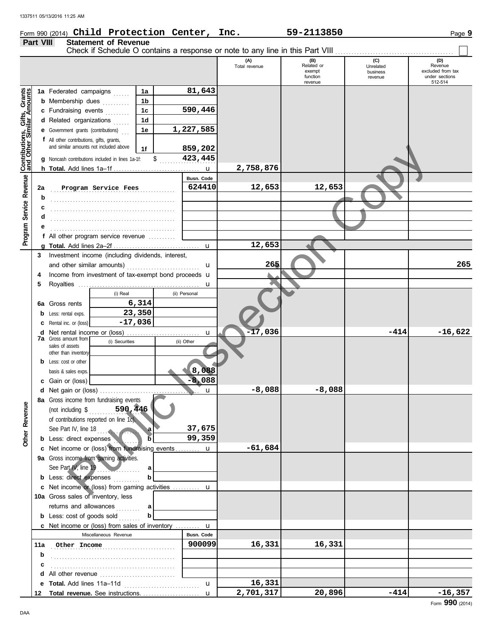|                              |           | Form 990 (2014) Child Protection Center, Inc.                                       |                |                |                      |                      | 59-2113850                                         |                                         | Page 9                                                           |
|------------------------------|-----------|-------------------------------------------------------------------------------------|----------------|----------------|----------------------|----------------------|----------------------------------------------------|-----------------------------------------|------------------------------------------------------------------|
|                              | Part VIII | <b>Statement of Revenue</b>                                                         |                |                |                      |                      |                                                    |                                         |                                                                  |
|                              |           |                                                                                     |                |                |                      |                      |                                                    |                                         |                                                                  |
|                              |           |                                                                                     |                |                |                      | (A)<br>Total revenue | (B)<br>Related or<br>exempt<br>function<br>revenue | (C)<br>Unrelated<br>business<br>revenue | (D)<br>Revenue<br>excluded from tax<br>under sections<br>512-514 |
|                              |           | 1a Federated campaigns                                                              |                | 1a             | 81,643               |                      |                                                    |                                         |                                                                  |
| Contributions, Gifts, Grants |           | <b>b</b> Membership dues                                                            |                | 1 <sub>b</sub> |                      |                      |                                                    |                                         |                                                                  |
|                              |           | c Fundraising events                                                                |                | 1 <sub>c</sub> | 590,446              |                      |                                                    |                                         |                                                                  |
|                              |           | d Related organizations                                                             |                | 1 <sub>d</sub> |                      |                      |                                                    |                                         |                                                                  |
|                              |           | <b>e</b> Government grants (contributions)                                          |                | 1e             | 1,227,585            |                      |                                                    |                                         |                                                                  |
|                              |           | f All other contributions, gifts, grants,                                           |                |                |                      |                      |                                                    |                                         |                                                                  |
|                              |           | and similar amounts not included above                                              |                | 1f             | 859,202              |                      |                                                    |                                         |                                                                  |
|                              |           | Noncash contributions included in lines 1a-1f:                                      |                |                | \$<br>423,445        |                      |                                                    |                                         |                                                                  |
|                              |           |                                                                                     |                |                |                      | 2,758,876            |                                                    |                                         |                                                                  |
|                              |           |                                                                                     |                |                | u                    |                      |                                                    |                                         |                                                                  |
|                              |           |                                                                                     |                |                | Busn. Code<br>624410 | 12,653               | 12,653                                             |                                         |                                                                  |
| Service Revenue              | 2a<br>b   | Program Service Fees                                                                |                |                |                      |                      |                                                    |                                         |                                                                  |
|                              |           |                                                                                     |                |                |                      |                      |                                                    |                                         |                                                                  |
|                              | c         |                                                                                     |                |                |                      |                      |                                                    |                                         |                                                                  |
|                              | d         |                                                                                     |                |                |                      |                      |                                                    |                                         |                                                                  |
|                              |           | f All other program service revenue                                                 |                |                |                      |                      |                                                    |                                         |                                                                  |
| Program                      |           |                                                                                     |                |                |                      | 12,653               |                                                    |                                         |                                                                  |
|                              | 3         | Investment income (including dividends, interest,                                   |                |                |                      |                      |                                                    |                                         |                                                                  |
|                              |           | and other similar amounts)                                                          |                |                | u                    | 265                  |                                                    |                                         | 265                                                              |
|                              | 4         | Income from investment of tax-exempt bond proceeds <b>u</b>                         |                |                |                      |                      |                                                    |                                         |                                                                  |
|                              | 5         |                                                                                     |                |                | u                    |                      |                                                    |                                         |                                                                  |
|                              |           |                                                                                     | (i) Real       |                | (ii) Personal        |                      |                                                    |                                         |                                                                  |
|                              | 6a        | Gross rents                                                                         |                | 6,314          |                      |                      |                                                    |                                         |                                                                  |
|                              | b         | Less: rental exps.                                                                  |                | 23,350         |                      |                      |                                                    |                                         |                                                                  |
|                              |           | Rental inc. or (loss)                                                               | $-17,036$      |                |                      |                      |                                                    |                                         |                                                                  |
|                              |           |                                                                                     |                |                | u                    | $-17,036$            |                                                    | $-414$                                  | $-16,622$                                                        |
|                              |           | <b>7a</b> Gross amount from                                                         | (i) Securities |                | (ii) Other           |                      |                                                    |                                         |                                                                  |
|                              |           | sales of assets<br>other than inventory                                             |                |                |                      |                      |                                                    |                                         |                                                                  |
|                              |           | <b>b</b> Less: cost or other                                                        |                |                |                      |                      |                                                    |                                         |                                                                  |
|                              |           | basis & sales exps.                                                                 |                |                | 8,088                |                      |                                                    |                                         |                                                                  |
|                              |           | c Gain or (loss)                                                                    |                |                | $-8,088$             |                      |                                                    |                                         |                                                                  |
|                              |           | d Net gain or (loss)                                                                |                |                | <u>.</u><br>u        | $-8,088$             | $-8,088$                                           |                                         |                                                                  |
|                              |           | 8a Gross income from fundraising events                                             |                |                |                      |                      |                                                    |                                         |                                                                  |
|                              |           | (not including \$                                                                   | 590,446        |                |                      |                      |                                                    |                                         |                                                                  |
|                              |           | of contributions reported on line 1c).                                              |                |                |                      |                      |                                                    |                                         |                                                                  |
| Other Revenue                |           | See Part IV, line 18                                                                |                | ۱a             | 37,675               |                      |                                                    |                                         |                                                                  |
|                              |           | <b>b</b> Less: direct expenses<br>c Net income or (loss) from fundraising events  u |                |                | 99,359               | $-61,684$            |                                                    |                                         |                                                                  |
|                              |           | 9a Gross income from gaming activities.                                             |                |                |                      |                      |                                                    |                                         |                                                                  |
|                              |           | See Part IV, line 19                                                                |                | a              |                      |                      |                                                    |                                         |                                                                  |
|                              |           | <b>b</b> Less: direct expenses                                                      |                | $\mathbf b$    |                      |                      |                                                    |                                         |                                                                  |
|                              |           | c Net income or (loss) from gaming activities  u                                    |                |                |                      |                      |                                                    |                                         |                                                                  |
|                              |           | 10a Gross sales of inventory, less                                                  |                |                |                      |                      |                                                    |                                         |                                                                  |
|                              |           | returns and allowances                                                              | $\mathbf{1}$   | a              |                      |                      |                                                    |                                         |                                                                  |
|                              |           | <b>b</b> Less: cost of goods sold                                                   |                | $\mathbf b$    |                      |                      |                                                    |                                         |                                                                  |
|                              |           | <b>c</b> Net income or (loss) from sales of inventory $\dots \dots$ $\mathbf{u}$    |                |                |                      |                      |                                                    |                                         |                                                                  |
|                              |           | Miscellaneous Revenue                                                               |                |                | Busn. Code           |                      |                                                    |                                         |                                                                  |
|                              | 11a       | Other Income                                                                        |                |                | 900099               | 16,331               | 16,331                                             |                                         |                                                                  |
|                              | b         |                                                                                     |                |                |                      |                      |                                                    |                                         |                                                                  |
|                              |           |                                                                                     |                |                |                      |                      |                                                    |                                         |                                                                  |
|                              |           |                                                                                     |                |                |                      |                      |                                                    |                                         |                                                                  |
|                              |           | e Total. Add lines 11a-11d                                                          |                |                | $\mathbf u$          | 16,331               |                                                    |                                         |                                                                  |

 $\mathbf{u}$ 

**Total revenue.** See instructions. . . . . . . . . . . . . . . . . . . . . . **12**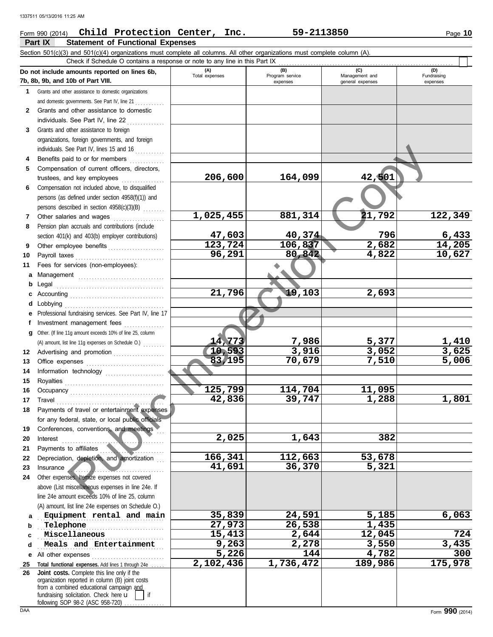## Form 990 (2014) Page **10 Child Protection Center, Inc. 59-2113850**

|                  | Part IX<br><b>Statement of Functional Expenses</b>                                                                         |                       |                        |                       |                        |
|------------------|----------------------------------------------------------------------------------------------------------------------------|-----------------------|------------------------|-----------------------|------------------------|
|                  | Section 501(c)(3) and 501(c)(4) organizations must complete all columns. All other organizations must complete column (A). |                       |                        |                       |                        |
|                  | Check if Schedule O contains a response or note to any line in this Part IX                                                |                       |                        |                       |                        |
|                  | Do not include amounts reported on lines 6b,                                                                               | (A)<br>Total expenses | (B)<br>Program service | (C)<br>Management and | (D)<br>Fundraising     |
|                  | 7b, 8b, 9b, and 10b of Part VIII.                                                                                          |                       | expenses               | general expenses      | expenses               |
| 1.               | Grants and other assistance to domestic organizations                                                                      |                       |                        |                       |                        |
|                  | and domestic governments. See Part IV, line 21                                                                             |                       |                        |                       |                        |
| 2                | Grants and other assistance to domestic                                                                                    |                       |                        |                       |                        |
|                  | individuals. See Part IV, line 22                                                                                          |                       |                        |                       |                        |
| 3                | Grants and other assistance to foreign                                                                                     |                       |                        |                       |                        |
|                  | organizations, foreign governments, and foreign                                                                            |                       |                        |                       |                        |
|                  | individuals. See Part IV, lines 15 and 16                                                                                  |                       |                        |                       |                        |
| 4                | Benefits paid to or for members                                                                                            |                       |                        |                       |                        |
| 5                | Compensation of current officers, directors,<br>trustees, and key employees                                                | 206,600               | 164,099                | 42,501                |                        |
| 6                | Compensation not included above, to disqualified                                                                           |                       |                        |                       |                        |
|                  | persons (as defined under section 4958(f)(1)) and                                                                          |                       |                        |                       |                        |
|                  | persons described in section 4958(c)(3)(B)                                                                                 |                       |                        |                       |                        |
| 7                | Other salaries and wages                                                                                                   | 1,025,455             | 881,314                | 21,792                | 122,349                |
| 8                | Pension plan accruals and contributions (include                                                                           |                       |                        |                       |                        |
|                  | section 401(k) and 403(b) employer contributions)                                                                          | 47,603                | 40,374                 | 796                   |                        |
| 9                | Other employee benefits                                                                                                    | 123,724               | 106,837                | 2,682                 | $\frac{6,433}{14,205}$ |
| 10               | Payroll taxes                                                                                                              | 96,291                | 80,842                 | 4,822                 | 10,627                 |
| 11               | Fees for services (non-employees):                                                                                         |                       |                        |                       |                        |
| a                |                                                                                                                            |                       |                        |                       |                        |
| b                | Legal                                                                                                                      |                       |                        |                       |                        |
| c                |                                                                                                                            | 21,796                | 19,103                 | 2,693                 |                        |
| d                | Lobbying                                                                                                                   |                       |                        |                       |                        |
| е                | Professional fundraising services. See Part IV, line 17                                                                    |                       |                        |                       |                        |
| f                | Investment management fees                                                                                                 |                       |                        |                       |                        |
| g                | Other. (If line 11g amount exceeds 10% of line 25, column                                                                  |                       |                        |                       |                        |
|                  |                                                                                                                            | 14,773                | 7,986                  | 5,377                 | $\frac{1,410}{3,625}$  |
| 12               | Advertising and promotion                                                                                                  | 10,593                | 3,916                  | 3,052                 |                        |
| 13               | Office expenses                                                                                                            | 83,195                | 70,679                 | 7,510                 | 5,006                  |
| 14               | Information technology                                                                                                     |                       |                        |                       |                        |
| 15               | Royalties                                                                                                                  |                       |                        |                       |                        |
| 16               | Occupancy                                                                                                                  | 125,799               | 114,704                | 11,095                |                        |
| 17 <sup>17</sup> | Travel                                                                                                                     | 42,836                | 39,747                 | 1,288                 | 1,801                  |
| 18               | Payments of travel or entertainment expenses                                                                               |                       |                        |                       |                        |
|                  | for any federal, state, or local public officials                                                                          |                       |                        |                       |                        |
| 19               | Conferences, conventions, and meetings                                                                                     |                       |                        |                       |                        |
| 20               | Interest                                                                                                                   | 2,025                 | 1,643                  | 382                   |                        |
| 21               | Payments to affiliates                                                                                                     |                       |                        |                       |                        |
| 22               | Depreciation, depletion, and amortization                                                                                  | 166,341               | 112,663                | 53,678                |                        |
| 23               | Insurance                                                                                                                  | 41,691                | 36,370                 | 5,321                 |                        |
| 24               | Other expenses. Itemize expenses not covered                                                                               |                       |                        |                       |                        |
|                  | above (List miscellaneous expenses in line 24e. If                                                                         |                       |                        |                       |                        |
|                  | line 24e amount exceeds 10% of line 25, column                                                                             |                       |                        |                       |                        |
|                  | (A) amount, list line 24e expenses on Schedule O.)                                                                         |                       |                        |                       |                        |
| a                | Equipment rental and main                                                                                                  | 35,839<br>27,973      | 24,591<br>26,538       | 5,185                 | 6,063                  |
| b                | Telephone<br>Miscellaneous                                                                                                 | 15,413                | 2,644                  | 1,435<br>12,045       | 724                    |
| c                | Meals and Entertainment                                                                                                    | 9,263                 | 2,278                  | 3,550                 | 3,435                  |
| d                |                                                                                                                            | 5,226                 | 144                    | 4,782                 | 300                    |
| е                | All other expenses                                                                                                         | 2,102,436             | 1,736,472              | 189,986               | 175,978                |
| 25<br>26         | Total functional expenses. Add lines 1 through 24e<br>Joint costs. Complete this line only if the                          |                       |                        |                       |                        |
|                  | organization reported in column (B) joint costs                                                                            |                       |                        |                       |                        |
|                  | from a combined educational campaign and<br>fundraising solicitation. Check here u                                         |                       |                        |                       |                        |
|                  |                                                                                                                            |                       |                        |                       |                        |

following SOP 98-2 (ASC 958-720) . . . . . . . . . . . . . . .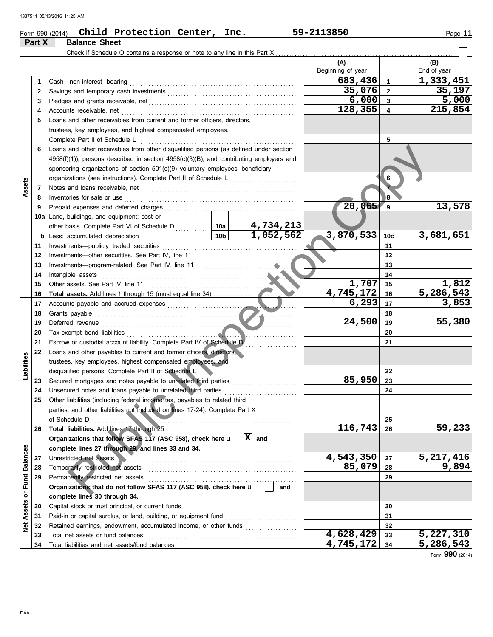### Form 990 (2014) Page **11 Child Protection Center, Inc. 59-2113850**

|                 | Part X | <b>Balance Sheet</b>                                                                          |                 |                               |                        |                |              |
|-----------------|--------|-----------------------------------------------------------------------------------------------|-----------------|-------------------------------|------------------------|----------------|--------------|
|                 |        | Check if Schedule O contains a response or note to any line in this Part X                    |                 |                               |                        |                |              |
|                 |        |                                                                                               |                 |                               | (A)                    |                | (B)          |
|                 |        |                                                                                               |                 |                               | Beginning of year      |                | End of year  |
|                 | 1.     | Cash-non-interest bearing                                                                     |                 |                               | 683,436                | $\overline{1}$ | 1,333,451    |
|                 | 2      |                                                                                               |                 |                               | 35,076                 | $\overline{2}$ | 35,197       |
|                 | 3      |                                                                                               |                 |                               | 6,000                  | $\mathbf{3}$   | 5,000        |
|                 | 4      | Accounts receivable, net                                                                      |                 | 128,355                       | 4                      | 215,854        |              |
|                 | 5      | Loans and other receivables from current and former officers, directors,                      |                 |                               |                        |                |              |
|                 |        | trustees, key employees, and highest compensated employees.                                   |                 |                               |                        |                |              |
|                 |        | Complete Part II of Schedule L                                                                |                 |                               |                        | 5              |              |
|                 |        |                                                                                               |                 |                               |                        |                |              |
|                 | 6      | Loans and other receivables from other disqualified persons (as defined under section         |                 |                               |                        |                |              |
|                 |        | $4958(f)(1)$ ), persons described in section $4958(c)(3)(B)$ , and contributing employers and |                 |                               |                        |                |              |
|                 |        | sponsoring organizations of section 501(c)(9) voluntary employees' beneficiary                |                 |                               |                        |                |              |
|                 |        | organizations (see instructions). Complete Part II of Schedule L                              |                 |                               |                        | 6              |              |
| Assets          | 7      |                                                                                               |                 |                               |                        |                |              |
|                 | 8      | Inventories for sale or use                                                                   |                 |                               |                        | 8              |              |
|                 | 9      | Prepaid expenses and deferred charges                                                         |                 |                               | 20,065                 | 9              | 13,578       |
|                 | 10a    | Land, buildings, and equipment: cost or                                                       |                 |                               |                        |                |              |
|                 |        |                                                                                               |                 | $\frac{4,734,213}{1,052,562}$ |                        |                |              |
|                 | b      | Less: accumulated depreciation<br>.                                                           | 10 <sub>b</sub> |                               | 3,870,533              | 10c            | 3,681,651    |
|                 | 11     | Investments-publicly traded securities                                                        |                 |                               |                        | 11             |              |
|                 | 12     | Investments-other securities. See Part IV, line 11                                            |                 |                               |                        | 12             |              |
|                 | 13     | Investments---program-related. See Part IV, line 11                                           |                 | 13                            |                        |                |              |
|                 | 14     | Intangible assets                                                                             |                 |                               |                        | 14             |              |
|                 | 15     | Other assets. See Part IV, line 11                                                            |                 |                               | 1,707                  | 15             | <u>1,812</u> |
|                 | 16     |                                                                                               |                 |                               | 4,745,172              | 16             | 5,286,543    |
|                 | 17     |                                                                                               |                 |                               | 6, 293                 | 17             | 3,853        |
|                 | 18     | Grants payable                                                                                |                 |                               |                        | 18             |              |
|                 | 19     | Deferred revenue                                                                              |                 | 24,500                        | 19                     | 55,380         |              |
|                 | 20     |                                                                                               |                 |                               |                        | 20             |              |
|                 | 21     | Escrow or custodial account liability. Complete Part IV of Schedule D                         |                 |                               |                        | 21             |              |
|                 | 22     | Loans and other payables to current and former officers, directors,                           |                 |                               |                        |                |              |
| Liabilities     |        | trustees, key employees, highest compensated employees, and                                   |                 |                               |                        |                |              |
|                 |        | disqualified persons. Complete Part II of Schedule L                                          |                 |                               |                        | 22             |              |
|                 | 23     | Secured mortgages and notes payable to unrelated third parties                                |                 |                               | 85,950                 | 23             |              |
|                 | 24     | Unsecured notes and loans payable to unrelated third parties                                  |                 |                               |                        | 24             |              |
|                 | 25     | Other liabilities (including federal income tax, payables to related third                    |                 |                               |                        |                |              |
|                 |        | parties, and other liabilities not included on lines 17-24). Complete Part X                  |                 |                               |                        |                |              |
|                 |        | of Schedule D                                                                                 |                 |                               | 116,743                | 25<br>26       | 59,233       |
|                 | 26     | Organizations that follow SFAS 117 (ASC 958), check here u                                    |                 | ΙxΙ<br>and                    |                        |                |              |
|                 |        | complete lines 27 through 29, and lines 33 and 34.                                            |                 |                               |                        |                |              |
| <b>Balances</b> | 27     | Unrestricted net assets                                                                       |                 |                               | 4,543,350              | 27             | 5,217,416    |
|                 | 28     | Temporarily restricted net assets                                                             |                 |                               | 85,079                 | 28             | 9,894        |
|                 | 29     | Permanently restricted net assets                                                             |                 |                               |                        | 29             |              |
| Fund            |        | Organizations that do not follow SFAS 117 (ASC 958), check here u                             |                 | and                           |                        |                |              |
| ò               |        | complete lines 30 through 34.                                                                 |                 |                               |                        |                |              |
|                 | 30     | Capital stock or trust principal, or current funds                                            |                 |                               |                        | 30             |              |
| Assets          | 31     | Paid-in or capital surplus, or land, building, or equipment fund                              |                 |                               | 31                     |                |              |
| ğ               | 32     | Retained earnings, endowment, accumulated income, or other funds                              |                 |                               |                        | 32             |              |
|                 | 33     | Total net assets or fund balances                                                             |                 |                               | 4,628,429              | 33             | 5,227,310    |
|                 | 34     |                                                                                               |                 |                               | $\overline{4,}745,172$ | 34             | 5,286,543    |

Form **990** (2014)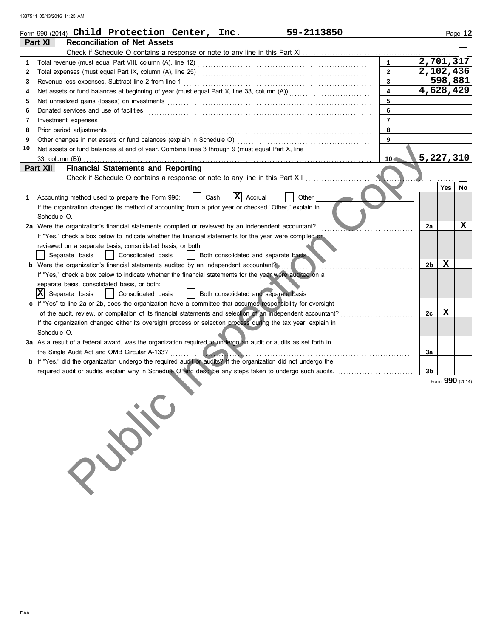|    | Form 990 (2014) $Child$ Protection Center, Inc.<br>59-2113850                                                                                                                                                                  |                 |           |            | Page 12         |
|----|--------------------------------------------------------------------------------------------------------------------------------------------------------------------------------------------------------------------------------|-----------------|-----------|------------|-----------------|
|    | <b>Reconciliation of Net Assets</b><br>Part XI                                                                                                                                                                                 |                 |           |            |                 |
|    |                                                                                                                                                                                                                                |                 |           |            |                 |
| 1. |                                                                                                                                                                                                                                | $\mathbf{1}$    | 2,701,317 |            |                 |
| 2  |                                                                                                                                                                                                                                | $\mathbf{2}$    | 2,102,436 |            |                 |
| 3  | Revenue less expenses. Subtract line 2 from line 1                                                                                                                                                                             | 3               |           | 598,881    |                 |
| 4  |                                                                                                                                                                                                                                | 4               | 4,628,429 |            |                 |
| 5. | Net unrealized gains (losses) on investments [11] match and the contract of the state of the state of the state of the state of the state of the state of the state of the state of the state of the state of the state of the | 5               |           |            |                 |
| 6  | Donated services and use of facilities                                                                                                                                                                                         | 6               |           |            |                 |
| 7  | Investment expenses                                                                                                                                                                                                            | $\overline{7}$  |           |            |                 |
| 8  | Prior period adjustments                                                                                                                                                                                                       | 8               |           |            |                 |
| 9  | Other changes in net assets or fund balances (explain in Schedule O)                                                                                                                                                           | 9               |           |            |                 |
| 10 | Net assets or fund balances at end of year. Combine lines 3 through 9 (must equal Part X, line                                                                                                                                 |                 |           |            |                 |
|    | 33, column (B))                                                                                                                                                                                                                | 10 <sub>4</sub> | 5,227,310 |            |                 |
|    | <b>Financial Statements and Reporting</b><br>Part XII                                                                                                                                                                          |                 |           |            |                 |
|    | Check if Schedule O contains a response or note to any line in this Part XII                                                                                                                                                   |                 |           |            |                 |
|    |                                                                                                                                                                                                                                |                 |           | <b>Yes</b> | No.             |
| 1. | X <br>Accounting method used to prepare the Form 990:<br>Cash<br>Accrual<br>Other                                                                                                                                              |                 |           |            |                 |
|    | If the organization changed its method of accounting from a prior year or checked "Other," explain in                                                                                                                          |                 |           |            |                 |
|    | Schedule O.                                                                                                                                                                                                                    |                 |           |            |                 |
|    | 2a Were the organization's financial statements compiled or reviewed by an independent accountant?                                                                                                                             |                 | 2a        |            | x               |
|    | If "Yes," check a box below to indicate whether the financial statements for the year were compiled or                                                                                                                         |                 |           |            |                 |
|    | reviewed on a separate basis, consolidated basis, or both:                                                                                                                                                                     |                 |           |            |                 |
|    | Separate basis<br>Consolidated basis<br>Both consolidated and separate basis                                                                                                                                                   |                 |           |            |                 |
|    | <b>b</b> Were the organization's financial statements audited by an independent accountant?                                                                                                                                    |                 | 2b        | x          |                 |
|    | If "Yes," check a box below to indicate whether the financial statements for the year were audited on a                                                                                                                        |                 |           |            |                 |
|    | separate basis, consolidated basis, or both:                                                                                                                                                                                   |                 |           |            |                 |
|    | $ X $ Separate basis<br>Both consolidated and separate basis<br>Consolidated basis                                                                                                                                             |                 |           |            |                 |
|    | c If "Yes" to line 2a or 2b, does the organization have a committee that assumes responsibility for oversight                                                                                                                  |                 |           |            |                 |
|    | of the audit, review, or compilation of its financial statements and selection of an independent accountant?                                                                                                                   |                 | 2c        | X          |                 |
|    | If the organization changed either its oversight process or selection process during the tax year, explain in                                                                                                                  |                 |           |            |                 |
|    | Schedule O.                                                                                                                                                                                                                    |                 |           |            |                 |
|    | 3a As a result of a federal award, was the organization required to undergo an audit or audits as set forth in                                                                                                                 |                 |           |            |                 |
|    | the Single Audit Act and OMB Circular A-133?                                                                                                                                                                                   |                 |           |            |                 |
|    | .<br>b If "Yes," did the organization undergo the required audit or audits? If the organization did not undergo the                                                                                                            |                 | За        |            |                 |
|    | required audit or audits, explain why in Schedule O and describe any steps taken to undergo such audits.                                                                                                                       |                 | 3b        |            |                 |
|    |                                                                                                                                                                                                                                |                 |           |            | Form 990 (2014) |
|    |                                                                                                                                                                                                                                |                 |           |            |                 |
|    |                                                                                                                                                                                                                                |                 |           |            |                 |
|    |                                                                                                                                                                                                                                |                 |           |            |                 |
|    |                                                                                                                                                                                                                                |                 |           |            |                 |
|    |                                                                                                                                                                                                                                |                 |           |            |                 |
|    |                                                                                                                                                                                                                                |                 |           |            |                 |
|    |                                                                                                                                                                                                                                |                 |           |            |                 |
|    |                                                                                                                                                                                                                                |                 |           |            |                 |
|    |                                                                                                                                                                                                                                |                 |           |            |                 |
|    |                                                                                                                                                                                                                                |                 |           |            |                 |
|    |                                                                                                                                                                                                                                |                 |           |            |                 |
|    | Scircular                                                                                                                                                                                                                      |                 |           |            |                 |
|    |                                                                                                                                                                                                                                |                 |           |            |                 |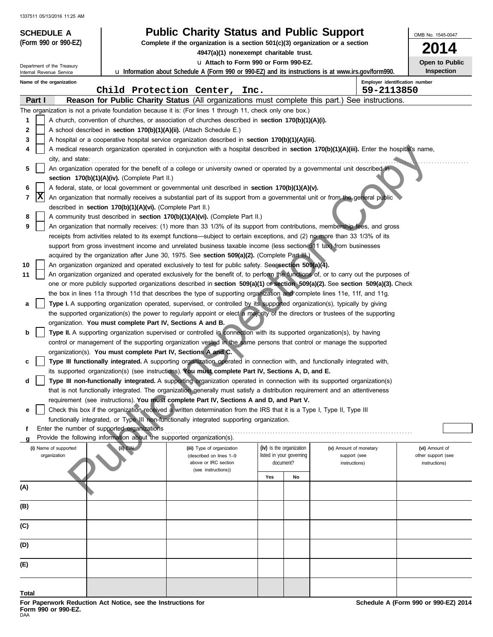|                                                                                                                                 | <b>SCHEDULE A</b>                                                                                                                          |                                                            | <b>Public Charity Status and Public Support</b>                                                                                                                                                                                  |                          |                          |                               |                                | OMB No. 1545-0047                    |  |  |
|---------------------------------------------------------------------------------------------------------------------------------|--------------------------------------------------------------------------------------------------------------------------------------------|------------------------------------------------------------|----------------------------------------------------------------------------------------------------------------------------------------------------------------------------------------------------------------------------------|--------------------------|--------------------------|-------------------------------|--------------------------------|--------------------------------------|--|--|
| (Form 990 or 990-EZ)<br>Complete if the organization is a section $501(c)(3)$ organization or a section                         |                                                                                                                                            |                                                            |                                                                                                                                                                                                                                  |                          |                          |                               |                                |                                      |  |  |
|                                                                                                                                 |                                                                                                                                            |                                                            | 4947(a)(1) nonexempt charitable trust.                                                                                                                                                                                           |                          |                          |                               |                                | 4                                    |  |  |
|                                                                                                                                 | Department of the Treasury                                                                                                                 |                                                            | u Attach to Form 990 or Form 990-EZ.                                                                                                                                                                                             |                          | Open to Public           |                               |                                |                                      |  |  |
| u Information about Schedule A (Form 990 or 990-EZ) and its instructions is at www.irs.gov/form990.<br>Internal Revenue Service |                                                                                                                                            |                                                            |                                                                                                                                                                                                                                  |                          |                          |                               |                                | Inspection                           |  |  |
|                                                                                                                                 | Name of the organization                                                                                                                   |                                                            | Child Protection Center,                                                                                                                                                                                                         |                          |                          |                               | Employer identification number |                                      |  |  |
|                                                                                                                                 | Part I                                                                                                                                     |                                                            | Inc.<br>Reason for Public Charity Status (All organizations must complete this part.) See instructions.                                                                                                                          |                          |                          |                               | 59-2113850                     |                                      |  |  |
|                                                                                                                                 |                                                                                                                                            |                                                            | The organization is not a private foundation because it is: (For lines 1 through 11, check only one box.)                                                                                                                        |                          |                          |                               |                                |                                      |  |  |
| 1                                                                                                                               |                                                                                                                                            |                                                            | A church, convention of churches, or association of churches described in <b>section 170(b)(1)(A)(i).</b>                                                                                                                        |                          |                          |                               |                                |                                      |  |  |
| 2                                                                                                                               |                                                                                                                                            |                                                            | A school described in section 170(b)(1)(A)(ii). (Attach Schedule E.)                                                                                                                                                             |                          |                          |                               |                                |                                      |  |  |
| 3                                                                                                                               |                                                                                                                                            |                                                            | A hospital or a cooperative hospital service organization described in section 170(b)(1)(A)(iii).                                                                                                                                |                          |                          |                               |                                |                                      |  |  |
| 4                                                                                                                               | A medical research organization operated in conjunction with a hospital described in section 170(b)(1)(A)(iii). Enter the hospital's name, |                                                            |                                                                                                                                                                                                                                  |                          |                          |                               |                                |                                      |  |  |
|                                                                                                                                 | city, and state:                                                                                                                           |                                                            |                                                                                                                                                                                                                                  |                          |                          |                               |                                |                                      |  |  |
| 5                                                                                                                               |                                                                                                                                            |                                                            | An organization operated for the benefit of a college or university owned or operated by a governmental unit described in                                                                                                        |                          |                          |                               |                                |                                      |  |  |
|                                                                                                                                 |                                                                                                                                            | section $170(b)(1)(A)(iv)$ . (Complete Part II.)           |                                                                                                                                                                                                                                  |                          |                          |                               |                                |                                      |  |  |
| 6                                                                                                                               |                                                                                                                                            |                                                            | A federal, state, or local government or governmental unit described in section 170(b)(1)(A)(v).                                                                                                                                 |                          |                          |                               |                                |                                      |  |  |
| 7                                                                                                                               | X                                                                                                                                          |                                                            | An organization that normally receives a substantial part of its support from a governmental unit or from the general public                                                                                                     |                          |                          |                               |                                |                                      |  |  |
|                                                                                                                                 |                                                                                                                                            | described in section 170(b)(1)(A)(vi). (Complete Part II.) |                                                                                                                                                                                                                                  |                          |                          |                               |                                |                                      |  |  |
| 8<br>9                                                                                                                          |                                                                                                                                            |                                                            | A community trust described in section 170(b)(1)(A)(vi). (Complete Part II.)<br>An organization that normally receives: (1) more than 33 1/3% of its support from contributions, membership fees, and gross                      |                          |                          |                               |                                |                                      |  |  |
|                                                                                                                                 |                                                                                                                                            |                                                            | receipts from activities related to its exempt functions—subject to certain exceptions, and (2) no more than 33 1/3% of its                                                                                                      |                          |                          |                               |                                |                                      |  |  |
|                                                                                                                                 |                                                                                                                                            |                                                            | support from gross investment income and unrelated business taxable income (less section 511 tax) from businesses                                                                                                                |                          |                          |                               |                                |                                      |  |  |
|                                                                                                                                 |                                                                                                                                            |                                                            | acquired by the organization after June 30, 1975. See section 509(a)(2). (Complete Part III.)                                                                                                                                    |                          |                          |                               |                                |                                      |  |  |
| 10                                                                                                                              |                                                                                                                                            |                                                            | An organization organized and operated exclusively to test for public safety. See section 509(a)(4).                                                                                                                             |                          |                          |                               |                                |                                      |  |  |
| 11                                                                                                                              |                                                                                                                                            |                                                            | An organization organized and operated exclusively for the benefit of, to perform the functions of, or to carry out the purposes of                                                                                              |                          |                          |                               |                                |                                      |  |  |
|                                                                                                                                 |                                                                                                                                            |                                                            | one or more publicly supported organizations described in section 509(a)(1) or section 509(a)(2). See section 509(a)(3). Check                                                                                                   |                          |                          |                               |                                |                                      |  |  |
|                                                                                                                                 |                                                                                                                                            |                                                            | the box in lines 11a through 11d that describes the type of supporting organization and complete lines 11e, 11f, and 11g.                                                                                                        |                          |                          |                               |                                |                                      |  |  |
| a                                                                                                                               |                                                                                                                                            |                                                            | Type I. A supporting organization operated, supervised, or controlled by its supported organization(s), typically by giving                                                                                                      |                          |                          |                               |                                |                                      |  |  |
|                                                                                                                                 |                                                                                                                                            |                                                            | the supported organization(s) the power to regularly appoint or elect a majority of the directors or trustees of the supporting                                                                                                  |                          |                          |                               |                                |                                      |  |  |
|                                                                                                                                 |                                                                                                                                            | organization. You must complete Part IV, Sections A and B. |                                                                                                                                                                                                                                  |                          |                          |                               |                                |                                      |  |  |
| b                                                                                                                               |                                                                                                                                            |                                                            | Type II. A supporting organization supervised or controlled in connection with its supported organization(s), by having                                                                                                          |                          |                          |                               |                                |                                      |  |  |
|                                                                                                                                 |                                                                                                                                            |                                                            | control or management of the supporting organization vested in the same persons that control or manage the supported                                                                                                             |                          |                          |                               |                                |                                      |  |  |
|                                                                                                                                 |                                                                                                                                            |                                                            | organization(s). You must complete Part IV, Sections A and C.                                                                                                                                                                    |                          |                          |                               |                                |                                      |  |  |
| c                                                                                                                               |                                                                                                                                            |                                                            | Type III functionally integrated. A supporting organization operated in connection with, and functionally integrated with,<br>its supported organization(s) (see instructions). You must complete Part IV, Sections A, D, and E. |                          |                          |                               |                                |                                      |  |  |
|                                                                                                                                 |                                                                                                                                            |                                                            | Type III non-functionally integrated. A supporting organization operated in connection with its supported organization(s)                                                                                                        |                          |                          |                               |                                |                                      |  |  |
|                                                                                                                                 |                                                                                                                                            |                                                            | that is not functionally integrated. The organization generally must satisfy a distribution requirement and an attentiveness                                                                                                     |                          |                          |                               |                                |                                      |  |  |
|                                                                                                                                 |                                                                                                                                            |                                                            | requirement (see instructions). You must complete Part IV, Sections A and D, and Part V.                                                                                                                                         |                          |                          |                               |                                |                                      |  |  |
| е                                                                                                                               |                                                                                                                                            |                                                            | Check this box if the organization received a written determination from the IRS that it is a Type I, Type II, Type III                                                                                                          |                          |                          |                               |                                |                                      |  |  |
|                                                                                                                                 |                                                                                                                                            |                                                            | functionally integrated, or Type III non-functionally integrated supporting organization.                                                                                                                                        |                          |                          |                               |                                |                                      |  |  |
|                                                                                                                                 | Enter the number of supported organizations                                                                                                |                                                            |                                                                                                                                                                                                                                  |                          |                          |                               |                                |                                      |  |  |
|                                                                                                                                 |                                                                                                                                            |                                                            | Provide the following information about the supported organization(s).                                                                                                                                                           |                          |                          |                               |                                |                                      |  |  |
|                                                                                                                                 | (i) Name of supported                                                                                                                      | (ii) EIN                                                   | (iii) Type of organization                                                                                                                                                                                                       | (iv) Is the organization | listed in your governing | (v) Amount of monetary        |                                | (vi) Amount of                       |  |  |
|                                                                                                                                 | organization                                                                                                                               |                                                            | (described on lines 1-9<br>above or IRC section                                                                                                                                                                                  | document?                |                          | support (see<br>instructions) |                                | other support (see<br>instructions)  |  |  |
|                                                                                                                                 |                                                                                                                                            |                                                            | (see instructions))                                                                                                                                                                                                              |                          |                          |                               |                                |                                      |  |  |
|                                                                                                                                 |                                                                                                                                            |                                                            |                                                                                                                                                                                                                                  | Yes                      | No                       |                               |                                |                                      |  |  |
| (A)                                                                                                                             |                                                                                                                                            |                                                            |                                                                                                                                                                                                                                  |                          |                          |                               |                                |                                      |  |  |
| (B)                                                                                                                             |                                                                                                                                            |                                                            |                                                                                                                                                                                                                                  |                          |                          |                               |                                |                                      |  |  |
|                                                                                                                                 |                                                                                                                                            |                                                            |                                                                                                                                                                                                                                  |                          |                          |                               |                                |                                      |  |  |
| (C)                                                                                                                             |                                                                                                                                            |                                                            |                                                                                                                                                                                                                                  |                          |                          |                               |                                |                                      |  |  |
|                                                                                                                                 |                                                                                                                                            |                                                            |                                                                                                                                                                                                                                  |                          |                          |                               |                                |                                      |  |  |
| (D)                                                                                                                             |                                                                                                                                            |                                                            |                                                                                                                                                                                                                                  |                          |                          |                               |                                |                                      |  |  |
|                                                                                                                                 |                                                                                                                                            |                                                            |                                                                                                                                                                                                                                  |                          |                          |                               |                                |                                      |  |  |
| (E)                                                                                                                             |                                                                                                                                            |                                                            |                                                                                                                                                                                                                                  |                          |                          |                               |                                |                                      |  |  |
|                                                                                                                                 |                                                                                                                                            |                                                            |                                                                                                                                                                                                                                  |                          |                          |                               |                                |                                      |  |  |
|                                                                                                                                 |                                                                                                                                            |                                                            |                                                                                                                                                                                                                                  |                          |                          |                               |                                |                                      |  |  |
| Total                                                                                                                           |                                                                                                                                            |                                                            |                                                                                                                                                                                                                                  |                          |                          |                               |                                |                                      |  |  |
|                                                                                                                                 | For Paperwork Reduction Act Notice, see the Instructions for                                                                               |                                                            |                                                                                                                                                                                                                                  |                          |                          |                               |                                | Schedule A (Form 990 or 990-EZ) 2014 |  |  |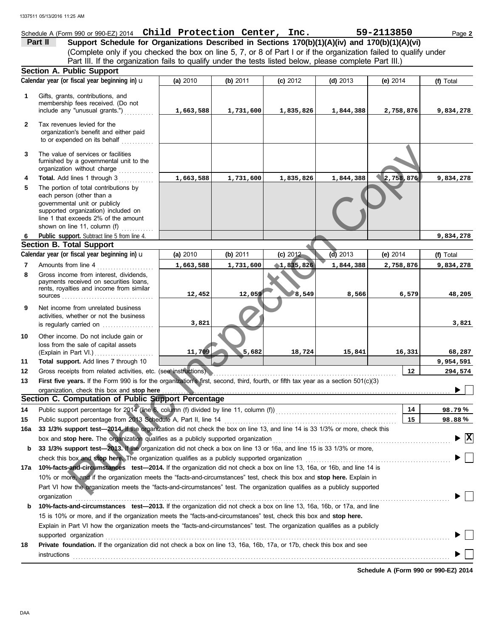|              | Schedule A (Form 990 or 990-EZ) 2014 Child Protection Center, Inc.                                                                                                                                                                                   |           |            |           |            | 59-2113850 | Page 2          |
|--------------|------------------------------------------------------------------------------------------------------------------------------------------------------------------------------------------------------------------------------------------------------|-----------|------------|-----------|------------|------------|-----------------|
|              | Support Schedule for Organizations Described in Sections 170(b)(1)(A)(iv) and 170(b)(1)(A)(vi)<br>Part II                                                                                                                                            |           |            |           |            |            |                 |
|              | (Complete only if you checked the box on line 5, 7, or 8 of Part I or if the organization failed to qualify under                                                                                                                                    |           |            |           |            |            |                 |
|              | Part III. If the organization fails to qualify under the tests listed below, please complete Part III.)                                                                                                                                              |           |            |           |            |            |                 |
|              | <b>Section A. Public Support</b>                                                                                                                                                                                                                     |           |            |           |            |            |                 |
|              | Calendar year (or fiscal year beginning in) u                                                                                                                                                                                                        | (a) 2010  | (b) $2011$ | (c) 2012  | $(d)$ 2013 | (e) $2014$ | (f) Total       |
| 1.           | Gifts, grants, contributions, and                                                                                                                                                                                                                    |           |            |           |            |            |                 |
|              | membership fees received. (Do not                                                                                                                                                                                                                    |           |            |           |            |            |                 |
|              | include any "unusual grants.")                                                                                                                                                                                                                       | 1,663,588 | 1,731,600  | 1,835,826 | 1,844,388  | 2,758,876  | 9,834,278       |
| $\mathbf{2}$ | Tax revenues levied for the                                                                                                                                                                                                                          |           |            |           |            |            |                 |
|              | organization's benefit and either paid                                                                                                                                                                                                               |           |            |           |            |            |                 |
|              | to or expended on its behalf                                                                                                                                                                                                                         |           |            |           |            |            |                 |
| 3            | The value of services or facilities                                                                                                                                                                                                                  |           |            |           |            |            |                 |
|              | furnished by a governmental unit to the                                                                                                                                                                                                              |           |            |           |            |            |                 |
| 4            | organization without charge<br>.<br>Total. Add lines 1 through 3                                                                                                                                                                                     | 1,663,588 | 1,731,600  | 1,835,826 | 1,844,388  | 2,758,876  | 9,834,278       |
| 5            | The portion of total contributions by                                                                                                                                                                                                                |           |            |           |            |            |                 |
|              | each person (other than a                                                                                                                                                                                                                            |           |            |           |            |            |                 |
|              | governmental unit or publicly                                                                                                                                                                                                                        |           |            |           |            |            |                 |
|              | supported organization) included on                                                                                                                                                                                                                  |           |            |           |            |            |                 |
|              | line 1 that exceeds 2% of the amount<br>shown on line 11, column (f)                                                                                                                                                                                 |           |            |           |            |            |                 |
| 6            | Public support. Subtract line 5 from line 4.                                                                                                                                                                                                         |           |            |           |            |            | 9,834,278       |
|              | <b>Section B. Total Support</b>                                                                                                                                                                                                                      |           |            |           |            |            |                 |
|              | Calendar year (or fiscal year beginning in) u                                                                                                                                                                                                        | (a) 2010  | (b) 2011   | (c) 2012  | $(d)$ 2013 | (e) $2014$ | (f) Total       |
| 7            | Amounts from line 4                                                                                                                                                                                                                                  | 1,663,588 | 1,731,600  | 1,835,826 | 1,844,388  | 2,758,876  | 9,834,278       |
| 8            | Gross income from interest, dividends,                                                                                                                                                                                                               |           |            |           |            |            |                 |
|              | payments received on securities loans,                                                                                                                                                                                                               |           |            |           |            |            |                 |
|              | rents, royalties and income from similar<br><b>sources</b>                                                                                                                                                                                           | 12,452    | 12,059     | 8,549     | 8,566      | 6,579      | 48,205          |
| 9            | Net income from unrelated business                                                                                                                                                                                                                   |           |            |           |            |            |                 |
|              | activities, whether or not the business                                                                                                                                                                                                              |           |            |           |            |            |                 |
|              | is regularly carried on                                                                                                                                                                                                                              | 3,821     |            |           |            |            | 3,821           |
| 10           | Other income. Do not include gain or                                                                                                                                                                                                                 |           |            |           |            |            |                 |
|              | loss from the sale of capital assets                                                                                                                                                                                                                 |           |            |           |            |            |                 |
|              | (Explain in Part VI.)                                                                                                                                                                                                                                | 11,709    | 5,682      | 18,724    | 15,841     | 16,331     | 68,287          |
| 11           | Total support. Add lines 7 through 10                                                                                                                                                                                                                |           |            |           |            |            | 9,954,591       |
| 12           | Gross receipts from related activities, etc. (see instructions).                                                                                                                                                                                     |           |            |           |            | 12         | 294,574         |
| 13           | First five years. If the Form 990 is for the organization's first, second, third, fourth, or fifth tax year as a section 501(c)(3)                                                                                                                   |           |            |           |            |            |                 |
|              | organization, check this box and stop here                                                                                                                                                                                                           |           |            |           |            |            |                 |
|              | Section C. Computation of Public Support Percentage                                                                                                                                                                                                  |           |            |           |            |            |                 |
| 14           | Public support percentage for 2014 (line 6, column (f) divided by line 11, column (f)<br>[2014]                                                                                                                                                      |           |            |           |            | 14         | 98.79%          |
| 15           | Public support percentage from 2013 Schedule A, Part II, line 14                                                                                                                                                                                     |           |            |           |            | 15         | 98.88%          |
| 16a          | 33 1/3% support test-2014. If the organization did not check the box on line 13, and line 14 is 33 1/3% or more, check this                                                                                                                          |           |            |           |            |            |                 |
|              | box and stop here. The organization qualifies as a publicly supported organization                                                                                                                                                                   |           |            |           |            |            | $\vert x \vert$ |
| b            | 33 1/3% support test-2013. If the organization did not check a box on line 13 or 16a, and line 15 is 33 1/3% or more,                                                                                                                                |           |            |           |            |            |                 |
|              | check this box and stop here. The organization qualifies as a publicly supported organization                                                                                                                                                        |           |            |           |            |            |                 |
| 17а          | 10%-facts-and-circumstances test-2014. If the organization did not check a box on line 13, 16a, or 16b, and line 14 is                                                                                                                               |           |            |           |            |            |                 |
|              | 10% or more, and if the organization meets the "facts-and-circumstances" test, check this box and stop here. Explain in<br>Part VI how the organization meets the "facts-and-circumstances" test. The organization qualifies as a publicly supported |           |            |           |            |            |                 |
|              |                                                                                                                                                                                                                                                      |           |            |           |            |            |                 |
|              | organization<br>10%-facts-and-circumstances test-2013. If the organization did not check a box on line 13, 16a, 16b, or 17a, and line                                                                                                                |           |            |           |            |            |                 |
| b            |                                                                                                                                                                                                                                                      |           |            |           |            |            |                 |
|              | 15 is 10% or more, and if the organization meets the "facts-and-circumstances" test, check this box and stop here.<br>Explain in Part VI how the organization meets the "facts-and-circumstances" test. The organization qualifies as a publicly     |           |            |           |            |            |                 |
|              | supported organization                                                                                                                                                                                                                               |           |            |           |            |            |                 |
| 18           | Private foundation. If the organization did not check a box on line 13, 16a, 16b, 17a, or 17b, check this box and see                                                                                                                                |           |            |           |            |            |                 |
|              | instructions                                                                                                                                                                                                                                         |           |            |           |            |            |                 |
|              |                                                                                                                                                                                                                                                      |           |            |           |            |            |                 |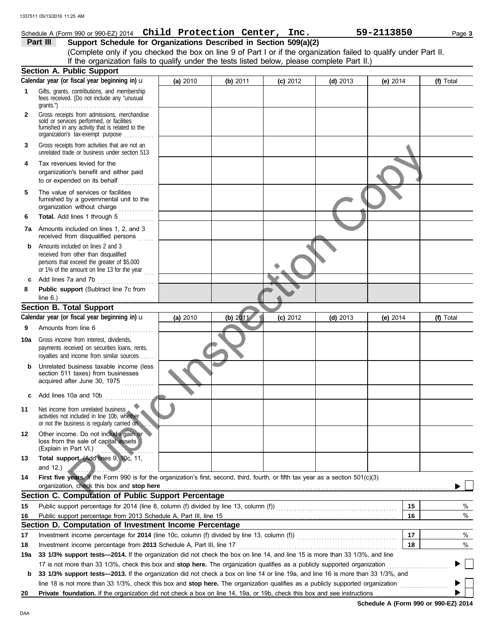|              | Schedule A (Form 990 or 990-EZ) 2014 Child Protection Center, Inc.                                                                                                                       |          |            |            |            | 59-2113850 | Page 3    |
|--------------|------------------------------------------------------------------------------------------------------------------------------------------------------------------------------------------|----------|------------|------------|------------|------------|-----------|
|              | Support Schedule for Organizations Described in Section 509(a)(2)<br>Part III                                                                                                            |          |            |            |            |            |           |
|              | (Complete only if you checked the box on line 9 of Part I or if the organization failed to qualify under Part II.                                                                        |          |            |            |            |            |           |
|              | If the organization fails to qualify under the tests listed below, please complete Part II.)                                                                                             |          |            |            |            |            |           |
|              | <b>Section A. Public Support</b>                                                                                                                                                         |          |            |            |            |            |           |
|              | Calendar year (or fiscal year beginning in) u                                                                                                                                            | (a) 2010 | (b) $2011$ | (c) 2012   | (d) $2013$ | (e) $2014$ | (f) Total |
| 1.           | Gifts, grants, contributions, and membership<br>fees received. (Do not include any "unusual"<br>grants.") $\ldots \ldots \ldots \ldots \ldots \ldots \ldots \ldots \ldots \ldots \ldots$ |          |            |            |            |            |           |
| $\mathbf{2}$ | Gross receipts from admissions, merchandise<br>sold or services performed, or facilities<br>furnished in any activity that is related to the<br>organization's tax-exempt purpose        |          |            |            |            |            |           |
| 3            | Gross receipts from activities that are not an<br>unrelated trade or business under section 513                                                                                          |          |            |            |            |            |           |
| 4            | Tax revenues levied for the<br>organization's benefit and either paid<br>to or expended on its behalf                                                                                    |          |            |            |            |            |           |
| 5            | The value of services or facilities<br>furnished by a governmental unit to the<br>organization without charge                                                                            |          |            |            |            |            |           |
| 6            | Total. Add lines 1 through 5                                                                                                                                                             |          |            |            |            |            |           |
|              | 7a Amounts included on lines 1, 2, and 3<br>received from disqualified persons<br>.                                                                                                      |          |            |            |            |            |           |
| b            | Amounts included on lines 2 and 3<br>received from other than disqualified<br>persons that exceed the greater of \$5,000<br>or 1% of the amount on line 13 for the year $\ldots$         |          |            |            |            |            |           |
| c            | Add lines 7a and 7b                                                                                                                                                                      |          |            |            |            |            |           |
| 8            | Public support (Subtract line 7c from                                                                                                                                                    |          |            |            |            |            |           |
|              | line $6.$ )<br>.                                                                                                                                                                         |          |            |            |            |            |           |
|              | <b>Section B. Total Support</b>                                                                                                                                                          |          |            |            |            |            |           |
|              | Calendar year (or fiscal year beginning in) <b>u</b>                                                                                                                                     | (a) 2010 | (b) $2011$ | $(c)$ 2012 | $(d)$ 2013 | (e) $2014$ | (f) Total |
| 9            | Amounts from line 6                                                                                                                                                                      |          |            |            |            |            |           |
| 10a          | Gross income from interest, dividends,<br>payments received on securities loans, rents,<br>royalties and income from similar sources                                                     |          |            |            |            |            |           |
| b            | Unrelated business taxable income (less<br>section 511 taxes) from businesses<br>acquired after June 30, 1975<br>.                                                                       |          |            |            |            |            |           |
| c            | Add lines 10a and 10b                                                                                                                                                                    |          |            |            |            |            |           |
| 11           | Net income from unrelated business<br>activities not included in line 10b, whether<br>or not the business is regularly carried on                                                        |          |            |            |            |            |           |
| 12           | Other income. Do not include gain or<br>loss from the sale of capital assets<br>(Explain in Part VI.)                                                                                    |          |            |            |            |            |           |
| 13           | Total support. (Add lines 9, 10c, 11,<br>and 12.)                                                                                                                                        |          |            |            |            |            |           |
| 14           | First five years. If the Form 990 is for the organization's first, second, third, fourth, or fifth tax year as a section 501(c)(3)                                                       |          |            |            |            |            |           |
|              | organization, check this box and stop here                                                                                                                                               |          |            |            |            |            |           |
|              | Section C. Computation of Public Support Percentage                                                                                                                                      |          |            |            |            |            |           |
| 15           | Public support percentage for 2014 (line 8, column (f) divided by line 13, column (f)) [[[[[[[[[[[[[[[[[[[[[[                                                                            |          |            |            |            | 15         | %         |
| 16           |                                                                                                                                                                                          |          |            |            |            | 16         | $\%$      |
|              | Section D. Computation of Investment Income Percentage                                                                                                                                   |          |            |            |            |            |           |
| 17           |                                                                                                                                                                                          |          |            |            |            | 17         | %         |
| 18           | Investment income percentage from 2013 Schedule A, Part III, line 17                                                                                                                     |          |            |            |            | 18         | $\%$      |
| 19a          | 33 1/3% support tests—2014. If the organization did not check the box on line 14, and line 15 is more than 33 1/3%, and line                                                             |          |            |            |            |            |           |
|              | 17 is not more than 33 1/3%, check this box and stop here. The organization qualifies as a publicly supported organization                                                               |          |            |            |            |            |           |
| b            | 33 1/3% support tests—2013. If the organization did not check a box on line 14 or line 19a, and line 16 is more than 33 1/3%, and                                                        |          |            |            |            |            |           |
|              | line 18 is not more than 33 1/3%, check this box and stop here. The organization qualifies as a publicly supported organization                                                          |          |            |            |            |            |           |
| 20           | Private foundation. If the organization did not check a box on line 14, 19a, or 19b, check this box and see instructions                                                                 |          |            |            |            |            |           |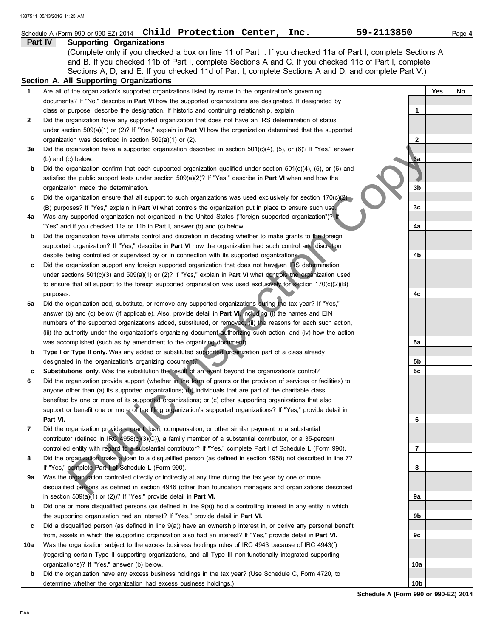|              | Schedule A (Form 990 or 990-EZ) 2014 Child Protection Center, Inc.                                                           | 59-2113850                           | Page 4 |
|--------------|------------------------------------------------------------------------------------------------------------------------------|--------------------------------------|--------|
| Part IV      | <b>Supporting Organizations</b>                                                                                              |                                      |        |
|              | (Complete only if you checked a box on line 11 of Part I. If you checked 11a of Part I, complete Sections A                  |                                      |        |
|              | and B. If you checked 11b of Part I, complete Sections A and C. If you checked 11c of Part I, complete                       |                                      |        |
|              | Sections A, D, and E. If you checked 11d of Part I, complete Sections A and D, and complete Part V.)                         |                                      |        |
|              | Section A. All Supporting Organizations                                                                                      |                                      |        |
| 1            | Are all of the organization's supported organizations listed by name in the organization's governing                         | Yes                                  | No     |
|              | documents? If "No," describe in Part VI how the supported organizations are designated. If designated by                     |                                      |        |
|              | class or purpose, describe the designation. If historic and continuing relationship, explain.                                | $\mathbf{1}$                         |        |
| $\mathbf{2}$ | Did the organization have any supported organization that does not have an IRS determination of status                       |                                      |        |
|              | under section $509(a)(1)$ or (2)? If "Yes," explain in <b>Part VI</b> how the organization determined that the supported     |                                      |        |
|              | organization was described in section 509(a)(1) or (2).                                                                      | 2                                    |        |
| За           | Did the organization have a supported organization described in section $501(c)(4)$ , $(5)$ , or $(6)$ ? If "Yes," answer    |                                      |        |
|              | (b) and (c) below.                                                                                                           | 3a                                   |        |
| b            | Did the organization confirm that each supported organization qualified under section $501(c)(4)$ , (5), or (6) and          |                                      |        |
|              | satisfied the public support tests under section $509(a)(2)?$ If "Yes," describe in Part VI when and how the                 |                                      |        |
|              | organization made the determination.                                                                                         | 3 <sub>b</sub>                       |        |
| c            | Did the organization ensure that all support to such organizations was used exclusively for section $170(c)(2)$              |                                      |        |
|              | (B) purposes? If "Yes," explain in Part VI what controls the organization put in place to ensure such use.                   | 3c                                   |        |
| 4a           | Was any supported organization not organized in the United States ("foreign supported organization")? If                     |                                      |        |
|              | "Yes" and if you checked 11a or 11b in Part I, answer (b) and (c) below.                                                     | 4a                                   |        |
| b            | Did the organization have ultimate control and discretion in deciding whether to make grants to the foreign                  |                                      |        |
|              | supported organization? If "Yes," describe in Part VI how the organization had such control and discretion                   |                                      |        |
|              | despite being controlled or supervised by or in connection with its supported organizations.                                 | 4b                                   |        |
| c            | Did the organization support any foreign supported organization that does not have an IRS determination                      |                                      |        |
|              | under sections $501(c)(3)$ and $509(a)(1)$ or (2)? If "Yes," explain in Part VI what controls the organization used          |                                      |        |
|              | to ensure that all support to the foreign supported organization was used exclusively for section $170(c)(2)(B)$             |                                      |        |
|              | purposes.                                                                                                                    | 4c                                   |        |
| 5a           | Did the organization add, substitute, or remove any supported organizations during the tax year? If "Yes,"                   |                                      |        |
|              | answer (b) and (c) below (if applicable). Also, provide detail in Part VI, including (i) the names and EIN                   |                                      |        |
|              | numbers of the supported organizations added, substituted, or removed, (ii) the reasons for each such action,                |                                      |        |
|              | (iii) the authority under the organization's organizing document authorizing such action, and (iv) how the action            |                                      |        |
|              | was accomplished (such as by amendment to the organizing document).                                                          | 5a                                   |        |
| b            | Type I or Type II only. Was any added or substituted supported organization part of a class already                          |                                      |        |
|              | designated in the organization's organizing document?                                                                        | 5b                                   |        |
| c            | Substitutions only. Was the substitution the result of an event beyond the organization's control?                           | 5c                                   |        |
| 6            | Did the organization provide support (whether in the form of grants or the provision of services or facilities) to           |                                      |        |
|              | anyone other than (a) its supported organizations; (b) individuals that are part of the charitable class                     |                                      |        |
|              | benefited by one or more of its supported organizations; or (c) other supporting organizations that also                     |                                      |        |
|              | support or benefit one or more of the filing organization's supported organizations? If "Yes," provide detail in<br>Part VI. | 6                                    |        |
| 7            | Did the organization provide a grant, loan, compensation, or other similar payment to a substantial                          |                                      |        |
|              | contributor (defined in IRC 4958(c)(3)(C)), a family member of a substantial contributor, or a 35-percent                    |                                      |        |
|              | controlled entity with regard to a substantial contributor? If "Yes," complete Part I of Schedule L (Form 990).              | 7                                    |        |
| 8            | Did the organization make a loan to a disqualified person (as defined in section 4958) not described in line 7?              |                                      |        |
|              | If "Yes," complete Part I of Schedule L (Form 990).                                                                          | 8                                    |        |
| 9a           | Was the organization controlled directly or indirectly at any time during the tax year by one or more                        |                                      |        |
|              | disqualified persons as defined in section 4946 (other than foundation managers and organizations described                  |                                      |        |
|              | in section $509(a)(1)$ or (2))? If "Yes," provide detail in Part VI.                                                         | 9a                                   |        |
| b            | Did one or more disqualified persons (as defined in line 9(a)) hold a controlling interest in any entity in which            |                                      |        |
|              | the supporting organization had an interest? If "Yes," provide detail in Part VI.                                            | 9b                                   |        |
| c            | Did a disqualified person (as defined in line 9(a)) have an ownership interest in, or derive any personal benefit            |                                      |        |
|              | from, assets in which the supporting organization also had an interest? If "Yes," provide detail in Part VI.                 | 9c                                   |        |
| 10a          | Was the organization subject to the excess business holdings rules of IRC 4943 because of IRC 4943(f)                        |                                      |        |
|              | (regarding certain Type II supporting organizations, and all Type III non-functionally integrated supporting                 |                                      |        |
|              | organizations)? If "Yes," answer (b) below.                                                                                  | 10a                                  |        |
| b            | Did the organization have any excess business holdings in the tax year? (Use Schedule C, Form 4720, to                       |                                      |        |
|              | determine whether the organization had excess business holdings.)                                                            | 10b                                  |        |
|              |                                                                                                                              | Schodule A (Form 000 or 000-F7) 2014 |        |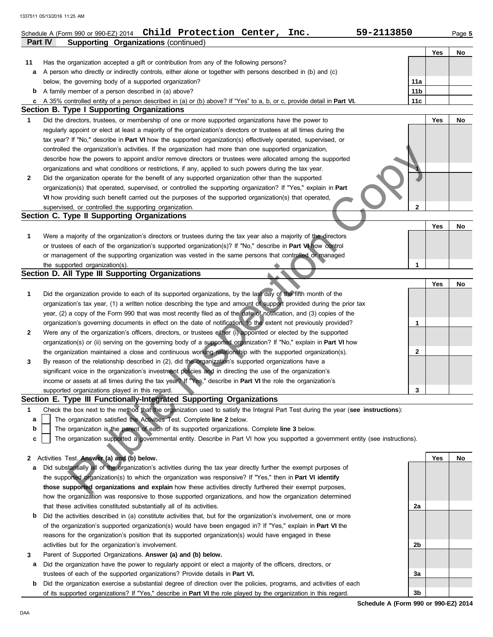#### **Part IV Supporting Organizations** (continued) Schedule A (Form 990 or 990-EZ) 2014 **Child Protection Center, Inc.** 59-2113850 Page 5 **Yes No 1** controlled the organization's activities. If the organization had more than one supported organization, tax year? If "No," describe in **Part VI** how the supported organization(s) effectively operated, supervised, or regularly appoint or elect at least a majority of the organization's directors or trustees at all times during the **Section B. Type I Supporting Organizations 11** Has the organization accepted a gift or contribution from any of the following persons? **c** A 35% controlled entity of a person described in (a) or (b) above? If "Yes" to a, b, or c, provide detail in **Part VI. b** A family member of a person described in (a) above? **a** A person who directly or indirectly controls, either alone or together with persons described in (b) and (c) below, the governing body of a supported organization? **11a 11b 11c** Did the directors, trustees, or membership of one or more supported organizations have the power to **Yes No** 1337511 05/13/2016 11:25 AM

#### **Section C. Type II Supporting Organizations**

#### **Section D. All Type III Supporting Organizations**

|   | controlled the organization's activities. If the organization had more than one supported organization,                           |                |     |           |
|---|-----------------------------------------------------------------------------------------------------------------------------------|----------------|-----|-----------|
|   | describe how the powers to appoint and/or remove directors or trustees were allocated among the supported                         |                |     |           |
|   | organizations and what conditions or restrictions, if any, applied to such powers during the tax year.                            |                |     |           |
| 2 | Did the organization operate for the benefit of any supported organization other than the supported                               |                |     |           |
|   | organization(s) that operated, supervised, or controlled the supporting organization? If "Yes," explain in Part                   |                |     |           |
|   | VI how providing such benefit carried out the purposes of the supported organization(s) that operated,                            |                |     |           |
|   | supervised, or controlled the supporting organization.                                                                            | $\overline{2}$ |     |           |
|   | Section C. Type II Supporting Organizations                                                                                       |                |     |           |
|   |                                                                                                                                   |                | Yes | No        |
| 1 | Were a majority of the organization's directors or trustees during the tax year also a majority of the directors                  |                |     |           |
|   | or trustees of each of the organization's supported organization(s)? If "No," describe in Part VI how control                     |                |     |           |
|   | or management of the supporting organization was vested in the same persons that controlled or managed                            |                |     |           |
|   | the supported organization(s).                                                                                                    | 1              |     |           |
|   | Section D. All Type III Supporting Organizations                                                                                  |                |     |           |
|   |                                                                                                                                   |                | Yes | <b>No</b> |
| 1 | Did the organization provide to each of its supported organizations, by the last day of the fifth month of the                    |                |     |           |
|   | organization's tax year, (1) a written notice describing the type and amount of support provided during the prior tax             |                |     |           |
|   | year, (2) a copy of the Form 990 that was most recently filed as of the date of notification, and (3) copies of the               |                |     |           |
|   | organization's governing documents in effect on the date of notification, to the extent not previously provided?                  | 1              |     |           |
| 2 | Were any of the organization's officers, directors, or trustees either (i) appointed or elected by the supported                  |                |     |           |
|   | organization(s) or (ii) serving on the governing body of a supported organization? If "No," explain in Part VI how                |                |     |           |
|   | the organization maintained a close and continuous working relationship with the supported organization(s).                       | $\mathbf 2$    |     |           |
| 3 | By reason of the relationship described in (2), did the organization's supported organizations have a                             |                |     |           |
|   | significant voice in the organization's investment policies and in directing the use of the organization's                        |                |     |           |
|   | income or assets at all times during the tax year? If "Yes," describe in Part VI the role the organization's                      |                |     |           |
|   | supported organizations played in this regard.                                                                                    | 3              |     |           |
|   | Section E. Type III Functionally-Integrated Supporting Organizations                                                              |                |     |           |
| 1 | Check the box next to the method that the organization used to satisfy the Integral Part Test during the year (see instructions): |                |     |           |
| a | The organization satisfied the Activities Test. Complete line 2 below.                                                            |                |     |           |
| b | The organization is the parent of each of its supported organizations. Complete line 3 below.                                     |                |     |           |
| C | The organization supported a governmental entity. Describe in Part VI how you supported a government entity (see instructions).   |                |     |           |
|   | 2 Activities Test. Answer (a) and (b) below.                                                                                      |                | Yes | No        |
| a | Did substantially all of the organization's activities during the tax year directly further the exempt purposes of                |                |     |           |
|   | the supported organization(s) to which the organization was responsive? If "Yes," then in Part VI identify                        |                |     |           |
|   | those supported organizations and explain how these activities directly furthered their exempt purposes,                          |                |     |           |
|   | the concentration and all of the concentration of the concentration of the contribution alone.                                    |                |     |           |

#### **Section E. Type III Functionally-Integrated Supporting Organizations**

- **1** Check the box next to the method that the organization used to satisfy the Integral Part Test during the year (**see instructions**):
	- The organization satisfied the Activities Test. Complete **line 2** below. **a**
	- The organization is the parent of each of its supported organizations. Complete **line 3** below. **b**
	- The organization supported a governmental entity. Describe in Part VI how you supported a government entity (see instructions). **c**

#### **2** Activities Test. **Answer (a) and (b) below.**

- **a** Did substantially all of the organization's activities during the tax year directly further the exempt purposes of the supported organization(s) to which the organization was responsive? If "Yes," then in **Part VI identify those supported organizations and explain** how these activities directly furthered their exempt purposes, how the organization was responsive to those supported organizations, and how the organization determined that these activities constituted substantially all of its activities.
- **b** Did the activities described in (a) constitute activities that, but for the organization's involvement, one or more of the organization's supported organization(s) would have been engaged in? If "Yes," explain in **Part VI** the reasons for the organization's position that its supported organization(s) would have engaged in these activities but for the organization's involvement.
- **3** Parent of Supported Organizations. **Answer (a) and (b) below.**
- **a** Did the organization have the power to regularly appoint or elect a majority of the officers, directors, or trustees of each of the supported organizations? Provide details in **Part VI.**
- **b** Did the organization exercise a substantial degree of direction over the policies, programs, and activities of each of its supported organizations? If "Yes," describe in **Part VI** the role played by the organization in this regard.

**Yes No 2a 2b 3a 3b**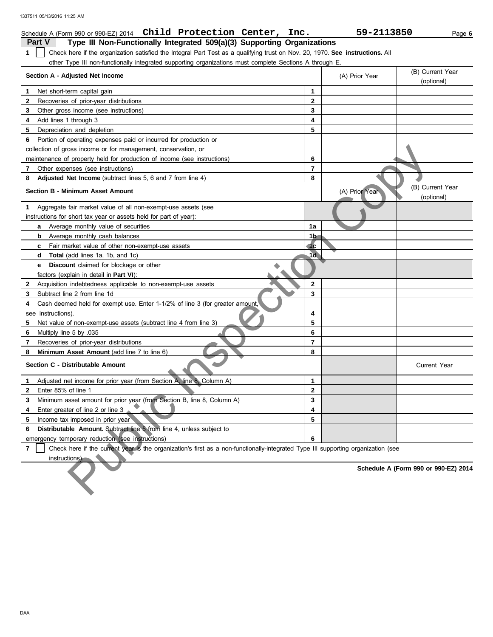| Schedule A (Form 990 or 990-EZ) 2014 Child Protection Center,                                                                          | Inc.                   | 59-2113850     | Page 6                               |
|----------------------------------------------------------------------------------------------------------------------------------------|------------------------|----------------|--------------------------------------|
| <b>Part V</b><br>Type III Non-Functionally Integrated 509(a)(3) Supporting Organizations                                               |                        |                |                                      |
| Check here if the organization satisfied the Integral Part Test as a qualifying trust on Nov. 20, 1970. See instructions. All<br>1     |                        |                |                                      |
| other Type III non-functionally integrated supporting organizations must complete Sections A through E.                                |                        |                |                                      |
| Section A - Adjusted Net Income                                                                                                        |                        | (A) Prior Year | (B) Current Year                     |
|                                                                                                                                        |                        |                | (optional)                           |
| Net short-term capital gain                                                                                                            | 1                      |                |                                      |
| Recoveries of prior-year distributions<br>2                                                                                            | $\mathbf{2}$           |                |                                      |
| Other gross income (see instructions)<br>3                                                                                             | 3                      |                |                                      |
| Add lines 1 through 3<br>4                                                                                                             | 4                      |                |                                      |
| Depreciation and depletion<br>5                                                                                                        | 5                      |                |                                      |
| Portion of operating expenses paid or incurred for production or<br>6                                                                  |                        |                |                                      |
| collection of gross income or for management, conservation, or                                                                         |                        |                |                                      |
| maintenance of property held for production of income (see instructions)                                                               | 6                      |                |                                      |
| Other expenses (see instructions)<br>7                                                                                                 | $\overline{7}$         |                |                                      |
| Adjusted Net Income (subtract lines 5, 6 and 7 from line 4)<br>8                                                                       | 8                      |                |                                      |
| <b>Section B - Minimum Asset Amount</b>                                                                                                |                        | (A) Prior Year | (B) Current Year<br>(optional)       |
| Aggregate fair market value of all non-exempt-use assets (see<br>1                                                                     |                        |                |                                      |
| instructions for short tax year or assets held for part of year):                                                                      |                        |                |                                      |
| Average monthly value of securities<br>a                                                                                               | 1a                     |                |                                      |
| Average monthly cash balances<br>b                                                                                                     | 1b-                    |                |                                      |
| Fair market value of other non-exempt-use assets<br>c                                                                                  | $\blacktriangleleft$ c |                |                                      |
| Total (add lines 1a, 1b, and 1c)<br>d                                                                                                  | 1 <sub>d</sub>         |                |                                      |
| <b>Discount</b> claimed for blockage or other<br>е                                                                                     |                        |                |                                      |
| factors (explain in detail in Part VI):                                                                                                |                        |                |                                      |
| Acquisition indebtedness applicable to non-exempt-use assets<br>2                                                                      | $\mathbf 2$            |                |                                      |
| Subtract line 2 from line 1d<br>3                                                                                                      | 3                      |                |                                      |
| Cash deemed held for exempt use. Enter 1-1/2% of line 3 (for greater amount,<br>4                                                      |                        |                |                                      |
| see instructions).                                                                                                                     | 4                      |                |                                      |
| Net value of non-exempt-use assets (subtract line 4 from line 3)<br>5                                                                  | 5                      |                |                                      |
| Multiply line 5 by .035<br>6                                                                                                           | 6                      |                |                                      |
| Recoveries of prior-year distributions<br>7                                                                                            | $\overline{7}$         |                |                                      |
| Minimum Asset Amount (add line 7 to line 6)<br>8                                                                                       | 8                      |                |                                      |
| Section C - Distributable Amount                                                                                                       |                        |                | <b>Current Year</b>                  |
| Adjusted net income for prior year (from Section A, line 8, Column A)                                                                  | 1                      |                |                                      |
| Enter 85% of line 1                                                                                                                    | $\mathbf 2$            |                |                                      |
| Minimum asset amount for prior year (from Section B, line 8, Column A)<br>3                                                            | 3                      |                |                                      |
| Enter greater of line 2 or line 3<br>4                                                                                                 | 4                      |                |                                      |
| Income tax imposed in prior year<br>5                                                                                                  | 5                      |                |                                      |
| Distributable Amount. Subtract line 5 from line 4, unless subject to<br>6                                                              |                        |                |                                      |
| emergency temporary reduction (see instructions)                                                                                       | 6                      |                |                                      |
| Check here if the current year is the organization's first as a non-functionally-integrated Type III supporting organization (see<br>7 |                        |                |                                      |
| instructions).                                                                                                                         |                        |                | Schedule A (Form 990 or 990-EZ) 2014 |
|                                                                                                                                        |                        |                |                                      |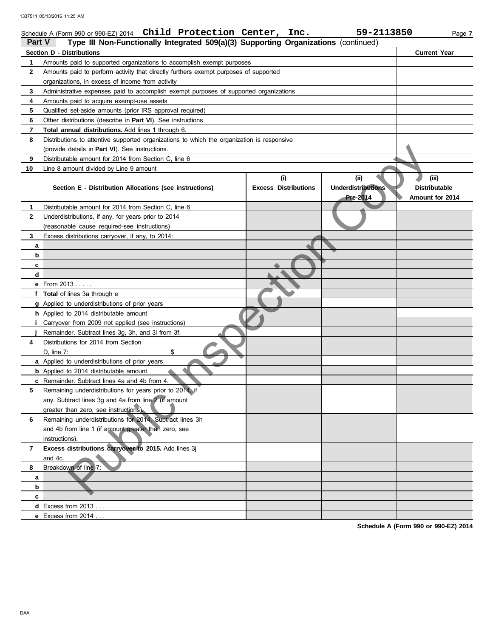|                | Schedule A (Form 990 or 990-EZ) 2014 Child Protection Center, Inc.                         |                             | 59-2113850                | Page 7               |
|----------------|--------------------------------------------------------------------------------------------|-----------------------------|---------------------------|----------------------|
| <b>Part V</b>  | Type III Non-Functionally Integrated 509(a)(3) Supporting Organizations (continued)        |                             |                           |                      |
|                | Section D - Distributions                                                                  |                             |                           | <b>Current Year</b>  |
| 1              | Amounts paid to supported organizations to accomplish exempt purposes                      |                             |                           |                      |
| $\mathbf{2}$   | Amounts paid to perform activity that directly furthers exempt purposes of supported       |                             |                           |                      |
|                | organizations, in excess of income from activity                                           |                             |                           |                      |
| 3              | Administrative expenses paid to accomplish exempt purposes of supported organizations      |                             |                           |                      |
| 4              | Amounts paid to acquire exempt-use assets                                                  |                             |                           |                      |
| 5              | Qualified set-aside amounts (prior IRS approval required)                                  |                             |                           |                      |
| 6              | Other distributions (describe in Part VI). See instructions.                               |                             |                           |                      |
| 7              | <b>Total annual distributions.</b> Add lines 1 through 6.                                  |                             |                           |                      |
| 8              | Distributions to attentive supported organizations to which the organization is responsive |                             |                           |                      |
|                | (provide details in <b>Part VI</b> ). See instructions.                                    |                             |                           |                      |
| 9              | Distributable amount for 2014 from Section C, line 6                                       |                             |                           |                      |
| 10             | Line 8 amount divided by Line 9 amount                                                     |                             |                           |                      |
|                |                                                                                            | (i)                         | (ii)                      | (iii)                |
|                | Section E - Distribution Allocations (see instructions)                                    | <b>Excess Distributions</b> | <b>Underdistributions</b> | <b>Distributable</b> |
|                |                                                                                            |                             | Pre-2014                  | Amount for 2014      |
| 1              | Distributable amount for 2014 from Section C, line 6                                       |                             |                           |                      |
| $\mathbf{2}$   | Underdistributions, if any, for years prior to 2014                                        |                             |                           |                      |
|                | (reasonable cause required-see instructions)                                               |                             |                           |                      |
| 3              | Excess distributions carryover, if any, to 2014:                                           |                             |                           |                      |
| а              |                                                                                            |                             |                           |                      |
| b              |                                                                                            |                             |                           |                      |
| c              |                                                                                            |                             |                           |                      |
| d              |                                                                                            |                             |                           |                      |
|                | e From 2013                                                                                |                             |                           |                      |
|                | f Total of lines 3a through e                                                              |                             |                           |                      |
|                | g Applied to underdistributions of prior years                                             |                             |                           |                      |
|                | <b>h</b> Applied to 2014 distributable amount                                              |                             |                           |                      |
| $\mathbf{L}$   | Carryover from 2009 not applied (see instructions)                                         |                             |                           |                      |
|                | Remainder. Subtract lines 3g, 3h, and 3i from 3f.                                          |                             |                           |                      |
| 4              | Distributions for 2014 from Section                                                        |                             |                           |                      |
|                | \$<br>D, line $7:$                                                                         |                             |                           |                      |
|                | a Applied to underdistributions of prior years                                             |                             |                           |                      |
|                | <b>b</b> Applied to 2014 distributable amount                                              |                             |                           |                      |
|                | c Remainder. Subtract lines 4a and 4b from 4.                                              |                             |                           |                      |
|                | Remaining underdistributions for years prior to 2014, if                                   |                             |                           |                      |
|                | any. Subtract lines 3g and 4a from line 2 (if amount                                       |                             |                           |                      |
|                | greater than zero, see instructions).                                                      |                             |                           |                      |
| 6              | Remaining underdistributions for 2014. Subtract lines 3h                                   |                             |                           |                      |
|                | and 4b from line 1 (if amount greater than zero, see                                       |                             |                           |                      |
|                | instructions).                                                                             |                             |                           |                      |
| $\overline{7}$ | Excess distributions carryover to 2015. Add lines 3j                                       |                             |                           |                      |
|                | and 4c.                                                                                    |                             |                           |                      |
| 8              | Breakdown of line 7:                                                                       |                             |                           |                      |
| a              |                                                                                            |                             |                           |                      |
| b              |                                                                                            |                             |                           |                      |
| c              |                                                                                            |                             |                           |                      |
|                | $d$ Excess from 2013.                                                                      |                             |                           |                      |
|                | e Excess from 2014.                                                                        |                             |                           |                      |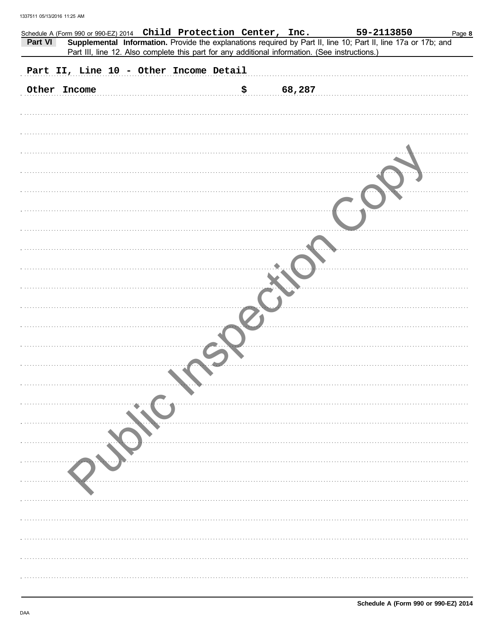|         | Schedule A (Form 990 or 990-EZ) 2014    Child Protection Center, Inc. |  |  |                           |                                                                                                | 59-2113850                                                                                                     | Page 8 |
|---------|-----------------------------------------------------------------------|--|--|---------------------------|------------------------------------------------------------------------------------------------|----------------------------------------------------------------------------------------------------------------|--------|
| Part VI |                                                                       |  |  |                           |                                                                                                | Supplemental Information. Provide the explanations required by Part II, line 10; Part II, line 17a or 17b; and |        |
|         |                                                                       |  |  |                           | Part III, line 12. Also complete this part for any additional information. (See instructions.) |                                                                                                                |        |
|         | Part II, Line 10 - Other Income Detail                                |  |  |                           |                                                                                                |                                                                                                                |        |
|         |                                                                       |  |  |                           |                                                                                                |                                                                                                                |        |
|         | Other Income                                                          |  |  | $\boldsymbol{\mathsf{S}}$ | 68,287                                                                                         |                                                                                                                |        |
|         |                                                                       |  |  |                           |                                                                                                |                                                                                                                |        |
|         |                                                                       |  |  |                           |                                                                                                |                                                                                                                |        |
|         |                                                                       |  |  |                           |                                                                                                |                                                                                                                |        |
|         |                                                                       |  |  |                           |                                                                                                |                                                                                                                |        |
|         |                                                                       |  |  |                           |                                                                                                |                                                                                                                |        |
|         |                                                                       |  |  |                           |                                                                                                |                                                                                                                |        |
|         |                                                                       |  |  |                           |                                                                                                |                                                                                                                |        |
|         |                                                                       |  |  |                           |                                                                                                |                                                                                                                |        |
|         |                                                                       |  |  |                           |                                                                                                |                                                                                                                |        |
|         |                                                                       |  |  |                           |                                                                                                |                                                                                                                |        |
|         |                                                                       |  |  |                           |                                                                                                |                                                                                                                |        |
|         |                                                                       |  |  |                           |                                                                                                |                                                                                                                |        |
|         |                                                                       |  |  |                           |                                                                                                |                                                                                                                |        |
|         |                                                                       |  |  |                           |                                                                                                |                                                                                                                |        |
|         |                                                                       |  |  |                           |                                                                                                |                                                                                                                |        |
|         |                                                                       |  |  |                           |                                                                                                |                                                                                                                |        |
|         |                                                                       |  |  |                           |                                                                                                |                                                                                                                |        |
|         |                                                                       |  |  |                           |                                                                                                |                                                                                                                |        |
|         |                                                                       |  |  |                           |                                                                                                |                                                                                                                |        |
|         |                                                                       |  |  |                           |                                                                                                |                                                                                                                |        |
|         |                                                                       |  |  |                           |                                                                                                |                                                                                                                |        |
|         |                                                                       |  |  |                           |                                                                                                |                                                                                                                |        |
|         |                                                                       |  |  |                           |                                                                                                |                                                                                                                |        |
|         |                                                                       |  |  |                           |                                                                                                |                                                                                                                |        |
|         |                                                                       |  |  |                           |                                                                                                |                                                                                                                |        |
|         |                                                                       |  |  |                           |                                                                                                |                                                                                                                |        |
|         |                                                                       |  |  |                           |                                                                                                |                                                                                                                |        |
|         |                                                                       |  |  |                           |                                                                                                |                                                                                                                |        |
|         |                                                                       |  |  |                           |                                                                                                |                                                                                                                |        |
|         |                                                                       |  |  |                           |                                                                                                |                                                                                                                |        |
|         |                                                                       |  |  |                           |                                                                                                |                                                                                                                |        |
|         |                                                                       |  |  |                           |                                                                                                |                                                                                                                |        |
|         |                                                                       |  |  |                           |                                                                                                |                                                                                                                |        |
|         |                                                                       |  |  |                           |                                                                                                |                                                                                                                |        |
|         |                                                                       |  |  |                           |                                                                                                |                                                                                                                |        |
|         |                                                                       |  |  |                           |                                                                                                |                                                                                                                |        |
|         |                                                                       |  |  |                           |                                                                                                |                                                                                                                |        |
|         |                                                                       |  |  |                           |                                                                                                |                                                                                                                |        |
|         |                                                                       |  |  |                           |                                                                                                |                                                                                                                |        |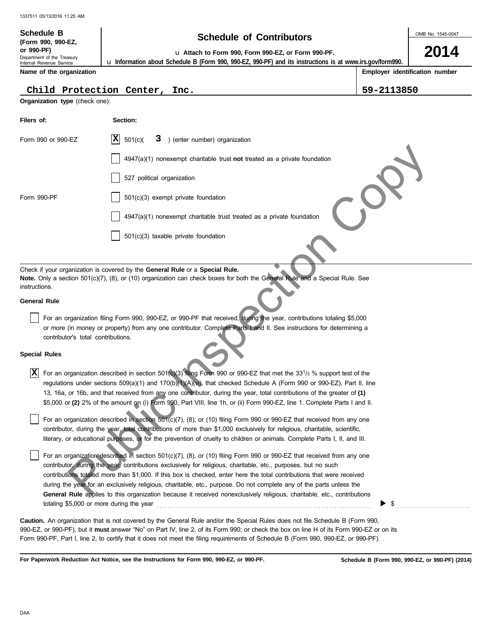| 1337511 05/13/2016 11:25 AM                                    |                                                                                                                                                                                                                                                                                                                                                                                                                        |            |                   |  |  |  |  |  |  |
|----------------------------------------------------------------|------------------------------------------------------------------------------------------------------------------------------------------------------------------------------------------------------------------------------------------------------------------------------------------------------------------------------------------------------------------------------------------------------------------------|------------|-------------------|--|--|--|--|--|--|
| <b>Schedule B</b>                                              | <b>Schedule of Contributors</b>                                                                                                                                                                                                                                                                                                                                                                                        |            | OMB No. 1545-0047 |  |  |  |  |  |  |
| (Form 990, 990-EZ,<br>or 990-PF)<br>Department of the Treasury | 2014<br>u Attach to Form 990, Form 990-EZ, or Form 990-PF.                                                                                                                                                                                                                                                                                                                                                             |            |                   |  |  |  |  |  |  |
| Internal Revenue Service<br>Name of the organization           | u Information about Schedule B (Form 990, 990-EZ, 990-PF) and its instructions is at www.irs.gov/form990.<br>Employer identification number                                                                                                                                                                                                                                                                            |            |                   |  |  |  |  |  |  |
|                                                                | Child Protection Center, Inc.                                                                                                                                                                                                                                                                                                                                                                                          | 59-2113850 |                   |  |  |  |  |  |  |
| <b>Organization type</b> (check one):                          |                                                                                                                                                                                                                                                                                                                                                                                                                        |            |                   |  |  |  |  |  |  |
| Filers of:                                                     | Section:                                                                                                                                                                                                                                                                                                                                                                                                               |            |                   |  |  |  |  |  |  |
| Form 990 or 990-EZ                                             | IXI<br>501(c)<br>3 ) (enter number) organization                                                                                                                                                                                                                                                                                                                                                                       |            |                   |  |  |  |  |  |  |
|                                                                | $4947(a)(1)$ nonexempt charitable trust not treated as a private foundation                                                                                                                                                                                                                                                                                                                                            |            |                   |  |  |  |  |  |  |
|                                                                | 527 political organization                                                                                                                                                                                                                                                                                                                                                                                             |            |                   |  |  |  |  |  |  |
| Form 990-PF                                                    | 501(c)(3) exempt private foundation                                                                                                                                                                                                                                                                                                                                                                                    |            |                   |  |  |  |  |  |  |
|                                                                | 4947(a)(1) nonexempt charitable trust treated as a private foundation                                                                                                                                                                                                                                                                                                                                                  |            |                   |  |  |  |  |  |  |
|                                                                | 501(c)(3) taxable private foundation                                                                                                                                                                                                                                                                                                                                                                                   |            |                   |  |  |  |  |  |  |
|                                                                |                                                                                                                                                                                                                                                                                                                                                                                                                        |            |                   |  |  |  |  |  |  |
| instructions.                                                  | Check if your organization is covered by the General Rule or a Special Rule.<br>Note. Only a section 501(c)(7), (8), or (10) organization can check boxes for both the General Rule and a Special Rule. See                                                                                                                                                                                                            |            |                   |  |  |  |  |  |  |
| <b>General Rule</b>                                            |                                                                                                                                                                                                                                                                                                                                                                                                                        |            |                   |  |  |  |  |  |  |
| contributor's total contributions.                             | For an organization filing Form 990, 990-EZ, or 990-PF that received, during the year, contributions totaling \$5,000<br>or more (in money or property) from any one contributor. Complete Parts I and II. See instructions for determining a                                                                                                                                                                          |            |                   |  |  |  |  |  |  |
| <b>Special Rules</b>                                           |                                                                                                                                                                                                                                                                                                                                                                                                                        |            |                   |  |  |  |  |  |  |
|                                                                | For an organization described in section 501(c)(3) filing Form 990 or 990-EZ that met the 33 <sup>1</sup> / <sub>3</sub> % support test of the                                                                                                                                                                                                                                                                         |            |                   |  |  |  |  |  |  |
|                                                                | regulations under sections 509(a)(1) and 170(b)(1)(A)(v), that checked Schedule A (Form 990 or 990-EZ), Part II, line                                                                                                                                                                                                                                                                                                  |            |                   |  |  |  |  |  |  |
|                                                                | 13, 16a, or 16b, and that received from any one contributor, during the year, total contributions of the greater of (1)<br>\$5,000 or (2) 2% of the amount on (i) Form 990, Part VIII, line 1h, or (ii) Form 990-EZ, line 1. Complete Parts I and II.                                                                                                                                                                  |            |                   |  |  |  |  |  |  |
|                                                                | For an organization described in section 501(c)(7), (8), or (10) filing Form 990 or 990-EZ that received from any one                                                                                                                                                                                                                                                                                                  |            |                   |  |  |  |  |  |  |
|                                                                | contributor, during the year, total contributions of more than \$1,000 exclusively for religious, charitable, scientific,                                                                                                                                                                                                                                                                                              |            |                   |  |  |  |  |  |  |
|                                                                | literary, or educational purposes, or for the prevention of cruelty to children or animals. Complete Parts I, II, and III.                                                                                                                                                                                                                                                                                             |            |                   |  |  |  |  |  |  |
|                                                                | For an organization described in section 501(c)(7), (8), or (10) filing Form 990 or 990-EZ that received from any one                                                                                                                                                                                                                                                                                                  |            |                   |  |  |  |  |  |  |
|                                                                | contributor, during the year, contributions exclusively for religious, charitable, etc., purposes, but no such<br>contributions totaled more than \$1,000. If this box is checked, enter here the total contributions that were received                                                                                                                                                                               |            |                   |  |  |  |  |  |  |
|                                                                | during the year for an exclusively religious, charitable, etc., purpose. Do not complete any of the parts unless the                                                                                                                                                                                                                                                                                                   |            |                   |  |  |  |  |  |  |
|                                                                | General Rule applies to this organization because it received nonexclusively religious, charitable, etc., contributions                                                                                                                                                                                                                                                                                                |            |                   |  |  |  |  |  |  |
| totaling \$5,000 or more during the year                       |                                                                                                                                                                                                                                                                                                                                                                                                                        | S          |                   |  |  |  |  |  |  |
|                                                                | <b>Caution.</b> An organization that is not covered by the General Rule and/or the Special Rules does not file Schedule B (Form 990,<br>990-EZ, or 990-PF), but it must answer "No" on Part IV, line 2, of its Form 990; or check the box on line H of its Form 990-EZ or on its<br>Form 990-PF, Part I, line 2, to certify that it does not meet the filing requirements of Schedule B (Form 990, 990-EZ, or 990-PF). |            |                   |  |  |  |  |  |  |

**For Paperwork Reduction Act Notice, see the Instructions for Form 990, 990-EZ, or 990-PF.**

**Schedule B (Form 990, 990-EZ, or 990-PF) (2014)**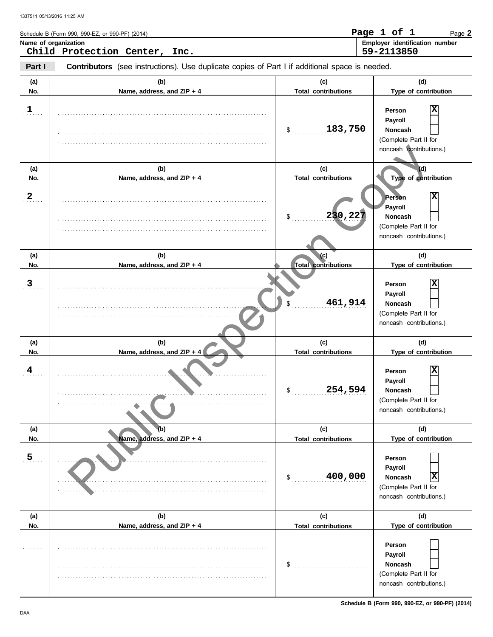|                  | Schedule B (Form 990, 990-EZ, or 990-PF) (2014)                                                |                                   | Page 1 of 1<br>Page 2                                                                                              |
|------------------|------------------------------------------------------------------------------------------------|-----------------------------------|--------------------------------------------------------------------------------------------------------------------|
|                  | Name of organization<br>Child Protection Center, Inc.                                          |                                   | Employer identification number<br>59-2113850                                                                       |
| Part I           | Contributors (see instructions). Use duplicate copies of Part I if additional space is needed. |                                   |                                                                                                                    |
| (a)<br>No.       | (b)<br>Name, address, and ZIP + 4                                                              | (c)<br><b>Total contributions</b> | (d)<br>Type of contribution                                                                                        |
| $\overline{1}$   |                                                                                                | 183,750<br>\$                     | х<br>Person<br>Payroll<br>Noncash<br>(Complete Part II for<br>noncash contributions.)                              |
| (a)              | (b)                                                                                            | (c)                               | (d)                                                                                                                |
| No.              | Name, address, and ZIP + 4                                                                     | <b>Total contributions</b>        | Type of contribution                                                                                               |
| $\boldsymbol{2}$ |                                                                                                | 230,227<br>\$                     | х<br>Person<br>Payroll<br>Noncash<br>(Complete Part II for<br>noncash contributions.)                              |
| (a)<br>No.       | (b)<br>Name, address, and ZIP + 4                                                              | (c)<br><b>Total contributions</b> | (d)<br>Type of contribution                                                                                        |
| 3                |                                                                                                | 461,914                           | Person<br>Payroll<br>Noncash<br>(Complete Part II for<br>noncash contributions.)                                   |
| (a)<br>No.       | (b)<br>Name, address, and ZIP + 4                                                              | (c)<br><b>Total contributions</b> | (d)<br>Type of contribution                                                                                        |
| 4                |                                                                                                | 254,594<br>Φ                      | x<br>Person<br>Payroll<br>Noncash<br>(Complete Part II for<br>noncash contributions.)                              |
| (a)              | (b)                                                                                            | (c)                               | (d)                                                                                                                |
| No.              | Name, address, and ZIP + 4                                                                     | <b>Total contributions</b>        | Type of contribution                                                                                               |
| $\overline{5}$   |                                                                                                | 400,000<br>\$                     | Person<br>Payroll<br>$\overline{\textbf{x}}$<br><b>Noncash</b><br>(Complete Part II for<br>noncash contributions.) |
| (a)              | (b)                                                                                            | (c)                               | (d)                                                                                                                |
| No.              | Name, address, and ZIP + 4                                                                     | <b>Total contributions</b>        | Type of contribution                                                                                               |
|                  |                                                                                                | \$                                | Person<br>Payroll<br><b>Noncash</b><br>(Complete Part II for<br>noncash contributions.)                            |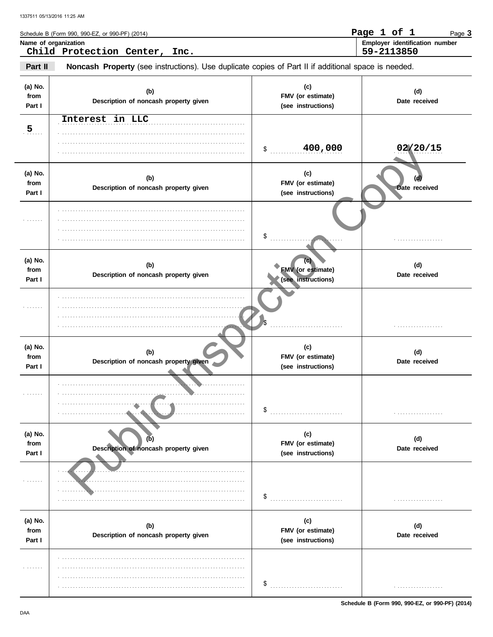$\overline{a}$ 

|                           | Schedule B (Form 990, 990-EZ, or 990-PF) (2014)<br>Name of organization                             | Page 1 of 1<br>Page 3<br>Employer identification number |                      |
|---------------------------|-----------------------------------------------------------------------------------------------------|---------------------------------------------------------|----------------------|
|                           | Child Protection Center,<br>Inc.                                                                    | 59-2113850                                              |                      |
| Part II                   | Noncash Property (see instructions). Use duplicate copies of Part II if additional space is needed. |                                                         |                      |
| (a) No.<br>from<br>Part I | (b)<br>Description of noncash property given                                                        | (c)<br>FMV (or estimate)<br>(see instructions)          | (d)<br>Date received |
| 5 <sub></sub>             | Interest in LLC                                                                                     | 400,000<br>$\frac{1}{2}$                                | 02/20/15             |
| (a) No.<br>from<br>Part I | (b)<br>Description of noncash property given                                                        | (c)<br>FMV (or estimate)<br>(see instructions)          | Date received        |
| .                         |                                                                                                     | \$                                                      |                      |
| (a) No.<br>from<br>Part I | (b)<br>Description of noncash property given                                                        | <b>FMV</b> (or estimate)<br>(see instructions)          | (d)<br>Date received |
| .                         |                                                                                                     |                                                         |                      |
| (a) No.<br>from<br>Part I | (b)<br>Description of noncash property given                                                        | (c)<br>FMV (or estimate)<br>(see instructions)          | (d)<br>Date received |
| .                         |                                                                                                     | \$                                                      |                      |
| (a) No.<br>from<br>Part I | (b)<br>Description of noncash property given                                                        | (c)<br>FMV (or estimate)<br>(see instructions)          | (d)<br>Date received |
|                           |                                                                                                     | \$                                                      |                      |
| (a) No.<br>from<br>Part I | (b)<br>Description of noncash property given                                                        | (c)<br>FMV (or estimate)<br>(see instructions)          | (d)<br>Date received |
|                           |                                                                                                     | \$                                                      |                      |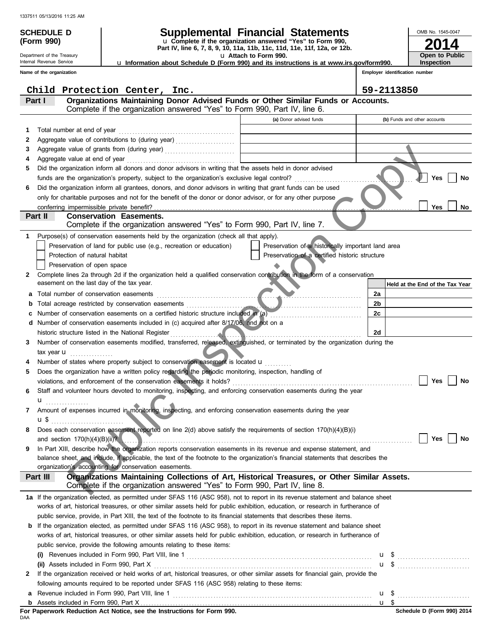**(Form 990)**

Department of the Treasury Internal Revenue Service

# **SCHEDULE D Supplemental Financial Statements**

**Part IV, line 6, 7, 8, 9, 10, 11a, 11b, 11c, 11d, 11e, 11f, 12a, or 12b.** u **Complete if the organization answered "Yes" to Form 990,**

u **Attach to Form 990.**  u **Information about Schedule D (Form 990) and its instructions is at www.irs.gov/form990.**

**Inspection**

**2014**

**Open to Public**

OMB No. 1545-0047

|   | Name of the organization                                                                                                                                                              | Employer identification number                     |                                 |    |
|---|---------------------------------------------------------------------------------------------------------------------------------------------------------------------------------------|----------------------------------------------------|---------------------------------|----|
|   |                                                                                                                                                                                       |                                                    | 59-2113850                      |    |
|   | Child Protection Center,<br>Inc.<br>Organizations Maintaining Donor Advised Funds or Other Similar Funds or Accounts.<br>Part I                                                       |                                                    |                                 |    |
|   | Complete if the organization answered "Yes" to Form 990, Part IV, line 6.                                                                                                             |                                                    |                                 |    |
|   |                                                                                                                                                                                       | (a) Donor advised funds                            | (b) Funds and other accounts    |    |
| 1 | Total number at end of year                                                                                                                                                           |                                                    |                                 |    |
| 2 |                                                                                                                                                                                       |                                                    |                                 |    |
| З |                                                                                                                                                                                       |                                                    |                                 |    |
| 4 | Aggregate value at end of year                                                                                                                                                        |                                                    |                                 |    |
| 5 | Did the organization inform all donors and donor advisors in writing that the assets held in donor advised                                                                            |                                                    |                                 |    |
|   | funds are the organization's property, subject to the organization's exclusive legal control?                                                                                         |                                                    | Yes                             | No |
| 6 | Did the organization inform all grantees, donors, and donor advisors in writing that grant funds can be used                                                                          |                                                    |                                 |    |
|   | only for charitable purposes and not for the benefit of the donor or donor advisor, or for any other purpose                                                                          |                                                    |                                 |    |
|   |                                                                                                                                                                                       |                                                    | <b>Yes</b>                      | No |
|   | Part II<br><b>Conservation Easements.</b>                                                                                                                                             |                                                    |                                 |    |
|   | Complete if the organization answered "Yes" to Form 990, Part IV, line 7.                                                                                                             |                                                    |                                 |    |
| 1 | Purpose(s) of conservation easements held by the organization (check all that apply).                                                                                                 |                                                    |                                 |    |
|   | Preservation of land for public use (e.g., recreation or education)                                                                                                                   | Preservation of a historically important land area |                                 |    |
|   | Protection of natural habitat                                                                                                                                                         | Preservation of a certified historic structure     |                                 |    |
|   | Preservation of open space                                                                                                                                                            |                                                    |                                 |    |
| 2 | Complete lines 2a through 2d if the organization held a qualified conservation contribution in the form of a conservation<br>easement on the last day of the tax year.                |                                                    | Held at the End of the Tax Year |    |
| a | Total number of conservation easements                                                                                                                                                |                                                    | 2a                              |    |
|   |                                                                                                                                                                                       |                                                    | 2b                              |    |
|   | Number of conservation easements on a certified historic structure included in (a)                                                                                                    |                                                    | 2c                              |    |
| d | Number of conservation easements included in (c) acquired after 8/17/06, and not on a                                                                                                 |                                                    |                                 |    |
|   | historic structure listed in the National Register                                                                                                                                    |                                                    | 2d                              |    |
| 3 | Number of conservation easements modified, transferred, released, extinguished, or terminated by the organization during the                                                          |                                                    |                                 |    |
|   | tax year <b>u</b>                                                                                                                                                                     |                                                    |                                 |    |
|   | Number of states where property subject to conservation easement is located u                                                                                                         |                                                    |                                 |    |
| 5 | Does the organization have a written policy regarding the periodic monitoring, inspection, handling of                                                                                |                                                    |                                 |    |
|   |                                                                                                                                                                                       |                                                    | Yes                             | No |
| 6 | Staff and volunteer hours devoted to monitoring, inspecting, and enforcing conservation easements during the year                                                                     |                                                    |                                 |    |
|   | u                                                                                                                                                                                     |                                                    |                                 |    |
| 7 | Amount of expenses incurred in monitoring, inspecting, and enforcing conservation easements during the year                                                                           |                                                    |                                 |    |
|   | u \$                                                                                                                                                                                  |                                                    |                                 |    |
|   | Does each conservation easement reported on line 2(d) above satisfy the requirements of section 170(h)(4)(B)(i)                                                                       |                                                    |                                 |    |
|   | and section $170(h)(4)(B)(ii)$ ?                                                                                                                                                      |                                                    | Yes                             | No |
| 9 | In Part XIII, describe how the organization reports conservation easements in its revenue and expense statement, and                                                                  |                                                    |                                 |    |
|   | balance sheet, and include, if applicable, the text of the footnote to the organization's financial statements that describes the                                                     |                                                    |                                 |    |
|   | organization's accounting for conservation easements.                                                                                                                                 |                                                    |                                 |    |
|   | Organizations Maintaining Collections of Art, Historical Treasures, or Other Similar Assets.<br>Part III<br>Complete if the organization answered "Yes" to Form 990, Part IV, line 8. |                                                    |                                 |    |
|   | 1a If the organization elected, as permitted under SFAS 116 (ASC 958), not to report in its revenue statement and balance sheet                                                       |                                                    |                                 |    |
|   | works of art, historical treasures, or other similar assets held for public exhibition, education, or research in furtherance of                                                      |                                                    |                                 |    |
|   | public service, provide, in Part XIII, the text of the footnote to its financial statements that describes these items.                                                               |                                                    |                                 |    |
| b | If the organization elected, as permitted under SFAS 116 (ASC 958), to report in its revenue statement and balance sheet                                                              |                                                    |                                 |    |
|   | works of art, historical treasures, or other similar assets held for public exhibition, education, or research in furtherance of                                                      |                                                    |                                 |    |
|   | public service, provide the following amounts relating to these items:                                                                                                                |                                                    |                                 |    |
|   |                                                                                                                                                                                       |                                                    | $\mathbf{u}$ \$                 |    |
|   |                                                                                                                                                                                       |                                                    |                                 |    |
| 2 | If the organization received or held works of art, historical treasures, or other similar assets for financial gain, provide the                                                      |                                                    |                                 |    |
|   | following amounts required to be reported under SFAS 116 (ASC 958) relating to these items:                                                                                           |                                                    |                                 |    |
| а |                                                                                                                                                                                       |                                                    | $u \sqrt{s}$                    |    |
|   |                                                                                                                                                                                       |                                                    | $u \$                           |    |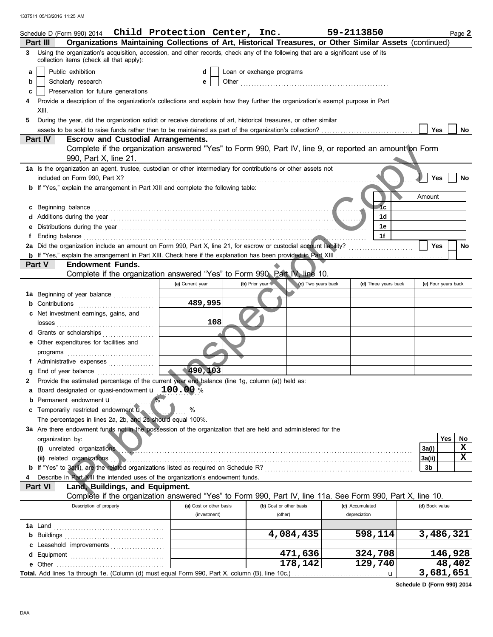|   | Schedule D (Form 990) 2014 $\,$ Child Protection Center, Inc.                                                                                                                                                                  |                                         |                                    |                    | 59-2113850                      |                | Page 2              |
|---|--------------------------------------------------------------------------------------------------------------------------------------------------------------------------------------------------------------------------------|-----------------------------------------|------------------------------------|--------------------|---------------------------------|----------------|---------------------|
|   | Organizations Maintaining Collections of Art, Historical Treasures, or Other Similar Assets (continued)<br>Part III                                                                                                            |                                         |                                    |                    |                                 |                |                     |
| 3 | Using the organization's acquisition, accession, and other records, check any of the following that are a significant use of its<br>collection items (check all that apply):                                                   |                                         |                                    |                    |                                 |                |                     |
| a | Public exhibition                                                                                                                                                                                                              | d                                       | Loan or exchange programs          |                    |                                 |                |                     |
| b | Scholarly research                                                                                                                                                                                                             | е                                       |                                    |                    |                                 |                |                     |
| c | Preservation for future generations                                                                                                                                                                                            |                                         |                                    |                    |                                 |                |                     |
|   | Provide a description of the organization's collections and explain how they further the organization's exempt purpose in Part                                                                                                 |                                         |                                    |                    |                                 |                |                     |
|   | XIII.                                                                                                                                                                                                                          |                                         |                                    |                    |                                 |                |                     |
| 5 | During the year, did the organization solicit or receive donations of art, historical treasures, or other similar                                                                                                              |                                         |                                    |                    |                                 |                |                     |
|   | assets to be sold to raise funds rather than to be maintained as part of the organization's collection?                                                                                                                        |                                         |                                    |                    |                                 | <b>Yes</b>     | No                  |
|   | Part IV<br><b>Escrow and Custodial Arrangements.</b>                                                                                                                                                                           |                                         |                                    |                    |                                 |                |                     |
|   | Complete if the organization answered "Yes" to Form 990, Part IV, line 9, or reported an amount on Form<br>990, Part X, line 21.                                                                                               |                                         |                                    |                    |                                 |                |                     |
|   | 1a Is the organization an agent, trustee, custodian or other intermediary for contributions or other assets not                                                                                                                |                                         |                                    |                    |                                 |                |                     |
|   |                                                                                                                                                                                                                                |                                         |                                    |                    |                                 | <b>Yes</b>     | No                  |
|   | b If "Yes," explain the arrangement in Part XIII and complete the following table:                                                                                                                                             |                                         |                                    |                    |                                 |                |                     |
|   |                                                                                                                                                                                                                                |                                         |                                    |                    |                                 | Amount         |                     |
| c |                                                                                                                                                                                                                                |                                         |                                    |                    | 1c                              |                |                     |
|   | Additions during the year contact and according the year contact the set of the set of the set of the set of the set of the set of the set of the set of the set of the set of the set of the set of the set of the set of the |                                         |                                    |                    | 1 <sub>d</sub>                  |                |                     |
|   | Distributions during the year manufactured and contact the year manufactured with the year manufactured with the state of the state of the state of the state of the state of the state of the state of the state of the state |                                         |                                    |                    | 1e                              |                |                     |
|   |                                                                                                                                                                                                                                |                                         |                                    |                    | 1f                              |                |                     |
|   | 2a Did the organization include an amount on Form 990, Part X, line 21, for escrow or custodial account liability?                                                                                                             |                                         |                                    |                    |                                 | <b>Yes</b>     | <b>No</b>           |
|   | <b>b</b> If "Yes," explain the arrangement in Part XIII. Check here if the explanation has been provided in Part XIII                                                                                                          |                                         |                                    |                    |                                 |                |                     |
|   | <b>Endowment Funds.</b><br><b>Part V</b>                                                                                                                                                                                       |                                         |                                    |                    |                                 |                |                     |
|   | Complete if the organization answered "Yes" to Form 990, Part IV, line 10.                                                                                                                                                     |                                         |                                    |                    |                                 |                |                     |
|   |                                                                                                                                                                                                                                | (a) Current year                        | (b) Prior year                     | (c) Two years back | (d) Three years back            |                | (e) Four years back |
|   | <b>1a</b> Beginning of year balance                                                                                                                                                                                            |                                         |                                    |                    |                                 |                |                     |
|   | <b>b</b> Contributions                                                                                                                                                                                                         | 489,995                                 |                                    |                    |                                 |                |                     |
|   | c Net investment earnings, gains, and                                                                                                                                                                                          |                                         |                                    |                    |                                 |                |                     |
|   |                                                                                                                                                                                                                                | 108                                     |                                    |                    |                                 |                |                     |
|   | d Grants or scholarships                                                                                                                                                                                                       |                                         |                                    |                    |                                 |                |                     |
|   | e Other expenditures for facilities and                                                                                                                                                                                        |                                         |                                    |                    |                                 |                |                     |
|   |                                                                                                                                                                                                                                |                                         |                                    |                    |                                 |                |                     |
|   | f Administrative expenses                                                                                                                                                                                                      |                                         |                                    |                    |                                 |                |                     |
|   | End of year balance                                                                                                                                                                                                            | 490,103                                 |                                    |                    |                                 |                |                     |
|   | 2 Provide the estimated percentage of the current year end balance (line 1g, column (a)) held as:                                                                                                                              |                                         |                                    |                    |                                 |                |                     |
|   | a Board designated or quasi-endowment u 100.00 %                                                                                                                                                                               |                                         |                                    |                    |                                 |                |                     |
|   | <b>b</b> Permanent endowment <b>u</b>                                                                                                                                                                                          |                                         |                                    |                    |                                 |                |                     |
|   | c Temporarily restricted endowment u                                                                                                                                                                                           | %                                       |                                    |                    |                                 |                |                     |
|   | The percentages in lines 2a, 2b, and 2c should equal 100%.                                                                                                                                                                     |                                         |                                    |                    |                                 |                |                     |
|   | 3a Are there endowment funds not in the possession of the organization that are held and administered for the                                                                                                                  |                                         |                                    |                    |                                 |                |                     |
|   | organization by:                                                                                                                                                                                                               |                                         |                                    |                    |                                 |                | <b>Yes</b><br>No    |
|   | (i) unrelated organizations                                                                                                                                                                                                    |                                         |                                    |                    |                                 | 3a(i)          | x                   |
|   | (ii) related organizations                                                                                                                                                                                                     |                                         |                                    |                    |                                 | 3a(ii)         | x                   |
|   |                                                                                                                                                                                                                                |                                         |                                    |                    |                                 | 3b             |                     |
|   | Describe in Part XIII the intended uses of the organization's endowment funds.                                                                                                                                                 |                                         |                                    |                    |                                 |                |                     |
|   | Land, Buildings, and Equipment.<br>Part VI                                                                                                                                                                                     |                                         |                                    |                    |                                 |                |                     |
|   | Complete if the organization answered "Yes" to Form 990, Part IV, line 11a. See Form 990, Part X, line 10.                                                                                                                     |                                         |                                    |                    |                                 |                |                     |
|   | Description of property                                                                                                                                                                                                        | (a) Cost or other basis<br>(investment) | (b) Cost or other basis<br>(other) |                    | (c) Accumulated<br>depreciation | (d) Book value |                     |
|   |                                                                                                                                                                                                                                |                                         |                                    |                    |                                 |                |                     |
|   | <b>1a</b> Land                                                                                                                                                                                                                 |                                         |                                    | 4,084,435          | 598,114                         |                | 3,486,321           |
| b |                                                                                                                                                                                                                                |                                         |                                    |                    |                                 |                |                     |
|   | Leasehold improvements                                                                                                                                                                                                         |                                         |                                    | 471,636            | 324,708                         |                | 146,928             |
|   |                                                                                                                                                                                                                                |                                         |                                    | 178,142            | 129,740                         |                | 48,402              |
|   | e Other<br>Total. Add lines 1a through 1e. (Column (d) must equal Form 990, Part X, column (B), line 10c.)                                                                                                                     |                                         |                                    |                    |                                 |                | 3,681,651           |
|   |                                                                                                                                                                                                                                |                                         |                                    |                    | u                               |                |                     |

**Schedule D (Form 990) 2014**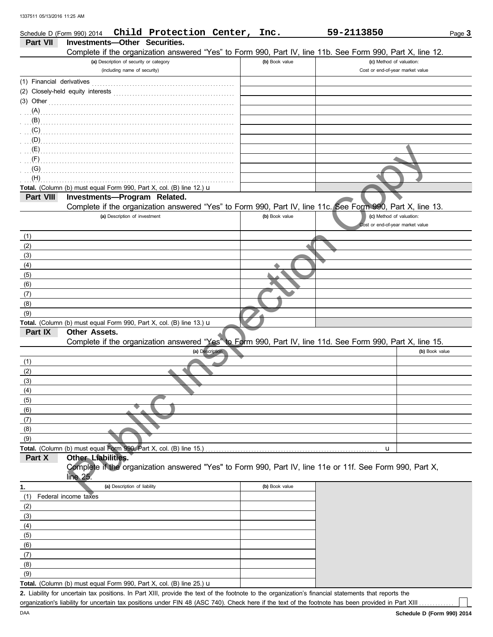|                           | Schedule D (Form 990) 2014 Child Protection Center, Inc.             |                 |                | 59-2113850                                                                                                 | Page 3         |
|---------------------------|----------------------------------------------------------------------|-----------------|----------------|------------------------------------------------------------------------------------------------------------|----------------|
| Part VII                  | <b>Investments-Other Securities.</b>                                 |                 |                |                                                                                                            |                |
|                           |                                                                      |                 |                | Complete if the organization answered "Yes" to Form 990, Part IV, line 11b. See Form 990, Part X, line 12. |                |
|                           | (a) Description of security or category                              |                 | (b) Book value | (c) Method of valuation:                                                                                   |                |
|                           | (including name of security)                                         |                 |                | Cost or end-of-year market value                                                                           |                |
| (1) Financial derivatives |                                                                      |                 |                |                                                                                                            |                |
|                           |                                                                      |                 |                |                                                                                                            |                |
| $(3)$ Other               |                                                                      |                 |                |                                                                                                            |                |
| (A)                       |                                                                      |                 |                |                                                                                                            |                |
| (B)                       |                                                                      |                 |                |                                                                                                            |                |
| (C)                       |                                                                      |                 |                |                                                                                                            |                |
| (D)                       |                                                                      |                 |                |                                                                                                            |                |
| (E)                       |                                                                      |                 |                |                                                                                                            |                |
| (F)                       |                                                                      |                 |                |                                                                                                            |                |
| (G)                       |                                                                      |                 |                |                                                                                                            |                |
| (H)                       |                                                                      |                 |                |                                                                                                            |                |
|                           | Total. (Column (b) must equal Form 990, Part X, col. (B) line 12.) u |                 |                |                                                                                                            |                |
| Part VIII                 | Investments-Program Related.                                         |                 |                |                                                                                                            |                |
|                           |                                                                      |                 |                | Complete if the organization answered "Yes" to Form 990, Part IV, line 11c. See Form 990, Part X, line 13. |                |
|                           | (a) Description of investment                                        |                 | (b) Book value | (c) Method of valuation:                                                                                   |                |
|                           |                                                                      |                 |                | Cost or end-of-year market value                                                                           |                |
| (1)                       |                                                                      |                 |                |                                                                                                            |                |
| (2)                       |                                                                      |                 |                |                                                                                                            |                |
| (3)                       |                                                                      |                 |                |                                                                                                            |                |
| (4)                       |                                                                      |                 |                |                                                                                                            |                |
| (5)                       |                                                                      |                 |                |                                                                                                            |                |
| (6)                       |                                                                      |                 |                |                                                                                                            |                |
| (7)                       |                                                                      |                 |                |                                                                                                            |                |
| (8)                       |                                                                      |                 |                |                                                                                                            |                |
| (9)                       |                                                                      |                 |                |                                                                                                            |                |
|                           | Total. (Column (b) must equal Form 990, Part X, col. (B) line 13.) u |                 |                |                                                                                                            |                |
| Part IX                   | Other Assets.                                                        |                 |                |                                                                                                            |                |
|                           |                                                                      |                 |                | Complete if the organization answered "Yes" to Form 990, Part IV, line 11d. See Form 990, Part X, line 15. |                |
|                           |                                                                      | (a) Description |                |                                                                                                            | (b) Book value |
| (1)                       |                                                                      |                 |                |                                                                                                            |                |
| (2)                       |                                                                      |                 |                |                                                                                                            |                |
| (3)                       |                                                                      |                 |                |                                                                                                            |                |
| (4)                       |                                                                      |                 |                |                                                                                                            |                |
| (5)                       |                                                                      |                 |                |                                                                                                            |                |
| (6)                       |                                                                      |                 |                |                                                                                                            |                |
| (7)                       |                                                                      |                 |                |                                                                                                            |                |
| (8)                       |                                                                      |                 |                |                                                                                                            |                |
| (9)                       |                                                                      |                 |                |                                                                                                            |                |
|                           | Total. (Column (b) must equal Form 990, Part X, col. (B) line 15.)   |                 |                | u                                                                                                          |                |
| Part X                    | Other Liabilities.                                                   |                 |                |                                                                                                            |                |
|                           |                                                                      |                 |                | Complete if the organization answered "Yes" to Form 990, Part IV, line 11e or 11f. See Form 990, Part X,   |                |
|                           | line 25.                                                             |                 |                |                                                                                                            |                |
| $\mathbf 1$ .             | (a) Description of liability                                         |                 | (b) Book value |                                                                                                            |                |
| (1)                       | Federal income taxes                                                 |                 |                |                                                                                                            |                |
| (2)                       |                                                                      |                 |                |                                                                                                            |                |
| (3)                       |                                                                      |                 |                |                                                                                                            |                |
| (4)                       |                                                                      |                 |                |                                                                                                            |                |
| (5)                       |                                                                      |                 |                |                                                                                                            |                |
| (6)                       |                                                                      |                 |                |                                                                                                            |                |
| (7)                       |                                                                      |                 |                |                                                                                                            |                |
| (8)                       |                                                                      |                 |                |                                                                                                            |                |
| (9)                       |                                                                      |                 |                |                                                                                                            |                |

Total. (Column (b) must equal Form 990, Part X, col. (B) line 25.) **u** 

Liability for uncertain tax positions. In Part XIII, provide the text of the footnote to the organization's financial statements that reports the **2.** organization's liability for uncertain tax positions under FIN 48 (ASC 740). Check here if the text of the footnote has been provided in Part XIII

| 9-2113850 |  |  |  |  |  |  |  |
|-----------|--|--|--|--|--|--|--|
|-----------|--|--|--|--|--|--|--|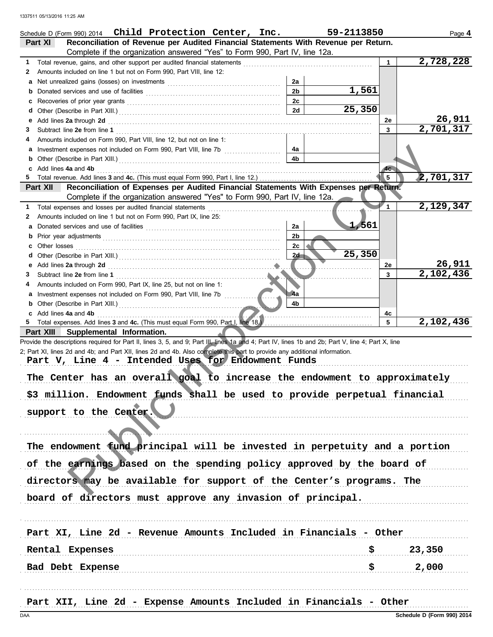|        | Schedule D (Form 990) 2014 Child Protection Center, Inc.                                                                                                                                                                                                                                             |                | 59-2113850 |                      | Page 4                 |
|--------|------------------------------------------------------------------------------------------------------------------------------------------------------------------------------------------------------------------------------------------------------------------------------------------------------|----------------|------------|----------------------|------------------------|
|        | Reconciliation of Revenue per Audited Financial Statements With Revenue per Return.<br>Part XI                                                                                                                                                                                                       |                |            |                      |                        |
|        | Complete if the organization answered "Yes" to Form 990, Part IV, line 12a.                                                                                                                                                                                                                          |                |            |                      |                        |
| 1      | Total revenue, gains, and other support per audited financial statements                                                                                                                                                                                                                             |                |            | 1                    | 2,728,228              |
| 2      | Amounts included on line 1 but not on Form 990, Part VIII, line 12:                                                                                                                                                                                                                                  | 2a             |            |                      |                        |
| а<br>b |                                                                                                                                                                                                                                                                                                      | 2 <sub>b</sub> | 1,561      |                      |                        |
| c      |                                                                                                                                                                                                                                                                                                      | 2c             |            |                      |                        |
| d      |                                                                                                                                                                                                                                                                                                      | 2d             | 25,350     |                      |                        |
| е      | Add lines 2a through 2d [11] Additional Additional Additional Additional Additional Additional Additional Additional Additional Additional Additional Additional Additional Additional Additional Additional Additional Additi                                                                       |                |            | 2e                   | 26,911                 |
| З      |                                                                                                                                                                                                                                                                                                      |                |            | 3                    | $\overline{2,701,317}$ |
|        | Amounts included on Form 990, Part VIII, line 12, but not on line 1:                                                                                                                                                                                                                                 |                |            |                      |                        |
| а      |                                                                                                                                                                                                                                                                                                      | 4а             |            |                      |                        |
| b      |                                                                                                                                                                                                                                                                                                      | 4b             |            |                      |                        |
|        | Add lines 4a and 4b                                                                                                                                                                                                                                                                                  |                |            | 4c<br>$\sqrt{5}$     | 2,701,317              |
|        | Reconciliation of Expenses per Audited Financial Statements With Expenses per Return.<br>Part XII                                                                                                                                                                                                    |                |            |                      |                        |
|        | Complete if the organization answered "Yes" to Form 990, Part IV, line 12a.                                                                                                                                                                                                                          |                |            |                      |                        |
|        | Total expenses and losses per audited financial statements                                                                                                                                                                                                                                           |                |            | $\blacktriangleleft$ | 2,129,347              |
| 2      | Amounts included on line 1 but not on Form 990, Part IX, line 25:                                                                                                                                                                                                                                    |                |            |                      |                        |
|        |                                                                                                                                                                                                                                                                                                      | 2a             | 1,561      |                      |                        |
|        |                                                                                                                                                                                                                                                                                                      | 2 <sub>b</sub> |            |                      |                        |
|        | Other losses                                                                                                                                                                                                                                                                                         | 2c             |            |                      |                        |
| d      |                                                                                                                                                                                                                                                                                                      | 2d             | 25,350     |                      |                        |
| е      |                                                                                                                                                                                                                                                                                                      |                |            | 2e                   | 26,911                 |
| З      |                                                                                                                                                                                                                                                                                                      |                |            | 3                    | 2,102,436              |
|        | Amounts included on Form 990, Part IX, line 25, but not on line 1:                                                                                                                                                                                                                                   |                |            |                      |                        |
| а<br>b | Investment expenses not included on Form 990, Part VIII, line 7b [<br>Other (Describe in Part XIII.) [11] [2010] [2010] [2010] [2010] [2010] [2010] [2010] [2010] [2010] [2010] [2010] [2010] [2010] [2010] [2010] [2010] [2010] [2010] [2010] [2010] [2010] [2010] [2010] [2010] [2010] [2010] [201 | Aa<br>4b       |            |                      |                        |
|        | c Add lines 4a and 4b                                                                                                                                                                                                                                                                                |                |            | 4c                   |                        |
|        | Total expenses. Add lines 3 and 4c. (This must equal Form 990, Part I, line 18.)                                                                                                                                                                                                                     |                |            | 5                    | 2,102,436              |
|        | Part XIII Supplemental Information.                                                                                                                                                                                                                                                                  |                |            |                      |                        |
|        | Provide the descriptions required for Part II, lines 3, 5, and 9; Part III, lines 1a and 4; Part IV, lines 1b and 2b; Part V, line 4; Part X, line                                                                                                                                                   |                |            |                      |                        |
|        | 2; Part XI, lines 2d and 4b; and Part XII, lines 2d and 4b. Also complete this part to provide any additional information.                                                                                                                                                                           |                |            |                      |                        |
|        | Part V, Line 4 - Intended Uses for Endowment Funds                                                                                                                                                                                                                                                   |                |            |                      |                        |
|        | The Center has an overall goal to increase the endowment to approximately                                                                                                                                                                                                                            |                |            |                      |                        |
|        |                                                                                                                                                                                                                                                                                                      |                |            |                      |                        |
|        | \$3 million. Endowment funds shall be used to provide perpetual financial                                                                                                                                                                                                                            |                |            |                      |                        |
|        | support to the Center.                                                                                                                                                                                                                                                                               |                |            |                      |                        |
|        |                                                                                                                                                                                                                                                                                                      |                |            |                      |                        |
|        |                                                                                                                                                                                                                                                                                                      |                |            |                      |                        |
|        |                                                                                                                                                                                                                                                                                                      |                |            |                      |                        |
|        | The endowment fund principal will be invested in perpetuity and a portion                                                                                                                                                                                                                            |                |            |                      |                        |
|        | of the earnings based on the spending policy approved by the board of                                                                                                                                                                                                                                |                |            |                      |                        |
|        | directors may be available for support of the Center's programs. The                                                                                                                                                                                                                                 |                |            |                      |                        |
|        | board of directors must approve any invasion of principal.                                                                                                                                                                                                                                           |                |            |                      |                        |
|        |                                                                                                                                                                                                                                                                                                      |                |            |                      |                        |
|        |                                                                                                                                                                                                                                                                                                      |                |            |                      |                        |
|        |                                                                                                                                                                                                                                                                                                      |                |            |                      |                        |
|        | Part XI, Line 2d - Revenue Amounts Included in Financials - Other                                                                                                                                                                                                                                    |                |            |                      |                        |
|        | Rental Expenses                                                                                                                                                                                                                                                                                      |                | \$.        |                      | 23,350                 |
|        |                                                                                                                                                                                                                                                                                                      |                |            |                      |                        |
|        | Bad Debt Expense                                                                                                                                                                                                                                                                                     |                | \$         |                      | 2,000                  |
|        |                                                                                                                                                                                                                                                                                                      |                |            |                      |                        |
|        |                                                                                                                                                                                                                                                                                                      |                |            |                      |                        |
|        | Part XII, Line 2d - Expense Amounts Included in Financials - Other                                                                                                                                                                                                                                   |                |            |                      |                        |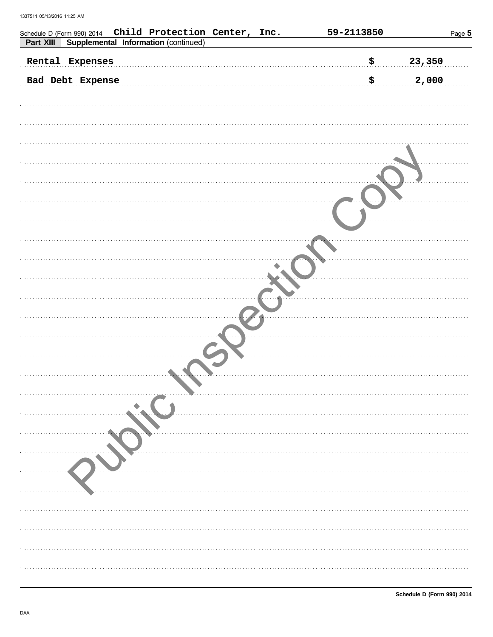| Child Protection Center, Inc.<br>Schedule D (Form 990) 2014          | 59-2113850 | Page 5 |
|----------------------------------------------------------------------|------------|--------|
| Supplemental Information (continued)<br>Part XIII<br>Rental Expenses | \$         | 23,350 |
|                                                                      |            |        |
| Bad Debt Expense                                                     | \$         | 2,000  |
|                                                                      |            |        |
|                                                                      |            |        |
|                                                                      |            |        |
|                                                                      |            |        |
|                                                                      |            |        |
|                                                                      |            |        |
|                                                                      |            |        |
|                                                                      |            |        |
|                                                                      |            |        |
|                                                                      |            |        |
|                                                                      |            |        |
|                                                                      |            |        |
|                                                                      |            |        |
|                                                                      |            |        |
|                                                                      |            |        |
|                                                                      |            |        |
|                                                                      |            |        |
|                                                                      |            | .      |
|                                                                      |            |        |
|                                                                      |            | .      |
|                                                                      |            |        |
|                                                                      |            |        |
|                                                                      |            |        |
|                                                                      |            |        |
|                                                                      |            |        |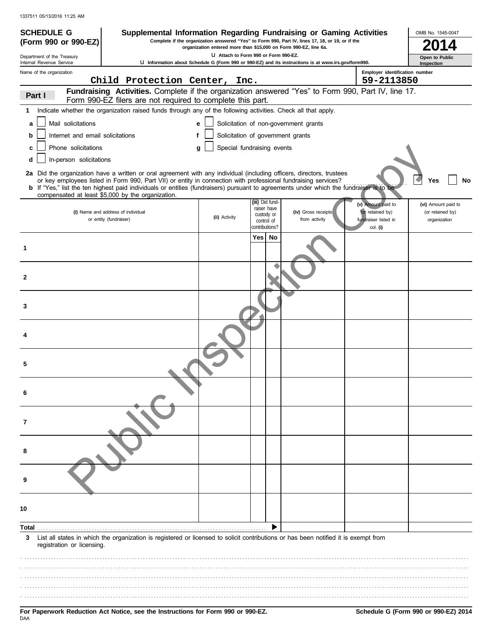| <b>SCHEDULE G</b>                                      | Supplemental Information Regarding Fundraising or Gaming Activities                                                                                                                                                                                                                                                                                                                                                                    |                                                                  |                                   |                                                                                                     |                                              | OMB No. 1545-0047                |
|--------------------------------------------------------|----------------------------------------------------------------------------------------------------------------------------------------------------------------------------------------------------------------------------------------------------------------------------------------------------------------------------------------------------------------------------------------------------------------------------------------|------------------------------------------------------------------|-----------------------------------|-----------------------------------------------------------------------------------------------------|----------------------------------------------|----------------------------------|
| (Form 990 or 990-EZ)                                   |                                                                                                                                                                                                                                                                                                                                                                                                                                        | organization entered more than \$15,000 on Form 990-EZ, line 6a. |                                   | Complete if the organization answered "Yes" to Form 990, Part IV, lines 17, 18, or 19, or if the    |                                              |                                  |
| Department of the Treasury<br>Internal Revenue Service |                                                                                                                                                                                                                                                                                                                                                                                                                                        | LI Attach to Form 990 or Form 990-EZ.                            |                                   | U Information about Schedule G (Form 990 or 990-EZ) and its instructions is at www.irs.gov/form990. |                                              | Open to Public                   |
| Name of the organization                               | Child Protection Center, Inc.                                                                                                                                                                                                                                                                                                                                                                                                          |                                                                  |                                   |                                                                                                     | Employer identification number<br>59-2113850 | Inspection                       |
| Part I                                                 | Fundraising Activities. Complete if the organization answered "Yes" to Form 990, Part IV, line 17.                                                                                                                                                                                                                                                                                                                                     |                                                                  |                                   |                                                                                                     |                                              |                                  |
|                                                        | Form 990-EZ filers are not required to complete this part.                                                                                                                                                                                                                                                                                                                                                                             |                                                                  |                                   |                                                                                                     |                                              |                                  |
| 1                                                      | Indicate whether the organization raised funds through any of the following activities. Check all that apply.                                                                                                                                                                                                                                                                                                                          |                                                                  |                                   |                                                                                                     |                                              |                                  |
| Mail solicitations<br>a                                |                                                                                                                                                                                                                                                                                                                                                                                                                                        | e                                                                |                                   | Solicitation of non-government grants                                                               |                                              |                                  |
| Internet and email solicitations<br>b                  |                                                                                                                                                                                                                                                                                                                                                                                                                                        | f                                                                | Solicitation of government grants |                                                                                                     |                                              |                                  |
| Phone solicitations<br>c                               |                                                                                                                                                                                                                                                                                                                                                                                                                                        | g                                                                | Special fundraising events        |                                                                                                     |                                              |                                  |
| In-person solicitations<br>d                           |                                                                                                                                                                                                                                                                                                                                                                                                                                        |                                                                  |                                   |                                                                                                     |                                              |                                  |
|                                                        | 2a Did the organization have a written or oral agreement with any individual (including officers, directors, trustees<br>or key employees listed in Form 990, Part VII) or entity in connection with professional fundraising services?<br>b If "Yes," list the ten highest paid individuals or entities (fundraisers) pursuant to agreements under which the fundraiser is to be<br>compensated at least \$5,000 by the organization. |                                                                  |                                   |                                                                                                     |                                              | <b>No</b><br>Yes                 |
|                                                        |                                                                                                                                                                                                                                                                                                                                                                                                                                        |                                                                  | (iii) Did fund-<br>raiser have    |                                                                                                     | (v) Amount paid to                           | (vi) Amount paid to              |
|                                                        | (i) Name and address of individual<br>or entity (fundraiser)                                                                                                                                                                                                                                                                                                                                                                           | (ii) Activity                                                    | custody or<br>control of          | (iv) Gross receipts<br>from activity                                                                | (or retained by)<br>fundraiser listed in     | (or retained by)<br>organization |
|                                                        |                                                                                                                                                                                                                                                                                                                                                                                                                                        |                                                                  | contributions?                    |                                                                                                     | col. (i)                                     |                                  |
| 1                                                      |                                                                                                                                                                                                                                                                                                                                                                                                                                        |                                                                  | Yes l<br>No                       |                                                                                                     |                                              |                                  |
| 2                                                      |                                                                                                                                                                                                                                                                                                                                                                                                                                        |                                                                  |                                   |                                                                                                     |                                              |                                  |
| 3                                                      |                                                                                                                                                                                                                                                                                                                                                                                                                                        |                                                                  |                                   |                                                                                                     |                                              |                                  |
| 4                                                      |                                                                                                                                                                                                                                                                                                                                                                                                                                        |                                                                  |                                   |                                                                                                     |                                              |                                  |
| 5                                                      |                                                                                                                                                                                                                                                                                                                                                                                                                                        |                                                                  |                                   |                                                                                                     |                                              |                                  |
| 6                                                      |                                                                                                                                                                                                                                                                                                                                                                                                                                        |                                                                  |                                   |                                                                                                     |                                              |                                  |
| 7                                                      |                                                                                                                                                                                                                                                                                                                                                                                                                                        |                                                                  |                                   |                                                                                                     |                                              |                                  |
| 8                                                      |                                                                                                                                                                                                                                                                                                                                                                                                                                        |                                                                  |                                   |                                                                                                     |                                              |                                  |
|                                                        |                                                                                                                                                                                                                                                                                                                                                                                                                                        |                                                                  |                                   |                                                                                                     |                                              |                                  |
| 10                                                     |                                                                                                                                                                                                                                                                                                                                                                                                                                        |                                                                  |                                   |                                                                                                     |                                              |                                  |
| Total                                                  |                                                                                                                                                                                                                                                                                                                                                                                                                                        |                                                                  |                                   |                                                                                                     |                                              |                                  |
| 3<br>registration or licensing.                        | List all states in which the organization is registered or licensed to solicit contributions or has been notified it is exempt from                                                                                                                                                                                                                                                                                                    |                                                                  |                                   |                                                                                                     |                                              |                                  |
|                                                        |                                                                                                                                                                                                                                                                                                                                                                                                                                        |                                                                  |                                   |                                                                                                     |                                              |                                  |

.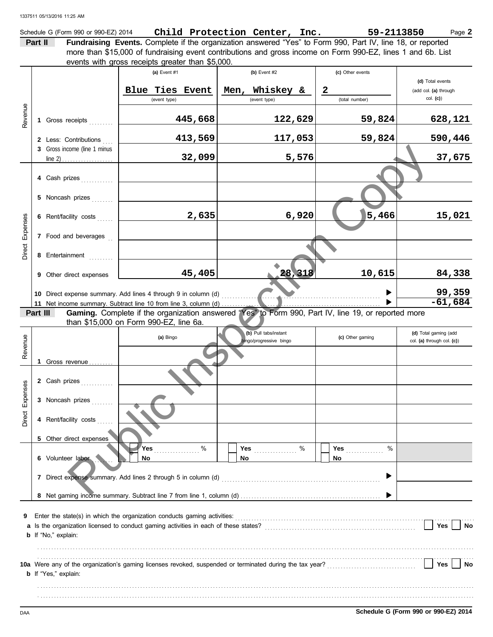| 1337511 05/13/2016 11:25 AM |  |
|-----------------------------|--|
|                             |  |

|                        |          |                              |                                                                                                                                    | Schedule G (Form 990 or 990-EZ) 2014 $\hbox{\bf Child Protection Center}$ , $\hbox{\bf Inc.}$               | 59-2113850        | Page 2                                              |
|------------------------|----------|------------------------------|------------------------------------------------------------------------------------------------------------------------------------|-------------------------------------------------------------------------------------------------------------|-------------------|-----------------------------------------------------|
|                        | Part II  |                              |                                                                                                                                    | Fundraising Events. Complete if the organization answered "Yes" to Form 990, Part IV, line 18, or reported  |                   |                                                     |
|                        |          |                              | events with gross receipts greater than \$5,000.                                                                                   | more than \$15,000 of fundraising event contributions and gross income on Form 990-EZ, lines 1 and 6b. List |                   |                                                     |
|                        |          |                              | (a) Event #1                                                                                                                       | (b) Event $#2$                                                                                              | (c) Other events  |                                                     |
|                        |          |                              |                                                                                                                                    |                                                                                                             |                   | (d) Total events                                    |
|                        |          |                              | Blue Ties Event                                                                                                                    | Men, Whiskey &                                                                                              | $\mathbf{2}$      | (add col. (a) through                               |
|                        |          |                              | (event type)                                                                                                                       | (event type)                                                                                                | (total number)    | col. (c)                                            |
| Revenue                |          | 1 Gross receipts             | 445,668                                                                                                                            | 122,629                                                                                                     | 59,824            | 628,121                                             |
|                        |          | 2 Less: Contributions        | 413,569                                                                                                                            | 117,053                                                                                                     | 59,824            | 590,446                                             |
|                        |          | 3 Gross income (line 1 minus |                                                                                                                                    |                                                                                                             |                   |                                                     |
|                        |          |                              | 32,099                                                                                                                             | 5,576                                                                                                       |                   | 37,675                                              |
|                        |          | 4 Cash prizes                |                                                                                                                                    |                                                                                                             |                   |                                                     |
|                        |          | 5 Noncash prizes             |                                                                                                                                    |                                                                                                             |                   |                                                     |
|                        |          |                              |                                                                                                                                    |                                                                                                             |                   |                                                     |
| <b>Direct Expenses</b> |          | 6 Rent/facility costs        | 2,635                                                                                                                              | 6,920                                                                                                       | 5,466             | 15,021                                              |
|                        |          | 7 Food and beverages         |                                                                                                                                    |                                                                                                             |                   |                                                     |
|                        |          | 8 Entertainment              |                                                                                                                                    |                                                                                                             |                   |                                                     |
|                        |          | 9 Other direct expenses      | 45,405                                                                                                                             | 28,318                                                                                                      | 10,615            | 84,338                                              |
|                        |          |                              |                                                                                                                                    |                                                                                                             |                   |                                                     |
|                        |          |                              | 10 Direct expense summary. Add lines 4 through 9 in column (d)<br>11 Net income summary. Subtract line 10 from line 3, column (d). | .                                                                                                           |                   | 99,359<br>$-61,684$                                 |
|                        | Part III |                              |                                                                                                                                    | Gaming. Complete if the organization answered "Yes" to Form 990, Part IV, line 19, or reported more         |                   |                                                     |
|                        |          |                              | than \$15,000 on Form 990-EZ, line 6a.                                                                                             |                                                                                                             |                   |                                                     |
|                        |          |                              | (a) Bingo                                                                                                                          | (b) Pull tabs/instant<br>ingo/progressive bingo                                                             | (c) Other gaming  | (d) Total gaming (add<br>col. (a) through col. (c)) |
| Revenue                |          |                              |                                                                                                                                    |                                                                                                             |                   |                                                     |
|                        |          | 1 Gross revenue              |                                                                                                                                    |                                                                                                             |                   |                                                     |
|                        |          | 2 Cash prizes                |                                                                                                                                    |                                                                                                             |                   |                                                     |
| Expenses               |          | 3 Noncash prizes             |                                                                                                                                    |                                                                                                             |                   |                                                     |
|                        |          |                              |                                                                                                                                    |                                                                                                             |                   |                                                     |
| Direct                 |          | 4 Rent/facility costs        |                                                                                                                                    |                                                                                                             |                   |                                                     |
|                        |          | 5 Other direct expenses      |                                                                                                                                    |                                                                                                             |                   |                                                     |
|                        |          |                              | Yes<br>%                                                                                                                           | %<br>Yes                                                                                                    | %<br>Yes $\ldots$ |                                                     |
|                        |          | 6 Volunteer labor            | No                                                                                                                                 | No.                                                                                                         | No                |                                                     |
|                        |          |                              | 7 Direct expense summary. Add lines 2 through 5 in column (d)                                                                      |                                                                                                             |                   |                                                     |
|                        |          |                              |                                                                                                                                    |                                                                                                             |                   |                                                     |
|                        |          |                              |                                                                                                                                    |                                                                                                             |                   |                                                     |
| 9                      |          |                              |                                                                                                                                    |                                                                                                             |                   |                                                     |
|                        |          | <b>b</b> If "No," explain:   | a Is the organization licensed to conduct gaming activities in each of these states?                                               |                                                                                                             |                   | Yes<br>No                                           |
|                        |          |                              |                                                                                                                                    |                                                                                                             |                   |                                                     |
|                        |          | <b>b</b> If "Yes," explain:  |                                                                                                                                    |                                                                                                             |                   | Yes<br>No                                           |
|                        |          |                              |                                                                                                                                    |                                                                                                             |                   |                                                     |
|                        |          |                              |                                                                                                                                    |                                                                                                             |                   |                                                     |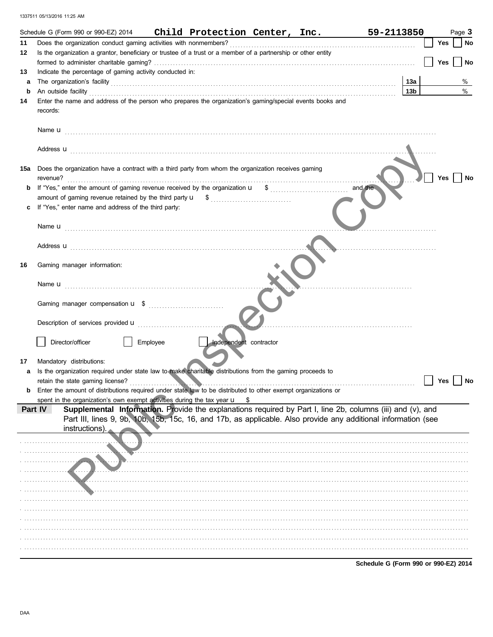|         | Schedule G (Form 990 or 990-EZ) 2014    Child Protection Center, Inc.                                                                                                                                                                                                                                                                            |          |                        |  | 59-2113850      | Page 3    |
|---------|--------------------------------------------------------------------------------------------------------------------------------------------------------------------------------------------------------------------------------------------------------------------------------------------------------------------------------------------------|----------|------------------------|--|-----------------|-----------|
| 11      | Does the organization conduct gaming activities with nonmembers?                                                                                                                                                                                                                                                                                 |          |                        |  |                 | No<br>Yes |
| 12      | Is the organization a grantor, beneficiary or trustee of a trust or a member of a partnership or other entity                                                                                                                                                                                                                                    |          |                        |  |                 |           |
|         |                                                                                                                                                                                                                                                                                                                                                  |          |                        |  |                 | Yes<br>No |
| 13      | Indicate the percentage of gaming activity conducted in:                                                                                                                                                                                                                                                                                         |          |                        |  | 13а             |           |
| a<br>b  | The organization's facility encouragement and the organization's facility encouragement of the organization's                                                                                                                                                                                                                                    |          |                        |  | 13 <sub>b</sub> | %<br>$\%$ |
| 14      | An outside facility <b>contained a set of the contract of the contract of the contract of the contract of the contract of the contract of the contract of the contract of the contract of the contract of the contract of the co</b><br>Enter the name and address of the person who prepares the organization's gaming/special events books and |          |                        |  |                 |           |
|         | records:                                                                                                                                                                                                                                                                                                                                         |          |                        |  |                 |           |
|         |                                                                                                                                                                                                                                                                                                                                                  |          |                        |  |                 |           |
|         | Address <b>u</b>                                                                                                                                                                                                                                                                                                                                 |          |                        |  |                 |           |
| 15a     | Does the organization have a contract with a third party from whom the organization receives gaming<br>revenue?                                                                                                                                                                                                                                  |          |                        |  |                 | No<br>Yes |
| b       |                                                                                                                                                                                                                                                                                                                                                  |          |                        |  |                 |           |
|         |                                                                                                                                                                                                                                                                                                                                                  |          |                        |  |                 |           |
|         | If "Yes," enter name and address of the third party:                                                                                                                                                                                                                                                                                             |          |                        |  |                 |           |
|         |                                                                                                                                                                                                                                                                                                                                                  |          |                        |  |                 |           |
|         |                                                                                                                                                                                                                                                                                                                                                  |          |                        |  |                 |           |
|         | Address <b>u</b>                                                                                                                                                                                                                                                                                                                                 |          |                        |  |                 |           |
| 16      | Gaming manager information:                                                                                                                                                                                                                                                                                                                      |          |                        |  |                 |           |
|         |                                                                                                                                                                                                                                                                                                                                                  |          |                        |  |                 |           |
|         |                                                                                                                                                                                                                                                                                                                                                  |          |                        |  |                 |           |
|         |                                                                                                                                                                                                                                                                                                                                                  |          |                        |  |                 |           |
|         | Director/officer                                                                                                                                                                                                                                                                                                                                 | Employee | Independent contractor |  |                 |           |
| 17      | Mandatory distributions:                                                                                                                                                                                                                                                                                                                         |          |                        |  |                 |           |
| a       | Is the organization required under state law to make charitable distributions from the gaming proceeds to                                                                                                                                                                                                                                        |          |                        |  |                 |           |
|         | retain the state gaming license?                                                                                                                                                                                                                                                                                                                 |          |                        |  |                 | Yes<br>No |
| b       | Enter the amount of distributions required under state law to be distributed to other exempt organizations or                                                                                                                                                                                                                                    |          |                        |  |                 |           |
|         | spent in the organization's own exempt activities during the tax year $\mathbf{u}$ \$                                                                                                                                                                                                                                                            |          |                        |  |                 |           |
| Part IV | Supplemental Information. Provide the explanations required by Part I, line 2b, columns (iii) and (v), and<br>Part III, lines 9, 9b, 10b, 15b, 15c, 16, and 17b, as applicable. Also provide any additional information (see<br>instructions).                                                                                                   |          |                        |  |                 |           |
|         |                                                                                                                                                                                                                                                                                                                                                  |          |                        |  |                 |           |
|         |                                                                                                                                                                                                                                                                                                                                                  |          |                        |  |                 |           |
|         |                                                                                                                                                                                                                                                                                                                                                  |          |                        |  |                 |           |
|         |                                                                                                                                                                                                                                                                                                                                                  |          |                        |  |                 |           |
|         |                                                                                                                                                                                                                                                                                                                                                  |          |                        |  |                 |           |
|         |                                                                                                                                                                                                                                                                                                                                                  |          |                        |  |                 |           |
|         |                                                                                                                                                                                                                                                                                                                                                  |          |                        |  |                 |           |
|         |                                                                                                                                                                                                                                                                                                                                                  |          |                        |  |                 |           |
|         |                                                                                                                                                                                                                                                                                                                                                  |          |                        |  |                 |           |
|         |                                                                                                                                                                                                                                                                                                                                                  |          |                        |  |                 |           |
|         |                                                                                                                                                                                                                                                                                                                                                  |          |                        |  |                 |           |
|         |                                                                                                                                                                                                                                                                                                                                                  |          |                        |  |                 |           |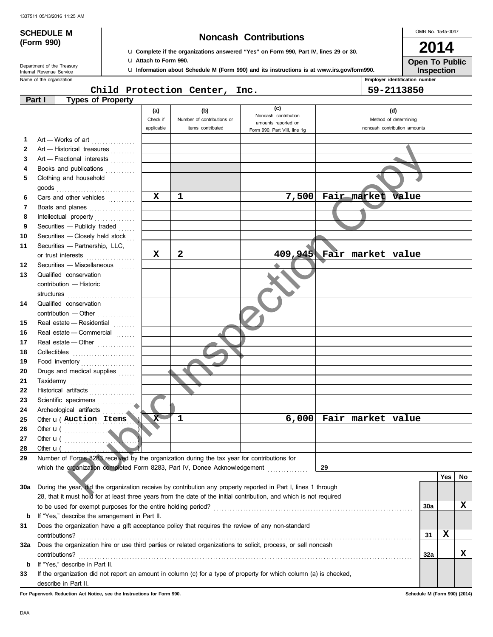|  | 1337511 05/13/2016 11:25 AM |  |  |
|--|-----------------------------|--|--|
|--|-----------------------------|--|--|

|              | 1337511 05/13/2016 11:25 AM                    |                                                                                       |                                                                                             |                                                                                                                     |                           |                       |                                |            |    |
|--------------|------------------------------------------------|---------------------------------------------------------------------------------------|---------------------------------------------------------------------------------------------|---------------------------------------------------------------------------------------------------------------------|---------------------------|-----------------------|--------------------------------|------------|----|
|              | <b>SCHEDULE M</b><br>(Form 990)                |                                                                                       |                                                                                             | <b>Noncash Contributions</b>                                                                                        |                           |                       | OMB No. 1545-0047              |            |    |
|              |                                                | La Complete if the organizations answered "Yes" on Form 990, Part IV, lines 29 or 30. |                                                                                             |                                                                                                                     |                           |                       |                                | 2014       |    |
|              | Department of the Treasury                     | <b>U</b> Attach to Form 990.                                                          |                                                                                             |                                                                                                                     |                           |                       | <b>Open To Public</b>          |            |    |
|              | Internal Revenue Service                       |                                                                                       |                                                                                             | La Information about Schedule M (Form 990) and its instructions is at www.irs.gov/form990.                          |                           |                       |                                | Inspection |    |
|              | Name of the organization                       |                                                                                       |                                                                                             |                                                                                                                     |                           |                       | Employer identification number |            |    |
|              |                                                |                                                                                       | Child Protection Center, Inc.                                                               |                                                                                                                     |                           |                       | 59-2113850                     |            |    |
|              | <b>Types of Property</b><br>Part I             |                                                                                       |                                                                                             |                                                                                                                     |                           |                       |                                |            |    |
|              |                                                | (a)                                                                                   | (b)                                                                                         | (c)<br>Noncash contribution                                                                                         |                           | (d)                   |                                |            |    |
|              |                                                | Check if                                                                              | Number of contributions or                                                                  | amounts reported on                                                                                                 |                           | Method of determining |                                |            |    |
|              |                                                | applicable                                                                            | items contributed                                                                           | Form 990, Part VIII, line 1g                                                                                        |                           |                       | noncash contribution amounts   |            |    |
| 1.           | Art - Works of art                             |                                                                                       |                                                                                             |                                                                                                                     |                           |                       |                                |            |    |
| $\mathbf{2}$ | Art - Historical treasures                     |                                                                                       |                                                                                             |                                                                                                                     |                           |                       |                                |            |    |
| 3            | Art - Fractional interests                     |                                                                                       |                                                                                             |                                                                                                                     |                           |                       |                                |            |    |
| 4            | Books and publications                         |                                                                                       |                                                                                             |                                                                                                                     |                           |                       |                                |            |    |
| 5            | Clothing and household                         |                                                                                       |                                                                                             |                                                                                                                     |                           |                       |                                |            |    |
|              |                                                | X                                                                                     | 1                                                                                           | 7,500                                                                                                               | Fair market               |                       | value                          |            |    |
| 6            | Cars and other vehicles                        |                                                                                       |                                                                                             |                                                                                                                     |                           |                       |                                |            |    |
| 7            | Boats and planes                               |                                                                                       |                                                                                             |                                                                                                                     |                           |                       |                                |            |    |
| 8<br>9       | Securities - Publicly traded                   |                                                                                       |                                                                                             |                                                                                                                     |                           |                       |                                |            |    |
| 10           | Securities - Closely held stock                |                                                                                       |                                                                                             |                                                                                                                     |                           |                       |                                |            |    |
| 11           | Securities - Partnership, LLC,                 |                                                                                       |                                                                                             |                                                                                                                     |                           |                       |                                |            |    |
|              | or trust interests                             | x                                                                                     | $\mathbf{2}$                                                                                |                                                                                                                     | 409,945 Fair market value |                       |                                |            |    |
| 12           | Securities - Miscellaneous                     |                                                                                       |                                                                                             |                                                                                                                     |                           |                       |                                |            |    |
| 13           | Qualified conservation                         |                                                                                       |                                                                                             |                                                                                                                     |                           |                       |                                |            |    |
|              | contribution - Historic                        |                                                                                       |                                                                                             |                                                                                                                     |                           |                       |                                |            |    |
|              |                                                |                                                                                       |                                                                                             |                                                                                                                     |                           |                       |                                |            |    |
| 14           | Qualified conservation                         |                                                                                       |                                                                                             |                                                                                                                     |                           |                       |                                |            |    |
|              | contribution - Other                           |                                                                                       |                                                                                             |                                                                                                                     |                           |                       |                                |            |    |
| 15           | Real estate - Residential                      |                                                                                       |                                                                                             |                                                                                                                     |                           |                       |                                |            |    |
| 16           | Real estate - Commercial                       |                                                                                       |                                                                                             |                                                                                                                     |                           |                       |                                |            |    |
| 17           | Real estate - Other                            |                                                                                       |                                                                                             |                                                                                                                     |                           |                       |                                |            |    |
| 18           |                                                |                                                                                       |                                                                                             |                                                                                                                     |                           |                       |                                |            |    |
| 19           | Food inventory                                 |                                                                                       |                                                                                             |                                                                                                                     |                           |                       |                                |            |    |
| 20           | Drugs and medical supplies                     |                                                                                       |                                                                                             |                                                                                                                     |                           |                       |                                |            |    |
| 21           | Taxidermy                                      |                                                                                       |                                                                                             |                                                                                                                     |                           |                       |                                |            |    |
| 22           | Historical artifacts                           |                                                                                       |                                                                                             |                                                                                                                     |                           |                       |                                |            |    |
| 23           | Scientific specimens                           |                                                                                       |                                                                                             |                                                                                                                     |                           |                       |                                |            |    |
| 24           | Archeological artifacts                        |                                                                                       |                                                                                             |                                                                                                                     |                           |                       |                                |            |    |
| 25           | Other u( Auction Items                         | $\mathbf{x}$                                                                          | $\mathbf 1$                                                                                 |                                                                                                                     | 6,000 Fair market value   |                       |                                |            |    |
| 26           |                                                |                                                                                       |                                                                                             |                                                                                                                     |                           |                       |                                |            |    |
| 27           | Other $\mathbf{u}$ (                           |                                                                                       |                                                                                             |                                                                                                                     |                           |                       |                                |            |    |
| 28           | Other $\mathbf{u}$ (                           |                                                                                       |                                                                                             |                                                                                                                     |                           |                       |                                |            |    |
| 29           |                                                |                                                                                       | Number of Forms 8283 received by the organization during the tax year for contributions for |                                                                                                                     |                           |                       |                                |            |    |
|              |                                                |                                                                                       | which the organization completed Form 8283, Part IV, Donee Acknowledgement                  |                                                                                                                     | 29                        |                       |                                |            |    |
|              |                                                |                                                                                       |                                                                                             |                                                                                                                     |                           |                       |                                | Yes        | No |
| 30a          |                                                |                                                                                       |                                                                                             | During the year, did the organization receive by contribution any property reported in Part I, lines 1 through      |                           |                       |                                |            |    |
|              |                                                |                                                                                       |                                                                                             | 28, that it must hold for at least three years from the date of the initial contribution, and which is not required |                           |                       |                                |            | x  |
|              |                                                |                                                                                       |                                                                                             |                                                                                                                     |                           |                       | 30a                            |            |    |
| b            | If "Yes," describe the arrangement in Part II. |                                                                                       |                                                                                             | Does the organization have a gift acceptance policy that requires the review of any non-standard                    |                           |                       |                                |            |    |
| 31           | contributions?                                 |                                                                                       |                                                                                             |                                                                                                                     |                           |                       | 31                             | х          |    |
| 32a          |                                                |                                                                                       |                                                                                             | Does the organization hire or use third parties or related organizations to solicit, process, or sell noncash       |                           |                       |                                |            |    |
|              | contributions?                                 |                                                                                       |                                                                                             |                                                                                                                     |                           |                       | 32a                            |            | x  |
| b            | If "Yes," describe in Part II.                 |                                                                                       |                                                                                             |                                                                                                                     |                           |                       |                                |            |    |

**33** If the organization did not report an amount in column (c) for a type of property for which column (a) is checked, describe in Part II.

**For Paperwork Reduction Act Notice, see the Instructions for Form 990. Schedule M (Form 990) (2014)**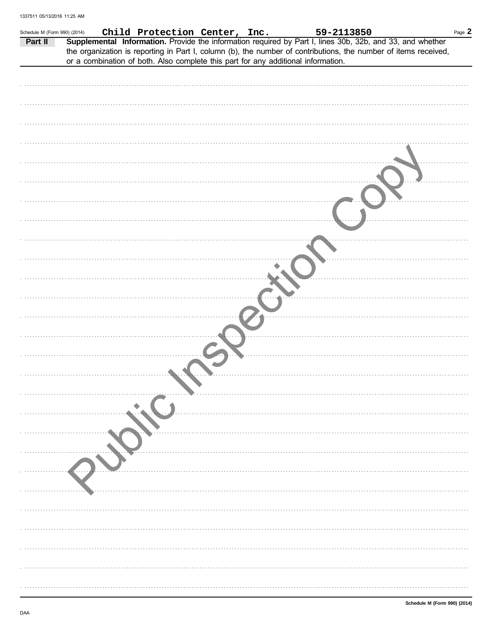| Schedule M (Form 990) (2014) |  |  |                                                                                                                                                                                                                                                                                             | Page 2 |
|------------------------------|--|--|---------------------------------------------------------------------------------------------------------------------------------------------------------------------------------------------------------------------------------------------------------------------------------------------|--------|
| Part II                      |  |  | $\frac{100}{2014}$ Child Protection Center, Inc. 59-2113850<br>Supplemental Information. Provide the information required by Part I, lines 30b, 32b, and 33, and whether<br>the organization is reporting in Part I, column (b), the number of contributions, the number of items received, |        |
|                              |  |  | or a combination of both. Also complete this part for any additional information.                                                                                                                                                                                                           |        |
|                              |  |  |                                                                                                                                                                                                                                                                                             |        |
|                              |  |  |                                                                                                                                                                                                                                                                                             |        |
|                              |  |  |                                                                                                                                                                                                                                                                                             |        |
|                              |  |  |                                                                                                                                                                                                                                                                                             |        |
|                              |  |  |                                                                                                                                                                                                                                                                                             |        |
|                              |  |  |                                                                                                                                                                                                                                                                                             |        |
|                              |  |  |                                                                                                                                                                                                                                                                                             |        |
|                              |  |  |                                                                                                                                                                                                                                                                                             |        |
|                              |  |  |                                                                                                                                                                                                                                                                                             |        |
|                              |  |  |                                                                                                                                                                                                                                                                                             |        |
|                              |  |  |                                                                                                                                                                                                                                                                                             |        |
|                              |  |  |                                                                                                                                                                                                                                                                                             |        |
|                              |  |  |                                                                                                                                                                                                                                                                                             |        |
|                              |  |  |                                                                                                                                                                                                                                                                                             |        |
|                              |  |  |                                                                                                                                                                                                                                                                                             |        |
|                              |  |  |                                                                                                                                                                                                                                                                                             |        |
|                              |  |  |                                                                                                                                                                                                                                                                                             |        |
|                              |  |  |                                                                                                                                                                                                                                                                                             |        |
|                              |  |  |                                                                                                                                                                                                                                                                                             |        |
|                              |  |  |                                                                                                                                                                                                                                                                                             |        |
|                              |  |  |                                                                                                                                                                                                                                                                                             |        |
|                              |  |  |                                                                                                                                                                                                                                                                                             |        |
|                              |  |  |                                                                                                                                                                                                                                                                                             |        |
|                              |  |  |                                                                                                                                                                                                                                                                                             |        |
|                              |  |  |                                                                                                                                                                                                                                                                                             |        |
|                              |  |  |                                                                                                                                                                                                                                                                                             |        |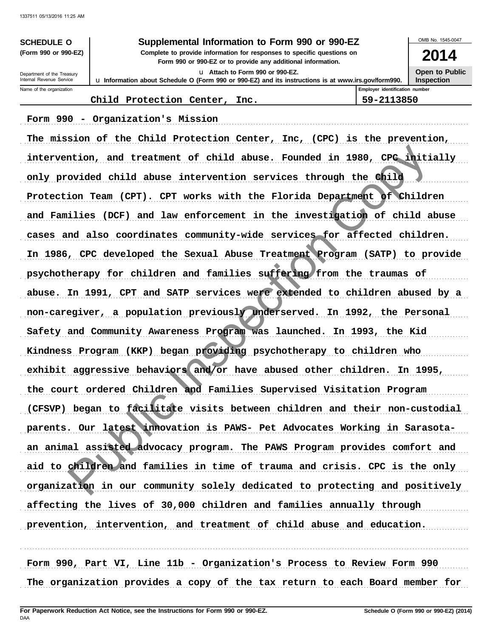### **SCHEDULE O Supplemental Information to Form 990 or 990-EZ**

**Form 990 or 990-EZ or to provide any additional information. (Form 990 or 990-EZ) Complete to provide information for responses to specific questions on**

**2014 Open to Public**

OMB No. 1545-0047

u **Attach to Form 990 or 990-EZ.**

**Inspection** u **Information about Schedule O (Form 990 or 990-EZ) and its instructions is at www.irs.gov/form990.**

Name of the organization **Employer identification** number Internal Revenue Service Department of the Treasury

**Child Protection Center, Inc. 59-2113850**

Form 990 - Organization's Mission (1999) - Contract Contract Contract Mission (1990 - Contract Mission (1990)

The mission of the Child Protection Center, Inc, (CPC) is the prevention, intervention, and treatment of child abuse. Founded in 1980, CPC initially only provided child abuse intervention services through the Child Protection Team (CPT). CPT works with the Florida Department of Children and Families (DCF) and law enforcement in the investigation of child abuse cases and also coordinates community-wide services for affected children. In 1986, CPC developed the Sexual Abuse Treatment Program (SATP) to provide psychotherapy for children and families suffering from the traumas of abuse. In 1991, CPT and SATP services were extended to children abused by a non-caregiver, a population previously underserved. In 1992, the Personal Safety and Community Awareness Program was launched. In 1993, the Kid Kindness Program (KKP) began providing psychotherapy to children who exhibit aggressive behaviors and/or have abused other children. In 1995, the court ordered Children and Families Supervised Visitation Program (CFSVP) began to facilitate visits between children and their non-custodial parents. Our latest innovation is PAWS- Pet Advocates Working in Sarasotaan animal assisted advocacy program. The PAWS Program provides comfort and aid to children and families in time of trauma and crisis. CPC is the only organization in our community solely dedicated to protecting and positively affecting the lives of 30,000 children and families annually through prevention, intervention, and treatment of child abuse and education. ntion, and treatment of child abuse. Founded in 1980, CP2 initionided child abuse intervention services through the child<br>tion Team (CFT). CPT works with the Florida Department of Childrillies (DCF) and law enforcement in

Form 990, Part VI, Line 11b - Organization's Process to Review Form 990 The organization provides a copy of the tax return to each Board member for

. . . . . . . . . . . . . . . . . . . . . . . . . . . . . . . . . . . . . . . . . . . . . . . . . . . . . . . . . . . . . . . . . . . . . . . . . . . . . . . . . . . . . . . . . . . . . . . . . . . . . . . . . . . . . . . . . . . . . . . . . . . . . . . . . . . . . . . . . . . . . . . . . . . . . . . . . . . . . . . . . . . . . .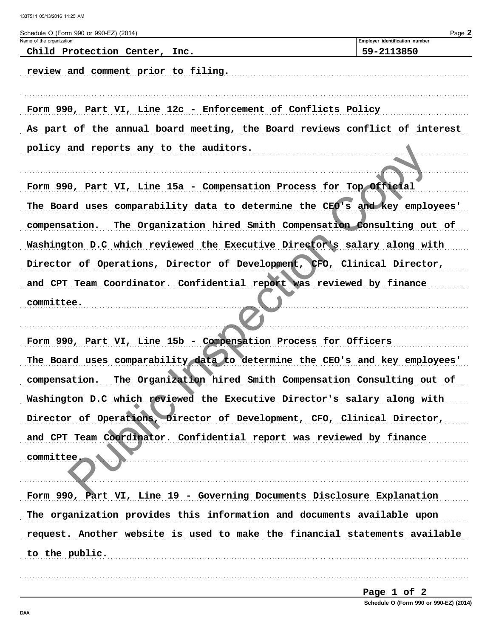| 1337511 05/13/2016 11:25 AM                                                  |                                          |
|------------------------------------------------------------------------------|------------------------------------------|
| Schedule O (Form 990 or 990-EZ) (2014)<br>Name of the organization           | Page 2<br>Employer identification number |
| Child Protection Center, Inc.                                                | 59-2113850                               |
| review and comment prior to filing.                                          |                                          |
| Form 990, Part VI, Line 12c - Enforcement of Conflicts Policy                |                                          |
| As part of the annual board meeting, the Board reviews conflict of interest  |                                          |
| policy and reports any to the auditors.                                      |                                          |
|                                                                              |                                          |
| Form 990, Part VI, Line 15a - Compensation Process for Top Official          |                                          |
| The Board uses comparability data to determine the CEO's and key employees'  |                                          |
| The Organization hired Smith Compensation Consulting out of<br>compensation. |                                          |
| Washington D.C which reviewed the Executive Director's salary along with     |                                          |
| Director of Operations, Director of Development, CFO, Clinical Director,     |                                          |
| and CPT Team Coordinator. Confidential report was reviewed by finance        |                                          |
| committee.                                                                   |                                          |
|                                                                              |                                          |
| Form 990, Part VI, Line 15b - Compensation Process for Officers              |                                          |
| The Board uses comparability data to determine the CEO's and key employees'  |                                          |
| The Organization hired Smith Compensation Consulting out of<br>compensation. |                                          |
| Washington D.C which reviewed the Executive Director's salary along with     |                                          |
| Director of Operations, Director of Development, CFO, Clinical Director,     |                                          |
| and CPT Team Coordinator. Confidential report was reviewed by finance        |                                          |
| committee.                                                                   |                                          |
| Form 990, Part VI, Line 19 - Governing Documents Disclosure Explanation      |                                          |
| The organization provides this information and documents available upon      |                                          |

request. Another website is used to make the financial statements available to the public. 

Page 1 of 2

Schedule O (Form 990 or 990-EZ) (2014)